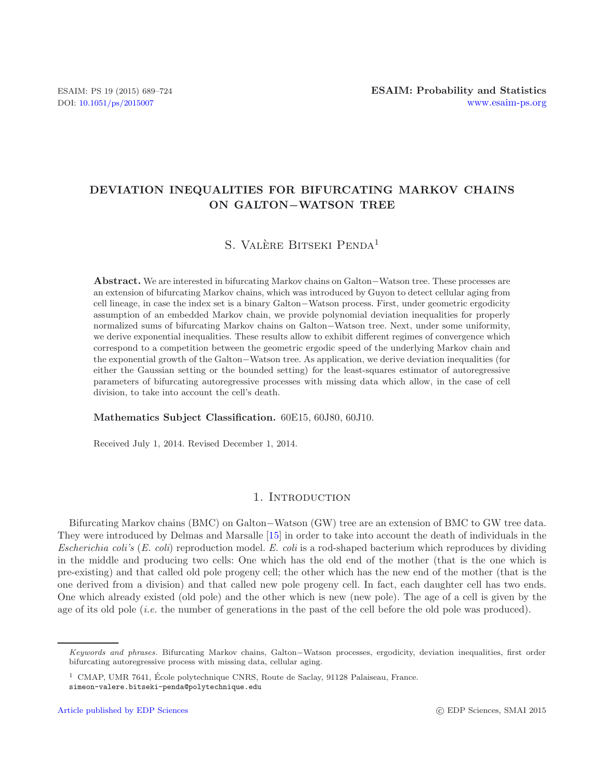## **DEVIATION INEQUALITIES FOR BIFURCATING MARKOV CHAINS ON GALTON***−***WATSON TREE**

# S. VALÈRE BITSEKI PENDA<sup>1</sup>

**Abstract.** We are interested in bifurcating Markov chains on Galton*−*Watson tree. These processes are an extension of bifurcating Markov chains, which was introduced by Guyon to detect cellular aging from cell lineage, in case the index set is a binary Galton*−*Watson process. First, under geometric ergodicity assumption of an embedded Markov chain, we provide polynomial deviation inequalities for properly normalized sums of bifurcating Markov chains on Galton*−*Watson tree. Next, under some uniformity, we derive exponential inequalities. These results allow to exhibit different regimes of convergence which correspond to a competition between the geometric ergodic speed of the underlying Markov chain and the exponential growth of the Galton*−*Watson tree. As application, we derive deviation inequalities (for either the Gaussian setting or the bounded setting) for the least-squares estimator of autoregressive parameters of bifurcating autoregressive processes with missing data which allow, in the case of cell division, to take into account the cell's death.

#### **Mathematics Subject Classification.** 60E15, 60J80, 60J10.

Received July 1, 2014. Revised December 1, 2014.

## 1. INTRODUCTION

Bifurcating Markov chains (BMC) on Galton−Watson (GW) tree are an extension of BMC to GW tree data. They were introduced by Delmas and Marsalle [\[15\]](#page-35-0) in order to take into account the death of individuals in the *Escherichia coli's* (*E. coli*) reproduction model. *E. coli* is a rod-shaped bacterium which reproduces by dividing in the middle and producing two cells: One which has the old end of the mother (that is the one which is pre-existing) and that called old pole progeny cell; the other which has the new end of the mother (that is the one derived from a division) and that called new pole progeny cell. In fact, each daughter cell has two ends. One which already existed (old pole) and the other which is new (new pole). The age of a cell is given by the age of its old pole (*i.e.* the number of generations in the past of the cell before the old pole was produced).

*Keywords and phrases.* Bifurcating Markov chains, Galton−Watson processes, ergodicity, deviation inequalities, first order bifurcating autoregressive process with missing data, cellular aging.

 $<sup>1</sup>$  CMAP, UMR 7641, École polytechnique CNRS, Route de Saclay, 91128 Palaiseau, France.</sup> simeon-valere.bitseki-penda@polytechnique.edu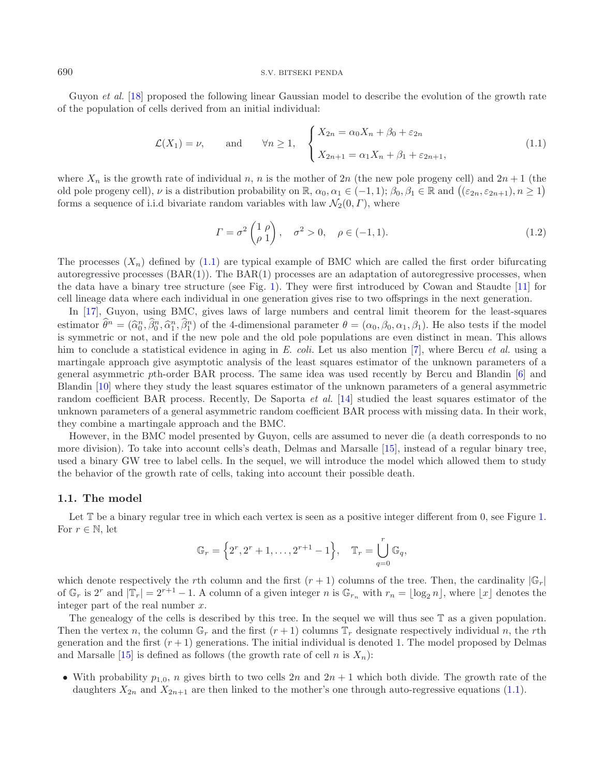#### <sup>690</sup> S.V. BITSEKI PENDA

Guyon *et al.* [\[18\]](#page-35-1) proposed the following linear Gaussian model to describe the evolution of the growth rate of the population of cells derived from an initial individual:

<span id="page-1-0"></span>
$$
\mathcal{L}(X_1) = \nu, \quad \text{and} \quad \forall n \ge 1, \quad \begin{cases} X_{2n} = \alpha_0 X_n + \beta_0 + \varepsilon_{2n} \\ X_{2n+1} = \alpha_1 X_n + \beta_1 + \varepsilon_{2n+1}, \end{cases} \tag{1.1}
$$

where  $X_n$  is the growth rate of individual n, n is the mother of 2n (the new pole progeny cell) and  $2n + 1$  (the old pole progeny cell),  $\nu$  is a distribution probability on  $\mathbb{R}$ ,  $\alpha_0, \alpha_1 \in (-1, 1)$ ;  $\beta_0, \beta_1 \in \mathbb{R}$  and  $((\varepsilon_{2n}, \varepsilon_{2n+1}), n \ge 1)$ <br>forms a sequence of i.i.d binning produce uniables with law  $\Lambda'(0, E)$  where forms a sequence of i.i.d bivariate random variables with law  $\mathcal{N}_2(0, \Gamma)$ , where

$$
\Gamma = \sigma^2 \begin{pmatrix} 1 & \rho \\ \rho & 1 \end{pmatrix}, \quad \sigma^2 > 0, \quad \rho \in (-1, 1). \tag{1.2}
$$

The processes  $(X_n)$  defined by [\(1.1\)](#page-1-0) are typical example of BMC which are called the first order bifurcating autoregressive processes  $(BAR(1))$ . The  $BAR(1)$  processes are an adaptation of autoregressive processes, when the data have a binary tree structure (see Fig. [1\)](#page-2-0). They were first introduced by Cowan and Staudte [\[11](#page-35-2)] for cell lineage data where each individual in one generation gives rise to two offsprings in the next generation.

In [\[17\]](#page-35-3), Guyon, using BMC, gives laws of large numbers and central limit theorem for the least-squares estimator  $\hat{\theta}^n = (\hat{\alpha}_0^n, \hat{\beta}_0^n, \hat{\alpha}_1^n, \hat{\beta}_1^n)$  of the 4-dimensional parameter  $\theta = (\alpha_0, \beta_0, \alpha_1, \beta_1)$ . He also tests if the model<br>is symmetric or not, and if the new pole and the old pole populations are even dist is symmetric or not, and if the new pole and the old pole populations are even distinct in mean. This allows him to conclude a statistical evidence in aging in *E. coli.* Let us also mention [\[7\]](#page-35-4), where Bercu *et al.* using a martingale approach give asymptotic analysis of the least squares estimator of the unknown parameters of a general asymmetric pth-order BAR process. The same idea was used recently by Bercu and Blandin [\[6\]](#page-35-5) and Blandin [\[10\]](#page-35-6) where they study the least squares estimator of the unknown parameters of a general asymmetric random coefficient BAR process. Recently, De Saporta *et al.* [\[14](#page-35-7)] studied the least squares estimator of the unknown parameters of a general asymmetric random coefficient BAR process with missing data. In their work, they combine a martingale approach and the BMC.

However, in the BMC model presented by Guyon, cells are assumed to never die (a death corresponds to no more division). To take into account cells's death, Delmas and Marsalle [\[15\]](#page-35-0), instead of a regular binary tree, used a binary GW tree to label cells. In the sequel, we will introduce the model which allowed them to study the behavior of the growth rate of cells, taking into account their possible death.

#### <span id="page-1-1"></span>**1.1. The model**

Let  $\mathbb T$  be a binary regular tree in which each vertex is seen as a positive integer different from 0, see Figure [1.](#page-2-0) For  $r \in \mathbb{N}$ , let

$$
\mathbb{G}_r = \left\{ 2^r, 2^r + 1, \dots, 2^{r+1} - 1 \right\}, \quad \mathbb{T}_r = \bigcup_{q=0}^r \mathbb{G}_q,
$$

which denote respectively the rth column and the first  $(r + 1)$  columns of the tree. Then, the cardinality  $|\mathbb{G}_r|$ of  $\mathbb{G}_r$  is  $2^r$  and  $|\mathbb{T}_r| = 2^{r+1} - 1$ . A column of a given integer n is  $\mathbb{G}_{r_n}$  with  $r_n = \lfloor \log_2 n \rfloor$ , where  $\lfloor x \rfloor$  denotes the integer part of the real number  $x$ .

The genealogy of the cells is described by this tree. In the sequel we will thus see T as a given population. Then the vertex n, the column  $\mathbb{G}_r$  and the first  $(r+1)$  columns  $\mathbb{T}_r$  designate respectively individual n, the rth generation and the first  $(r + 1)$  generations. The initial individual is denoted 1. The model proposed by Delmas and Marsalle [\[15](#page-35-0)] is defined as follows (the growth rate of cell n is  $X_n$ ):

• With probability  $p_{1,0}$ , n gives birth to two cells  $2n$  and  $2n + 1$  which both divide. The growth rate of the daughters  $X_{2n}$  and  $X_{2n+1}$  are then linked to the mother's one through auto-regressive equations [\(1.1\)](#page-1-0).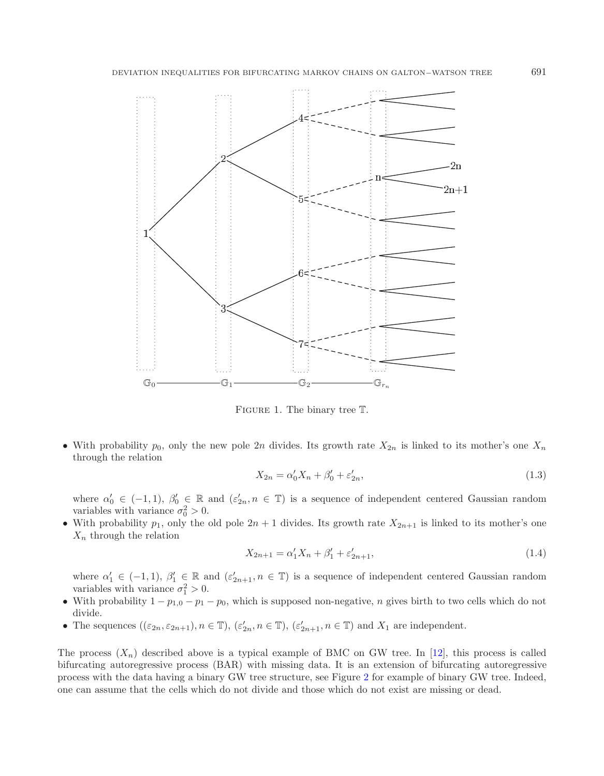

<span id="page-2-0"></span>FIGURE 1. The binary tree  $T$ .

• With probability  $p_0$ , only the new pole 2n divides. Its growth rate  $X_{2n}$  is linked to its mother's one  $X_n$ through the relation

$$
X_{2n} = \alpha'_0 X_n + \beta'_0 + \varepsilon'_{2n},\tag{1.3}
$$

where  $\alpha'_0 \in (-1, 1)$ ,  $\beta'_0 \in \mathbb{R}$  and  $(\varepsilon'_{2n}, n \in \mathbb{T})$  is a sequence of independent centered Gaussian random variables with variance  $\sigma_0^2 > 0$ .<br>With probability  $n_c$  only the old pole  $2n + 1$  divides Its growth ra

• With probability  $p_1$ , only the old pole  $2n + 1$  divides. Its growth rate  $X_{2n+1}$  is linked to its mother's one  $X_n$  through the relation

$$
X_{2n+1} = \alpha'_1 X_n + \beta'_1 + \varepsilon'_{2n+1},\tag{1.4}
$$

where  $\alpha'_1 \in (-1,1)$ ,  $\beta'_1 \in \mathbb{R}$  and  $(\varepsilon'_{2n+1}, n \in \mathbb{T})$  is a sequence of independent centered Gaussian random variables with variance  $\sigma_1^2 > 0$ .<br>With probability  $1 - n$ ,  $\sigma = n$ .

- With probability  $1 p_{1,0} p_1 p_0$ , which is supposed non-negative, *n* gives birth to two cells which do not divide.
- The sequences  $((\varepsilon_{2n}, \varepsilon_{2n+1}), n \in \mathbb{T}), (\varepsilon'_{2n}, n \in \mathbb{T}), (\varepsilon'_{2n+1}, n \in \mathbb{T})$  and  $X_1$  are independent.

The process  $(X_n)$  described above is a typical example of BMC on GW tree. In [\[12](#page-35-8)], this process is called bifurcating autoregressive process (BAR) with missing data. It is an extension of bifurcating autoregressive process with the data having a binary GW tree structure, see Figure [2](#page-3-0) for example of binary GW tree. Indeed, one can assume that the cells which do not divide and those which do not exist are missing or dead.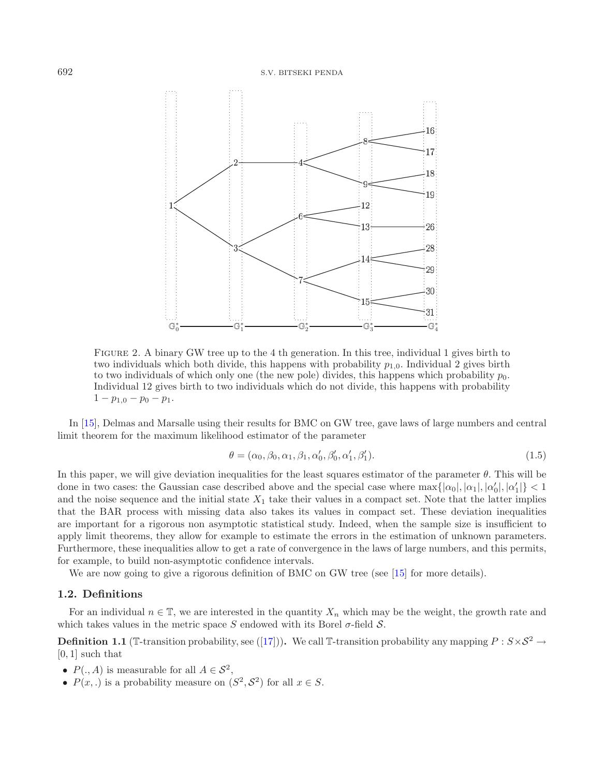

<span id="page-3-0"></span>Figure 2. A binary GW tree up to the 4 th generation. In this tree, individual 1 gives birth to two individuals which both divide, this happens with probability  $p_{1,0}$ . Individual 2 gives birth to two individuals of which only one (the new pole) divides, this happens which probability  $p_0$ . Individual 12 gives birth to two individuals which do not divide, this happens with probability  $1 - p_{1,0} - p_0 - p_1.$ 

In [\[15\]](#page-35-0), Delmas and Marsalle using their results for BMC on GW tree, gave laws of large numbers and central limit theorem for the maximum likelihood estimator of the parameter

<span id="page-3-1"></span>
$$
\theta = (\alpha_0, \beta_0, \alpha_1, \beta_1, \alpha'_0, \beta'_0, \alpha'_1, \beta'_1).
$$
\n(1.5)

In this paper, we will give deviation inequalities for the least squares estimator of the parameter  $\theta$ . This will be done in two cases: the Gaussian case described above and the special case where  $\max\{|a_0|, |a_1|, |a'_0|, |a'_1|\} < 1$ <br>and the poise sequence and the initial state X, take their values in a compact set. Note that the latter imp and the noise sequence and the initial state  $X_1$  take their values in a compact set. Note that the latter implies that the BAR process with missing data also takes its values in compact set. These deviation inequalities are important for a rigorous non asymptotic statistical study. Indeed, when the sample size is insufficient to apply limit theorems, they allow for example to estimate the errors in the estimation of unknown parameters. Furthermore, these inequalities allow to get a rate of convergence in the laws of large numbers, and this permits, for example, to build non-asymptotic confidence intervals.

We are now going to give a rigorous definition of BMC on GW tree (see [\[15\]](#page-35-0) for more details).

## **1.2. Definitions**

For an individual  $n \in \mathbb{T}$ , we are interested in the quantity  $X_n$  which may be the weight, the growth rate and which takes values in the metric space S endowed with its Borel  $\sigma$ -field S.

**Definition 1.1** (T-transition probability, see ([\[17](#page-35-3)])). We call T-transition probability any mapping  $P: S \times S^2 \to$  $[0, 1]$  such that

- $P(., A)$  is measurable for all  $A \in S^2$ ,
- $P(x, \cdot)$  is a probability measure on  $(S^2, S^2)$  for all  $x \in S$ .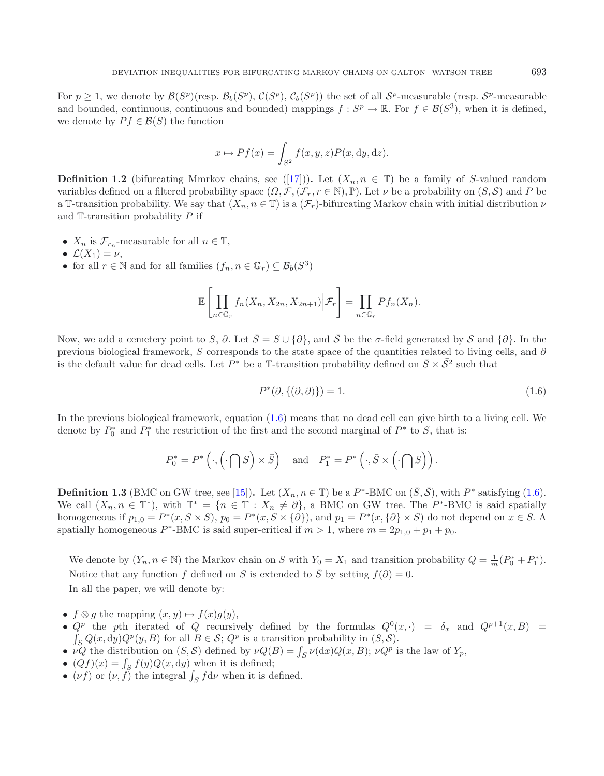For  $p \ge 1$ , we denote by  $\mathcal{B}(S^p)(\text{resp. } \mathcal{B}_b(S^p), \mathcal{C}(S^p), \mathcal{C}_b(S^p))$  the set of all  $\mathcal{S}^p$ -measurable (resp.  $\mathcal{S}^p$ -measurable and bounded, continuous, continuous and bounded) mappings  $f : S^p \to \mathbb{R}$ . For  $f \in \mathcal{B}(S^3)$ , when it is defined, we denote by  $P f \in \mathcal{B}(S)$  the function

$$
x \mapsto Pf(x) = \int_{S^2} f(x, y, z) P(x, dy, dz).
$$

**Definition 1.2** (bifurcating Mmrkov chains, see ([\[17](#page-35-3)])). Let  $(X_n, n \in \mathbb{T})$  be a family of S-valued random variables defined on a filtered probability space  $(\Omega, \mathcal{F}, (\mathcal{F}_r, r \in \mathbb{N}), \mathbb{P})$ . Let  $\nu$  be a probability on  $(S, \mathcal{S})$  and P be a T-transition probability. We say that  $(X_n, n \in \mathbb{T})$  is a  $(\mathcal{F}_r)$ -bifurcating Markov chain with initial distribution  $\nu$ and  $\mathbb{T}$ -transition probability  $P$  if

- $X_n$  is  $\mathcal{F}_{r_n}$ -measurable for all  $n \in \mathbb{T}$ ,
- $\mathcal{L}(X_1) = \nu$ ,
- for all  $r \in \mathbb{N}$  and for all families  $(f_n, n \in \mathbb{G}_r) \subseteq \mathcal{B}_b(S^3)$

$$
\mathbb{E}\left[\prod_{n\in\mathbb{G}_r}f_n(X_n,X_{2n},X_{2n+1})\Big|\mathcal{F}_r\right]=\prod_{n\in\mathbb{G}_r}Pf_n(X_n).
$$

Now, we add a cemetery point to S,  $\partial$ . Let  $\overline{S} = S \cup \{ \partial \}$ , and  $\overline{S}$  be the  $\sigma$ -field generated by S and  $\{ \partial \}$ . In the previous biological framework, S corresponds to the state space of the quantities related to living cells, and ∂ is the default value for dead cells. Let  $P^*$  be a T-transition probability defined on  $\bar{S} \times \bar{S}^2$  such that

$$
P^*(\partial, \{(\partial, \partial)\}) = 1.
$$
\n<sup>(1.6)</sup>

In the previous biological framework, equation [\(1.6\)](#page-4-0) means that no dead cell can give birth to a living cell. We denote by  $P_0^*$  and  $P_1^*$  the restriction of the first and the second marginal of  $P^*$  to  $S$ , that is:

$$
P_0^* = P^* \left( \cdot, \left( \cdot \bigcap S \right) \times \overline{S} \right) \quad \text{and} \quad P_1^* = P^* \left( \cdot, \overline{S} \times \left( \cdot \bigcap S \right) \right).
$$

**Definition 1.3** (BMC on GW tree, see [\[15](#page-35-0)]). Let  $(X_n, n \in \mathbb{T})$  be a P<sup>\*</sup>-BMC on  $(\overline{S}, \overline{S})$ , with P<sup>\*</sup> satisfying [\(1.6\)](#page-4-0). We call  $(X_n, n \in \mathbb{T}^*)$ , with  $\mathbb{T}^* = \{n \in \mathbb{T} : X_n \neq \partial\}$ , a BMC on GW tree. The P<sup>\*</sup>-BMC is said spatially homogeneous if  $p_{1,0} = P^*(x, S \times S)$ ,  $p_0 = P^*(x, S \times {\partial})$ , and  $p_1 = P^*(x, {\partial} \times S)$  do not depend on  $x \in S$ . spatially homogeneous P<sup>∗</sup>-BMC is said super-critical if  $m > 1$ , where  $m = 2p_{1,0} + p_1 + p_0$ .

We denote by  $(Y_n, n \in \mathbb{N})$  the Markov chain on S with  $Y_0 = X_1$  and transition probability  $Q = \frac{1}{m}(P_0^* + P_1^*)$ . Notice that any function f defined on S is extended to  $\overline{S}$  by setting  $f(\partial) = 0$ . In all the paper, we will denote by:

- $f \otimes g$  the mapping  $(x, y) \mapsto f(x)g(y)$ ,
- $Q^p$  the pth iterated of Q recursively defined by the formulas  $Q^0(x, \cdot) = \delta_x$  and  $Q^{p+1}(x, B) =$  $\int_{S} Q(x, dy) Q^{p}(y, B)$  for all  $B \in \mathcal{S}$ ;  $Q^{p}$  is a transition probability in  $(S, \mathcal{S})$ .
- $\nu Q$  the distribution on  $(S, S)$  defined by  $\nu Q(B) = \int_S \nu(dx) Q(x, B)$ ;  $\nu Q^p$  is the law of  $Y_p$ ,
- $(Qf)(x) = \int_S f(y)Q(x, dy)$  when it is defined;
- ( $\nu f$ ) or ( $\nu, f$ ) the integral  $\int_S f d\nu$  when it is defined.

<span id="page-4-0"></span>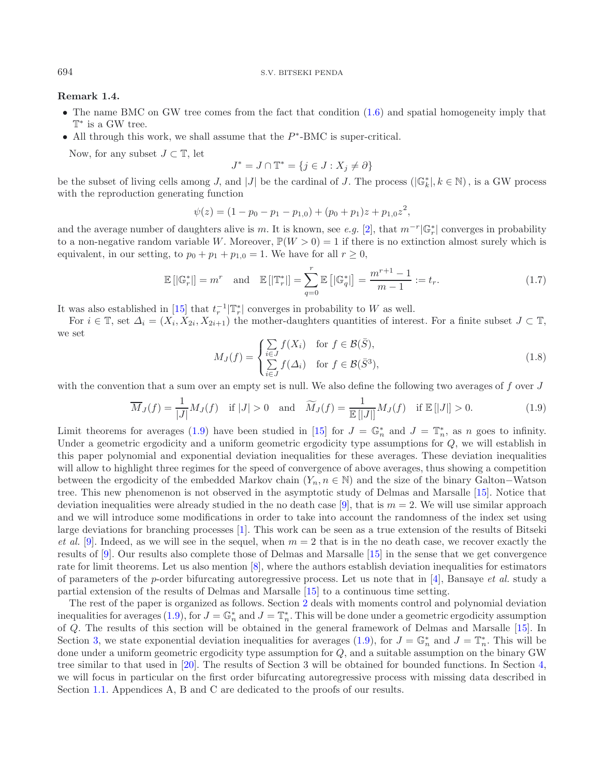#### <sup>694</sup> S.V. BITSEKI PENDA

#### **Remark 1.4.**

- The name BMC on GW tree comes from the fact that condition  $(1.6)$  and spatial homogeneity imply that T<sup>∗</sup> is a GW tree.
- All through this work, we shall assume that the  $P^*$ -BMC is super-critical.

Now, for any subset  $J \subset \mathbb{T}$ , let

<span id="page-5-0"></span>
$$
J^* = J \cap \mathbb{T}^* = \{ j \in J : X_j \neq \partial \}
$$

<span id="page-5-1"></span>be the subset of living cells among J, and |J| be the cardinal of J. The process  $(|\mathbb{G}_k^*|, k \in \mathbb{N})$ , is a GW process with the reproduction generating function

$$
\psi(z) = (1 - p_0 - p_1 - p_{1,0}) + (p_0 + p_1)z + p_{1,0}z^2,
$$

and the average number of daughters alive is m. It is known, see *e.g.* [\[2\]](#page-35-9), that  $m^{-r}|\mathbb{G}_r^*|$  converges in probability to a non-negative random variable W. Moreover,  $\mathbb{P}(W > 0) = 1$  if there is no extinction almost surely which is equivalent, in our setting, to  $p_0 + p_1 + p_{1,0} = 1$ . We have for all  $r \ge 0$ ,

$$
\mathbb{E}\left[|\mathbb{G}_r^*|\right] = m^r \quad \text{and} \quad \mathbb{E}\left[|\mathbb{T}_r^*|\right] = \sum_{q=0}^r \mathbb{E}\left[|\mathbb{G}_q^*|\right] = \frac{m^{r+1} - 1}{m - 1} := t_r. \tag{1.7}
$$

It was also established in [\[15](#page-35-0)] that  $t_r^{-1} | \mathbb{T}_r^*|$  converges in probability to W as well.

For  $i \in \mathbb{T}$ , set  $\Delta_i = (X_i, X_{2i}, X_{2i+1})$  the mother-daughters quantities of interest. For a finite subset  $J \subset \mathbb{T}$ , we set

$$
M_J(f) = \begin{cases} \sum_{i \in J} f(X_i) & \text{for } f \in \mathcal{B}(\bar{S}), \\ \sum_{i \in J} f(\Delta_i) & \text{for } f \in \mathcal{B}(\bar{S}^3), \end{cases} \tag{1.8}
$$

with the convention that a sum over an empty set is null. We also define the following two averages of  $f$  over  $J$ 

$$
\overline{M}_J(f) = \frac{1}{|J|} M_J(f) \quad \text{if } |J| > 0 \quad \text{and} \quad \widetilde{M}_J(f) = \frac{1}{\mathbb{E}\left[|J|\right]} M_J(f) \quad \text{if } \mathbb{E}\left[|J|\right] > 0. \tag{1.9}
$$

Limit theorems for averages [\(1.9\)](#page-5-0) have been studied in [\[15\]](#page-35-0) for  $J = \mathbb{G}_n^*$  and  $J = \mathbb{T}_n^*$ , as n goes to infinity. Under a geometric ergodicity and a uniform geometric ergodicity type assumptions for Q, we will establish in this paper polynomial and exponential deviation inequalities for these averages. These deviation inequalities will allow to highlight three regimes for the speed of convergence of above averages, thus showing a competition between the ergodicity of the embedded Markov chain  $(Y_n, n \in \mathbb{N})$  and the size of the binary Galton–Watson tree. This new phenomenon is not observed in the asymptotic study of Delmas and Marsalle [\[15\]](#page-35-0). Notice that deviation inequalities were already studied in the no death case [\[9\]](#page-35-10), that is  $m = 2$ . We will use similar approach and we will introduce some modifications in order to take into account the randomness of the index set using large deviations for branching processes [\[1](#page-35-11)]. This work can be seen as a true extension of the results of Bitseki *et al.* [\[9](#page-35-10)]. Indeed, as we will see in the sequel, when  $m = 2$  that is in the no death case, we recover exactly the results of [\[9](#page-35-10)]. Our results also complete those of Delmas and Marsalle [\[15](#page-35-0)] in the sense that we get convergence rate for limit theorems. Let us also mention [\[8\]](#page-35-12), where the authors establish deviation inequalities for estimators of parameters of the p-order bifurcating autoregressive process. Let us note that in [\[4\]](#page-35-13), Bansaye *et al.* study a partial extension of the results of Delmas and Marsalle [\[15](#page-35-0)] to a continuous time setting.

The rest of the paper is organized as follows. Section [2](#page-6-0) deals with moments control and polynomial deviation inequalities for averages [\(1.9\)](#page-5-0), for  $J = \mathbb{G}_n^*$  and  $J = \mathbb{T}_n^*$ . This will be done under a geometric ergodicity assumption of Q. The results of this section will be obtained in the general framework of Delmas and Marsalle [\[15\]](#page-35-0). In Section [3,](#page-10-0) we state exponential deviation inequalities for averages [\(1.9\)](#page-5-0), for  $J = \mathbb{G}_n^*$  and  $J = \mathbb{T}_n^*$ . This will be done under a uniform geometric ergodicity type assumption for Q, and a suitable assumption on the binary GW tree similar to that used in [\[20](#page-35-14)]. The results of Section 3 will be obtained for bounded functions. In Section [4,](#page-13-0) we will focus in particular on the first order bifurcating autoregressive process with missing data described in Section [1.1.](#page-1-1) Appendices A, B and C are dedicated to the proofs of our results.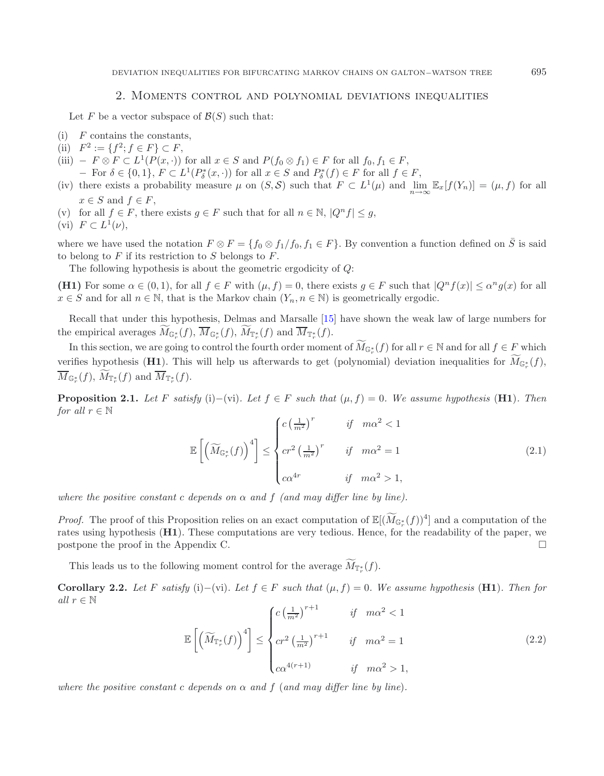## 2. Moments control and polynomial deviations inequalities

Let F be a vector subspace of  $\mathcal{B}(S)$  such that:

- <span id="page-6-0"></span> $(i)$  F contains the constants,
- (ii)  $F^2 := \{f^2; f \in F\} \subset F$ ,
- (iii)  $F \otimes F \subset L^1(P(x, \cdot))$  for all  $x \in S$  and  $P(f_0 \otimes f_1) \in F$  for all  $f_0, f_1 \in F$ ,
- $-$  For  $δ ∈ {0, 1}$ ,  $F ⊂ L<sup>1</sup>(P<sub>δ</sub><sup>*</sup>(x, ·))$  for all  $x ∈ S$  and  $P<sub>δ</sub><sup>*</sup>(f) ∈ F$  for all  $f ∈ F$ ,
- (iv) there exists a probability measure  $\mu$  on  $(S, \mathcal{S})$  such that  $F \subset L^1(\mu)$  and  $\lim_{\lambda \to \infty} \mathbb{E}_x[f(Y_n)] = (\mu, f)$  for all  $x \in S$  and  $f \in F$ ,
- (v) for all  $f \in F$ , there exists  $g \in F$  such that for all  $n \in \mathbb{N}$ ,  $|Q^n f| \leq g$ ,
- (vi)  $F \subset L^1(\nu)$ ,

<span id="page-6-2"></span>where we have used the notation  $F \otimes F = \{f_0 \otimes f_1/f_0, f_1 \in F\}$ . By convention a function defined on  $\overline{S}$  is said to belong to  $F$  if its restriction to  $S$  belongs to  $F$ .

The following hypothesis is about the geometric ergodicity of Q:

**(H1)** For some  $\alpha \in (0,1)$ , for all  $f \in F$  with  $(\mu, f) = 0$ , there exists  $g \in F$  such that  $|Q^n f(x)| \leq \alpha^n g(x)$  for all  $x \in S$  and for all  $n \in \mathbb{N}$ , that is the Markov chain  $(Y_n, n \in \mathbb{N})$  is geometrically ergodic.

Recall that under this hypothesis, Delmas and Marsalle [\[15\]](#page-35-0) have shown the weak law of large numbers for the empirical averages  $M_{\mathbb{G}_r^*}(f)$ ,  $M_{\mathbb{G}_r^*}(f)$ ,  $M_{\mathbb{T}_r^*}(f)$  and  $M_{\mathbb{T}_r^*}(f)$ .

In this section, we are going to control the fourth order moment of  $\widetilde{M}_{\mathbb{G}_r^*}(f)$  for all  $r \in \mathbb{N}$  and for all  $f \in F$  which verifies hypothesis (**H1**). This will help us afterwards to get (polynomial) deviation inequalities for  $M_{\mathbb{G}_r^*}(f)$ ,  $M_{\mathbb{G}_r^*}(f)$ ,  $M_{\mathbb{T}_r^*}(f)$  and  $M_{\mathbb{T}_r^*}(f)$ .

<span id="page-6-4"></span><span id="page-6-1"></span>**Proposition 2.1.** *Let* F *satisfy* (i)–(vi)*. Let*  $f \in F$  *such that* ( $\mu$ ,  $f$ ) = 0*. We assume hypothesis* (**H1**)*. Then for all*  $r \in \mathbb{N}$ 

$$
\mathbb{E}\left[\left(\widetilde{M}_{\mathbb{G}_{r}^{*}}(f)\right)^{4}\right] \leq \begin{cases} c\left(\frac{1}{m^{2}}\right)^{r} & \text{if } m\alpha^{2} < 1\\ cr^{2}\left(\frac{1}{m^{2}}\right)^{r} & \text{if } m\alpha^{2} = 1\\ c\alpha^{4r} & \text{if } m\alpha^{2} > 1, \end{cases}
$$
(2.1)

*where the positive constant* c *depends* on  $\alpha$  *and*  $f$  *(and may differ line by line).* 

*Proof.* The proof of this Proposition relies on an exact computation of  $\mathbb{E}[(\widetilde{M}_{\mathbb{G}_r^*}(f))^4]$  and a computation of the rates using hypothesis (**H1**). These computations are very tedious. Hence, for the readability of the paper, we postpone the proof in the Appendix C.  $\Box$ 

This leads us to the following moment control for the average  $M_{\mathbb{F}_r^*}(f)$ .

<span id="page-6-3"></span>**Corollary 2.2.** *Let* F *satisfy* (i)−(vi)*.* Let  $f \in F$  *such that*  $(\mu, f) = 0$ *. We assume hypothesis* (**H1**)*. Then for all*  $r \in \mathbb{N}$ 

$$
\mathbb{E}\left[\left(\widetilde{M}_{\mathbb{T}_{r}^*}(f)\right)^4\right] \leq \begin{cases} c\left(\frac{1}{m^2}\right)^{r+1} & \text{if } m\alpha^2 < 1\\ cr^2\left(\frac{1}{m^2}\right)^{r+1} & \text{if } m\alpha^2 = 1\\ c\alpha^{4(r+1)} & \text{if } m\alpha^2 > 1, \end{cases}
$$
(2.2)

*where the positive constant* c *depends* on  $\alpha$  *and*  $f$  (*and may differ line by line*).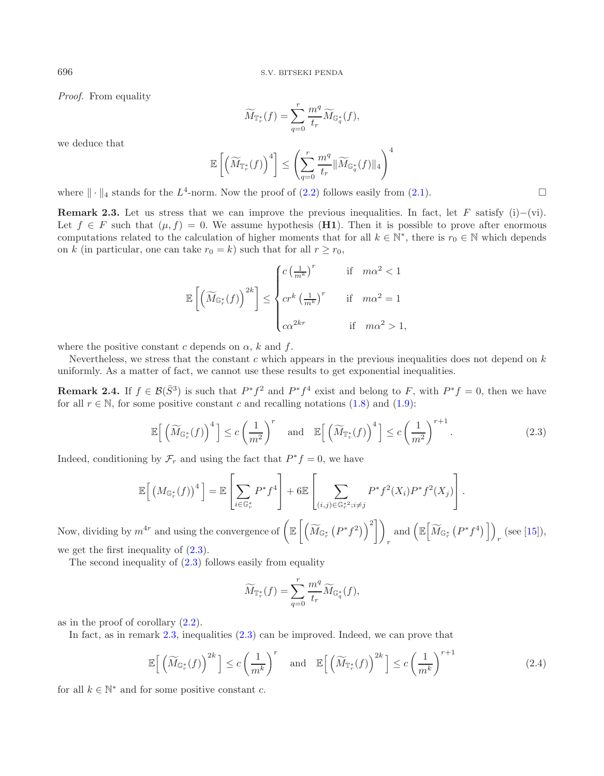*Proof.* From equality

$$
\widetilde{M}_{\mathbb{T}_r^*}(f) = \sum_{q=0}^r \frac{m^q}{t_r} \widetilde{M}_{\mathbb{G}_q^*}(f),
$$

we deduce that

$$
\mathbb{E}\left[\left(\widetilde{M}_{\mathbb{T}_r^*}(f)\right)^4\right] \le \left(\sum_{q=0}^r \frac{m^q}{t_r} \|\widetilde{M}_{\mathbb{G}_q^*}(f)\|_4\right)^4
$$

where  $\|\cdot\|_4$  stands for the  $L^4$ -norm. Now the proof of [\(2.2\)](#page-6-1) follows easily from [\(2.1\)](#page-6-2).

<span id="page-7-1"></span>**Remark 2.3.** Let us stress that we can improve the previous inequalities. In fact, let F satisfy (i)–(vi). Let  $f \in F$  such that  $(\mu, f) = 0$ . We assume hypothesis (**H1**). Then it is possible to prove after enormous computations related to the calculation of higher moments that for all  $k \in \mathbb{N}^*$ , there is  $r_0 \in \mathbb{N}$  which depends on k (in particular, one can take  $r_0 = k$ ) such that for all  $r \ge r_0$ ,

<span id="page-7-0"></span>
$$
\mathbb{E}\left[\left(\widetilde{M}_{\mathbb{G}_{r}^*}(f)\right)^{2k}\right] \leq \begin{cases} c\left(\frac{1}{m^k}\right)^r & \text{if } m\alpha^2 < 1 \\ & \text{if } m\alpha^2 = 1 \\ c\alpha^{2kr} & \text{if } m\alpha^2 > 1, \end{cases}
$$

where the positive constant c depends on  $\alpha$ , k and f.

Nevertheless, we stress that the constant c which appears in the previous inequalities does not depend on  $k$ uniformly. As a matter of fact, we cannot use these results to get exponential inequalities.

<span id="page-7-2"></span>**Remark 2.4.** If  $f \in \mathcal{B}(\bar{S}^3)$  is such that  $P^*f^2$  and  $P^*f^4$  exist and belong to F, with  $P^*f = 0$ , then we have for all  $r \in \mathbb{N}$ , for some positive constant c and recalling notations [\(1.8\)](#page-5-1) and [\(1.9\)](#page-5-0):

$$
\mathbb{E}\Big[\left(\widetilde{M}_{\mathbb{G}_r^*}(f)\right)^4\Big] \le c\left(\frac{1}{m^2}\right)^r \quad \text{and} \quad \mathbb{E}\Big[\left(\widetilde{M}_{\mathbb{T}_r^*}(f)\right)^4\Big] \le c\left(\frac{1}{m^2}\right)^{r+1}.\tag{2.3}
$$

Indeed, conditioning by  $\mathcal{F}_r$  and using the fact that  $P^*f = 0$ , we have

$$
\mathbb{E}\Big[\left(M_{\mathbb{G}_r^*}(f)\right)^4\Big] = \mathbb{E}\left[\sum_{i\in\mathbb{G}_r^*} P^* f^4\right] + 6 \mathbb{E}\left[\sum_{(i,j)\in\mathbb{G}_r^{*2}; i\neq j} P^* f^2(X_i) P^* f^2(X_j)\right].
$$

Now, dividing by  $m^{4r}$  and using the convergence of  $\left(\mathbb{E}\left[\left(\widetilde{M}_{\mathbb{G}_r^*}\left(P^*f^2\right)\right)^2\right]\right)$ r and  $\left(\mathbb{E}\left[\widetilde{M}_{\mathbb{G}_r^*}\left(P^*f^4\right)\right]\right)_r$  (see [\[15](#page-35-0)]), we get the first inequality of [\(2.3\)](#page-7-0).

The second inequality of [\(2.3\)](#page-7-0) follows easily from equality

$$
\widetilde{M}_{\mathbb{T}_r^*}(f) = \sum_{q=0}^r \frac{m^q}{t_r} \widetilde{M}_{\mathbb{G}_q^*}(f),
$$

as in the proof of corollary [\(2.2\)](#page-6-3).

In fact, as in remark [2.3,](#page-7-1) inequalities  $(2.3)$  can be improved. Indeed, we can prove that

$$
\mathbb{E}\Big[\left(\widetilde{M}_{\mathbb{G}_r^*}(f)\right)^{2k}\Big] \le c\left(\frac{1}{m^k}\right)^r \quad \text{and} \quad \mathbb{E}\Big[\left(\widetilde{M}_{\mathbb{T}_r^*}(f)\right)^{2k}\Big] \le c\left(\frac{1}{m^k}\right)^{r+1} \tag{2.4}
$$

for all  $k \in \mathbb{N}^*$  and for some positive constant c.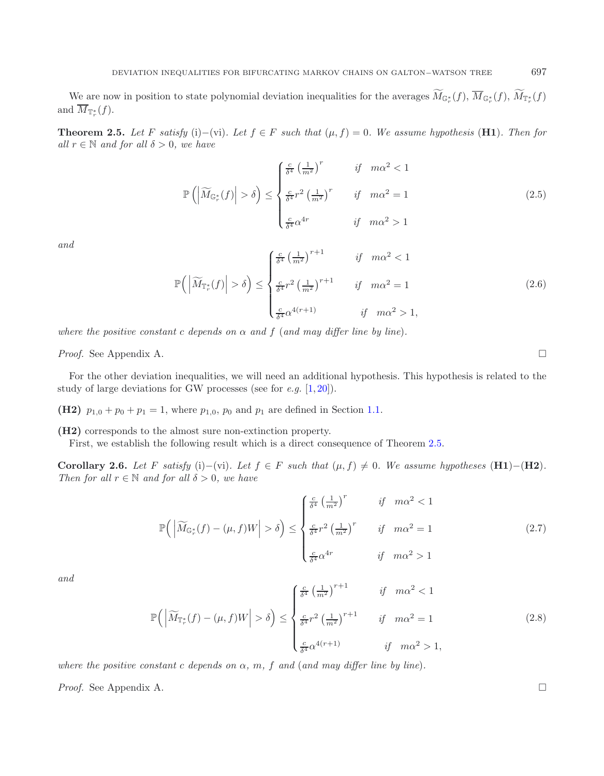<span id="page-8-3"></span><span id="page-8-2"></span>We are now in position to state polynomial deviation inequalities for the averages  $M_{\mathbb{G}_r^*}(f)$ ,  $M_{\mathbb{G}_r^*}(f)$ ,  $M_{\mathbb{F}_r^*}(f)$ and  $M_{\mathbb{T}_r^*}(f)$ .

<span id="page-8-0"></span>**Theorem 2.5.** *Let* F *satisfy* (i)−(vi)*. Let*  $f \in F$  *such that*  $(\mu, f) = 0$ *. We assume hypothesis* (**H1**)*. Then for all*  $r \in \mathbb{N}$  *and for all*  $\delta > 0$ *, we have* 

$$
\mathbb{P}\left(\left|\widetilde{M}_{\mathbb{G}_{r}^{*}}(f)\right| > \delta\right) \leq \begin{cases} \frac{c}{\delta^{4}} \left(\frac{1}{m^{2}}\right)^{r} & \text{if } m\alpha^{2} < 1\\ \frac{c}{\delta^{4}} r^{2} \left(\frac{1}{m^{2}}\right)^{r} & \text{if } m\alpha^{2} = 1\\ \frac{c}{\delta^{4}} \alpha^{4} & \text{if } m\alpha^{2} > 1 \end{cases}
$$
\n(2.5)

*and*

<span id="page-8-4"></span>
$$
\mathbb{P}\left(\left|\widetilde{M}_{\mathbb{T}_{r}^{*}}(f)\right| > \delta\right) \leq \begin{cases} \frac{c}{\delta^{4}} \left(\frac{1}{m^{2}}\right)^{r+1} & \text{if } m\alpha^{2} < 1\\ \frac{c}{\delta^{4}} r^{2} \left(\frac{1}{m^{2}}\right)^{r+1} & \text{if } m\alpha^{2} = 1\\ \frac{c}{\delta^{4}} \alpha^{4(r+1)} & \text{if } m\alpha^{2} > 1, \end{cases}
$$
\n
$$
(2.6)
$$

*where the positive constant* c *depends* on  $\alpha$  *and*  $f$  (*and may differ line by line*).

*Proof.* See Appendix A.

For the other deviation inequalities, we will need an additional hypothesis. This hypothesis is related to the study of large deviations for GW processes (see for *e.g.* [\[1,](#page-35-11) [20\]](#page-35-14)).

**(H2)**  $p_{1,0} + p_0 + p_1 = 1$ , where  $p_{1,0}$ ,  $p_0$  and  $p_1$  are defined in Section [1.1.](#page-1-1)

<span id="page-8-5"></span><span id="page-8-1"></span>**(H2)** corresponds to the almost sure non-extinction property.

First, we establish the following result which is a direct consequence of Theorem [2.5.](#page-8-0)

**Corollary 2.6.** *Let* F *satisfy* (i)−(vi)*. Let*  $f \in F$  *such that*  $(\mu, f) \neq 0$ *. We assume hypotheses* (**H1**)−(**H2**)*. Then for all*  $r \in \mathbb{N}$  *and for all*  $\delta > 0$ *, we have* 

$$
\mathbb{P}\left(\left|\widetilde{M}_{\mathbb{G}_r^*}(f) - (\mu, f)W\right| > \delta\right) \le \begin{cases} \frac{c}{\delta^4} \left(\frac{1}{m^2}\right)^r & \text{if } m\alpha^2 < 1\\ \frac{c}{\delta^4} r^2 \left(\frac{1}{m^2}\right)^r & \text{if } m\alpha^2 = 1\\ \frac{c}{\delta^4} \alpha^{4r} & \text{if } m\alpha^2 > 1 \end{cases}
$$
(2.7)

*and*

$$
\mathbb{P}\left(\left|\widetilde{M}_{\mathbb{T}_{r}^{*}}(f) - (\mu, f)W\right| > \delta\right) \leq \begin{cases} \frac{c}{\delta^{4}} \left(\frac{1}{m^{2}}\right)^{r+1} & \text{if } m\alpha^{2} < 1\\ \frac{c}{\delta^{4}} r^{2} \left(\frac{1}{m^{2}}\right)^{r+1} & \text{if } m\alpha^{2} = 1\\ \frac{c}{\delta^{4}} \alpha^{4(r+1)} & \text{if } m\alpha^{2} > 1, \end{cases}
$$
\n
$$
(2.8)
$$

*where the positive constant c depends on*  $\alpha$ *, m, f and (and may differ line by line).* 

*Proof.* See Appendix A. □

 $\Box$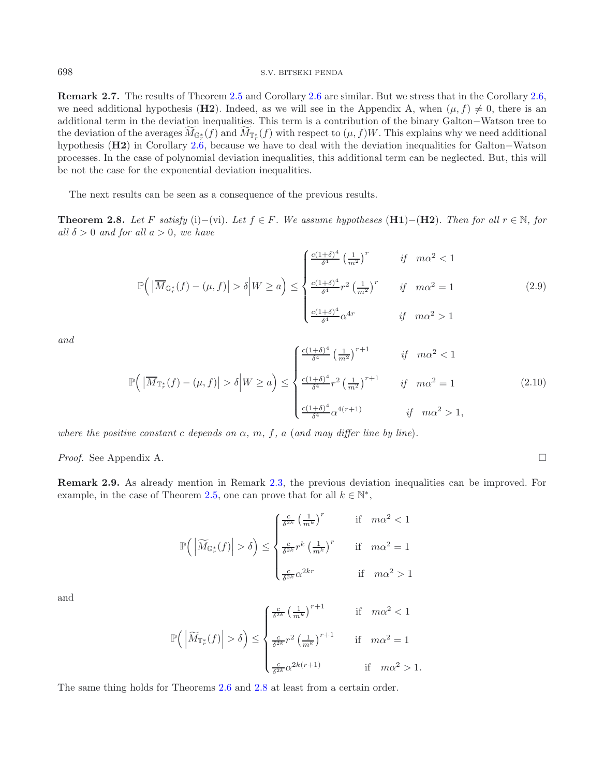#### <sup>698</sup> S.V. BITSEKI PENDA

**Remark 2.7.** The results of Theorem [2.5](#page-8-0) and Corollary [2.6](#page-8-1) are similar. But we stress that in the Corollary [2.6,](#page-8-1) we need additional hypothesis (**H2**). Indeed, as we will see in the Appendix A, when  $(\mu, f) \neq 0$ , there is an additional term in the deviation inequalities. This term is a contribution of the binary Galton−Watson tree to the deviation of the averages  $M_{\mathbb{G}_r^*}(f)$  and  $M_{\mathbb{F}_r^*}(f)$  with respect to  $(\mu, f)W$ . This explains why we need additional hypothesis (**H2**) in Corollary [2.6,](#page-8-1) because we have to deal with the deviation inequalities for Galton−Watson processes. In the case of polynomial deviation inequalities, this additional term can be neglected. But, this will be not the case for the exponential deviation inequalities.

The next results can be seen as a consequence of the previous results.

<span id="page-9-4"></span><span id="page-9-0"></span>**Theorem 2.8.** *Let* F *satisfy* (i)−(vi)*. Let*  $f \in F$ *. We assume hypotheses* (**H1**)−(**H2**)*. Then for all*  $r \in \mathbb{N}$ *, for all*  $\delta > 0$  *and for all*  $a > 0$ *, we have* 

$$
\mathbb{P}\left(\left|\overline{M}_{\mathbb{G}_r^*}(f) - (\mu, f)\right| > \delta \middle| W \ge a\right) \le \begin{cases} \frac{c(1+\delta)^4}{\delta^4} \left(\frac{1}{m^2}\right)^r & \text{if } m\alpha^2 < 1\\ \frac{c(1+\delta)^4}{\delta^4} r^2 \left(\frac{1}{m^2}\right)^r & \text{if } m\alpha^2 = 1\\ \frac{c(1+\delta)^4}{\delta^4} \alpha^{4r} & \text{if } m\alpha^2 > 1 \end{cases} \tag{2.9}
$$

*and*

$$
\mathbb{P}\left(\left|\overline{M}_{\mathbb{T}_{r}^{*}}(f) - (\mu, f)\right| > \delta \middle| W \geq a\right) \leq \begin{cases} \frac{c(1+\delta)^{4}}{\delta^{4}} \left(\frac{1}{m^{2}}\right)^{r+1} & \text{if } m\alpha^{2} < 1\\ \frac{c(1+\delta)^{4}}{\delta^{4}} r^{2} \left(\frac{1}{m^{2}}\right)^{r+1} & \text{if } m\alpha^{2} = 1\\ \frac{c(1+\delta)^{4}}{\delta^{4}} \alpha^{4(r+1)} & \text{if } m\alpha^{2} > 1, \end{cases}
$$
(2.10)

*where the positive constant* c *depends on*  $\alpha$ *, m, f, a (and may differ line by line).* 

*Proof.* See Appendix A. □

<span id="page-9-1"></span>**Remark 2.9.** As already mention in Remark [2.3,](#page-7-1) the previous deviation inequalities can be improved. For example, in the case of Theorem [2.5,](#page-8-0) one can prove that for all  $k \in \mathbb{N}^*$ ,

$$
\mathbb{P}\left(\left|\widetilde{M}_{\mathbb{G}_r^*}(f)\right| > \delta\right) \le \begin{cases} \frac{c}{\delta^{2k}} \left(\frac{1}{m^k}\right)^r & \text{if } m\alpha^2 < 1\\ \frac{c}{\delta^{2k}} r^k \left(\frac{1}{m^k}\right)^r & \text{if } m\alpha^2 = 1\\ \frac{c}{\delta^{2k}} \alpha^{2kr} & \text{if } m\alpha^2 > 1 \end{cases}
$$

and

$$
\mathbb{P}\left(\left|\widetilde{M}_{\mathbb{T}^*}(f)\right| > \delta\right) \le \begin{cases} \frac{c}{\delta^{2k}} \left(\frac{1}{m^k}\right)^{r+1} & \text{if } m\alpha^2 < 1\\ \frac{c}{\delta^{2k}} r^2 \left(\frac{1}{m^k}\right)^{r+1} & \text{if } m\alpha^2 = 1\\ \frac{c}{\delta^{2k}} \alpha^{2k(r+1)} & \text{if } m\alpha^2 > 1. \end{cases}
$$

<span id="page-9-2"></span>The same thing holds for Theorems [2.6](#page-8-1) and [2.8](#page-9-0) at least from a certain order.

<span id="page-9-3"></span>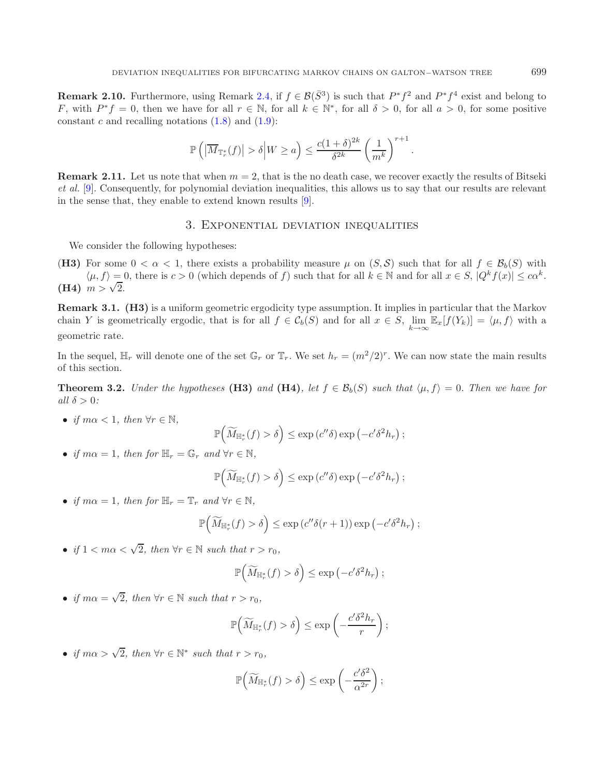**Remark 2.10.** Furthermore, using Remark [2.4,](#page-7-2) if  $f \in \mathcal{B}(\bar{S}^3)$  is such that  $P^*f^2$  and  $P^*f^4$  exist and belong to F, with  $P^* f = 0$ , then we have for all  $r \in \mathbb{N}$ , for all  $k \in \mathbb{N}^*$ , for all  $\delta > 0$ , for all  $a > 0$ , for some positive constant c and recalling notations  $(1.8)$  and  $(1.9)$ :

$$
\mathbb{P}\left(\left|\overline{M}_{\mathbb{T}_{r}^{*}}(f)\right| > \delta \middle| W \ge a\right) \le \frac{c(1+\delta)^{2k}}{\delta^{2k}} \left(\frac{1}{m^{k}}\right)^{r+1}
$$

.

<span id="page-10-0"></span>**Remark 2.11.** Let us note that when  $m = 2$ , that is the no death case, we recover exactly the results of Bitseki *et al.* [\[9\]](#page-35-10). Consequently, for polynomial deviation inequalities, this allows us to say that our results are relevant in the sense that, they enable to extend known results [\[9](#page-35-10)].

## 3. Exponential deviation inequalities

We consider the following hypotheses:

(**H3)** For some  $0 < \alpha < 1$ , there exists a probability measure  $\mu$  on  $(S, S)$  such that for all  $f \in \mathcal{B}_b(S)$  with  $\langle \mu, f \rangle = 0$ , there is  $c > 0$  (which depends of f) such that for all  $k \in \mathbb{N}$  and for all  $x \in S$ ,  $|Q^k f(x)| \leq c\alpha^k$ . **(H4)**  $m > \sqrt{2}$ .

**Remark 3.1. (H3)** is a uniform geometric ergodicity type assumption. It implies in particular that the Markov chain Y is geometrically ergodic, that is for all  $f \in C_b(S)$  and for all  $x \in S$ ,  $\lim_{k\to\infty} \mathbb{E}_x[f(Y_k)] = \langle \mu, f \rangle$  with a geometric rate.

<span id="page-10-1"></span>In the sequel,  $\mathbb{H}_r$  will denote one of the set  $\mathbb{G}_r$  or  $\mathbb{T}_r$ . We set  $h_r = (m^2/2)^r$ . We can now state the main results of this section.

**Theorem 3.2.** *Under the hypotheses* (**H3)** and (**H4)***, let*  $f \in \mathcal{B}_b(S)$  *such that*  $\langle \mu, f \rangle = 0$ *. Then we have for all*  $\delta > 0$ *:* 

• *if*  $m\alpha < 1$ *, then*  $\forall r \in \mathbb{N}$ *,* 

$$
\mathbb{P}\Big(\widetilde{M}_{\mathbb{H}_r^*}(f) > \delta\Big) \le \exp\left(c''\delta\right) \exp\left(-c'\delta^2 h_r\right);
$$

• *if*  $m\alpha = 1$ *, then for*  $\mathbb{H}_r = \mathbb{G}_r$  *and*  $\forall r \in \mathbb{N}$ *,* 

$$
\mathbb{P}\left(\widetilde{M}_{\mathbb{H}_r^*}(f) > \delta\right) \leq \exp\left(c''\delta\right) \exp\left(-c'\delta^2 h_r\right);
$$

• *if*  $m\alpha = 1$ *, then for*  $\mathbb{H}_r = \mathbb{T}_r$  *and*  $\forall r \in \mathbb{N}$ *,* 

$$
\mathbb{P}\left(\widetilde{M}_{\mathbb{H}_r^*}(f) > \delta\right) \leq \exp\left(c''\delta(r+1)\right) \exp\left(-c'\delta^2 h_r\right);
$$

• *if*  $1 < m\alpha < \sqrt{2}$ *, then*  $\forall r \in \mathbb{N}$  *such that*  $r > r_0$ *,* 

$$
\mathbb{P}\Big(\widetilde{M}_{\mathbb{H}_r^*}(f) > \delta\Big) \le \exp\left(-c'\delta^2 h_r\right);
$$

• *if*  $m\alpha = \sqrt{2}$ *, then*  $\forall r \in \mathbb{N}$  *such that*  $r > r_0$ *,* 

$$
\mathbb{P}\left(\widetilde{M}_{\mathbb{H}_r^*}(f) > \delta\right) \le \exp\left(-\frac{c'\delta^2 h_r}{r}\right);
$$

• *if*  $m\alpha > \sqrt{2}$ , then  $\forall r \in \mathbb{N}^*$  such that  $r > r_0$ ,

$$
\mathbb{P}\left(\widetilde{M}_{\mathbb{H}_r^*}(f) > \delta\right) \le \exp\left(-\frac{c'\delta^2}{\alpha^{2r}}\right);
$$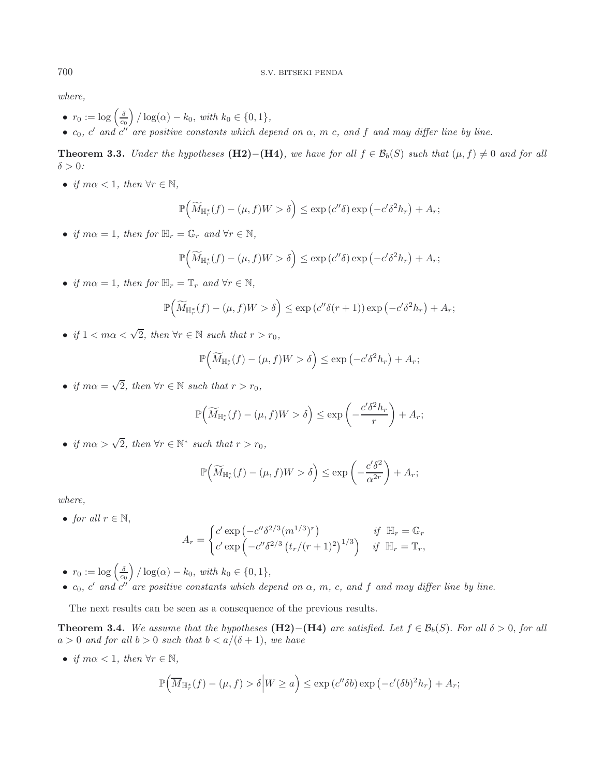*where,*

- $r_0 := \log\left(\frac{\delta}{c_0}\right) / \log(\alpha) k_0$ , with  $k_0 \in \{0, 1\}$ ,
- $c_0$ , c' and c'' are positive constants which depend on  $\alpha$ , m c, and f and may differ line by line.

<span id="page-11-0"></span>**Theorem 3.3.** *Under the hypotheses* **(H2)−**(**H4)***, we have for all*  $f \in \mathcal{B}_b(S)$  *such that*  $(\mu, f) \neq 0$  *and for all*  $\delta > 0$ :

• *if*  $m\alpha < 1$ *, then*  $\forall r \in \mathbb{N}$ *,* 

$$
\mathbb{P}\left(\widetilde{M}_{\mathbb{H}_r^*}(f) - (\mu, f)W > \delta\right) \le \exp\left(c''\delta\right) \exp\left(-c'\delta^2 h_r\right) + A_r;
$$

• *if*  $m\alpha = 1$ *, then for*  $\mathbb{H}_r = \mathbb{G}_r$  *and*  $\forall r \in \mathbb{N}$ *,* 

$$
\mathbb{P}\Big(\widetilde{M}_{\mathbb{H}_r^*}(f) - (\mu, f)W > \delta\Big) \le \exp\left(c''\delta\right) \exp\left(-c'\delta^2 h_r\right) + A_r;
$$

• *if*  $m\alpha = 1$ *, then for*  $\mathbb{H}_r = \mathbb{T}_r$  *and*  $\forall r \in \mathbb{N}$ *,* 

$$
\mathbb{P}\Big(\widetilde{M}_{\mathbb{H}_r^*}(f) - (\mu, f)W > \delta\Big) \le \exp\left(c''\delta(r+1)\right)\exp\left(-c'\delta^2 h_r\right) + A_r;
$$

• *if*  $1 < m\alpha < \sqrt{2}$ *, then*  $\forall r \in \mathbb{N}$  *such that*  $r > r_0$ *,* 

$$
\mathbb{P}\Big(\widetilde{M}_{\mathbb{H}_r^*}(f) - (\mu, f)W > \delta\Big) \le \exp\left(-c'\delta^2 h_r\right) + A_r;
$$

• *if*  $m\alpha = \sqrt{2}$ , then  $\forall r \in \mathbb{N}$  such that  $r > r_0$ .

$$
\mathbb{P}\Big(\widetilde{M}_{\mathbb{H}_r^*}(f) - (\mu, f)W > \delta\Big) \le \exp\left(-\frac{c'\delta^2 h_r}{r}\right) + A_r;
$$

• *if*  $m\alpha > \sqrt{2}$ , then  $\forall r \in \mathbb{N}^*$  such that  $r > r_0$ ,

<span id="page-11-1"></span>
$$
\mathbb{P}\left(\widetilde{M}_{\mathbb{H}_r^*}(f) - (\mu, f)W > \delta\right) \le \exp\left(-\frac{c'\delta^2}{\alpha^{2r}}\right) + A_r;
$$

*where,*

• *for all*  $r \in \mathbb{N}$ ,

$$
A_r = \begin{cases} c' \exp\left(-c''\delta^{2/3}(m^{1/3})^r\right) & \text{if } \mathbb{H}_r = \mathbb{G}_r\\ c' \exp\left(-c''\delta^{2/3}\left(t_r/(r+1)^2\right)^{1/3}\right) & \text{if } \mathbb{H}_r = \mathbb{T}_r, \end{cases}
$$

- $r_0 := \log\left(\frac{\delta}{c_0}\right) / \log(\alpha) k_0$ , with  $k_0 \in \{0, 1\}$ ,
- $c_0$ ,  $c'$  and  $c''$  are positive constants which depend on  $\alpha$ ,  $m$ ,  $c$ , and  $f$  and may differ line by line.

The next results can be seen as a consequence of the previous results.

**Theorem 3.4.** *We assume that the hypotheses* **(H2)−(H4)** *are satisfied. Let*  $f \in \mathcal{B}_b(S)$ *. For all*  $\delta > 0$ *, for all*  $a > 0$  *and for all*  $b > 0$  *such that*  $b < a/(\delta + 1)$ *, we have* 

• *if*  $m\alpha < 1$ *, then*  $\forall r \in \mathbb{N}$ *,* 

$$
\mathbb{P}\Big(\overline{M}_{\mathbb{H}_r^*}(f) - (\mu, f) > \delta \Big| W \ge a\Big) \le \exp\left(c''\delta b\right) \exp\left(-c'(\delta b)^2 h_r\right) + A_r;
$$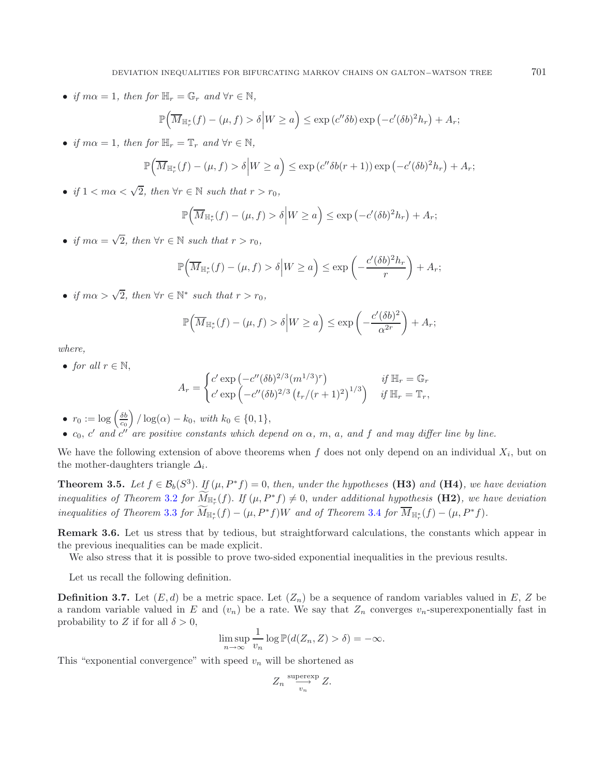• *if*  $m\alpha = 1$ *, then for*  $\mathbb{H}_r = \mathbb{G}_r$  *and*  $\forall r \in \mathbb{N}$ *,* 

$$
\mathbb{P}\Big(\overline{M}_{\mathbb{H}_r^*}(f) - (\mu, f) > \delta\Big|W \ge a\Big) \le \exp\left(c''\delta b\right) \exp\left(-c'(\delta b)^2 h_r\right) + A_r;
$$

• *if*  $m\alpha = 1$ *, then for*  $\mathbb{H}_r = \mathbb{T}_r$  *and*  $\forall r \in \mathbb{N}$ *,* 

$$
\mathbb{P}\Big(\overline{M}_{\mathbb{H}_r^*}(f) - (\mu, f) > \delta\Big|W \ge a\Big) \le \exp\left(c''\delta b(r+1)\right) \exp\left(-c'(\delta b)^2 h_r\right) + A_r;
$$

• *if*  $1 < m\alpha < \sqrt{2}$ , then  $\forall r \in \mathbb{N}$  such that  $r > r_0$ ,

$$
\mathbb{P}\Big(\overline{M}_{\mathbb{H}_r^*}(f) - (\mu, f) > \delta\Big|W \ge a\Big) \le \exp\left(-c'(\delta b)^2 h_r\right) + A_r;
$$

• *if*  $m\alpha = \sqrt{2}$ *, then*  $\forall r \in \mathbb{N}$  *such that*  $r > r_0$ *,* 

$$
\mathbb{P}\Big(\overline{M}_{\mathbb{H}_r^*}(f) - (\mu, f) > \delta \Big| W \ge a\Big) \le \exp\left(-\frac{c'(\delta b)^2 h_r}{r}\right) + A_r;
$$

• *if*  $m\alpha > \sqrt{2}$ *, then*  $\forall r \in \mathbb{N}^*$  *such that*  $r > r_0$ *,* 

$$
\mathbb{P}\Big(\overline{M}_{\mathbb{H}_r^*}(f) - (\mu, f) > \delta\Big|W \ge a\Big) \le \exp\left(-\frac{c'(\delta b)^2}{\alpha^{2r}}\right) + A_r;
$$

*where,*

• *for all*  $r \in \mathbb{N}$ ,

$$
A_r = \begin{cases} c' \exp\left(-c''(\delta b)^{2/3} (m^{1/3})^r\right) & \text{if } \mathbb{H}_r = \mathbb{G}_r\\ c' \exp\left(-c''(\delta b)^{2/3} (t_r/(r+1)^2)^{1/3}\right) & \text{if } \mathbb{H}_r = \mathbb{T}_r, \end{cases}
$$

- $r_0 := \log \left( \frac{\delta b}{c_0} \right) / \log(\alpha) k_0$ , with  $k_0 \in \{0, 1\}$ ,
- $c_0$ ,  $c'$  and  $c''$  are positive constants which depend on  $\alpha$ ,  $m$ ,  $a$ , and  $f$  and  $may$  differ line by line.

<span id="page-12-0"></span>We have the following extension of above theorems when  $f$  does not only depend on an individual  $X_i$ , but on the mother-daughters triangle  $\Delta_i$ .

**Theorem 3.5.** *Let*  $f \in \mathcal{B}_b(S^3)$ *. If*  $(\mu, P^*f) = 0$ *, then, under the hypotheses* (**H3)** *and* (**H4)***, we have deviation inequalities of Theorem* [3.2](#page-10-1) *for*  $M_{\mathbb{H}_{r}^{*}}(f)$ . *If*  $(\mu, P^{*}f) \neq 0$ *, under additional hypothesis* **(H2)***, we have deviation inequalities of Theorem* [3.3](#page-11-0) *for*  $\overline{M}_{\mathbb{H}_r^*}(f) - (\mu, P^*f)W$  *and of Theorem* [3.4](#page-11-1) *for*  $\overline{M}_{\mathbb{H}_r^*}(f) - (\mu, P^*f)$ *.* 

**Remark 3.6.** Let us stress that by tedious, but straightforward calculations, the constants which appear in the previous inequalities can be made explicit.

We also stress that it is possible to prove two-sided exponential inequalities in the previous results.

Let us recall the following definition.

**Definition 3.7.** Let  $(E, d)$  be a metric space. Let  $(Z_n)$  be a sequence of random variables valued in E, Z be a random variable valued in E and  $(v_n)$  be a rate. We say that  $Z_n$  converges  $v_n$ -superexponentially fast in probability to Z if for all  $\delta > 0$ ,

$$
\limsup_{n \to \infty} \frac{1}{v_n} \log \mathbb{P}(d(Z_n, Z) > \delta) = -\infty.
$$

This "exponential convergence" with speed  $v_n$  will be shortened as

$$
Z_n \stackrel{\text{superexp}}{\longrightarrow} Z.
$$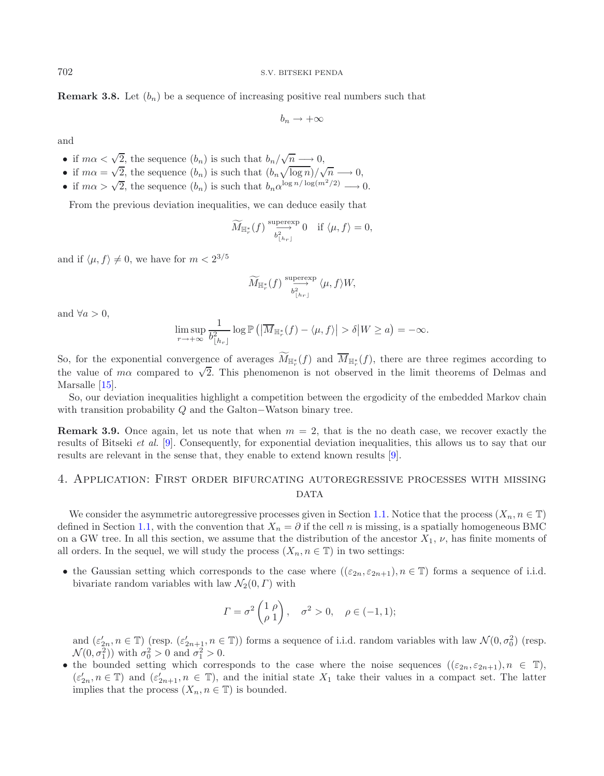**Remark 3.8.** Let  $(b_n)$  be a sequence of increasing positive real numbers such that

 $b_n \to +\infty$ 

and

- if  $m\alpha < \sqrt{2}$ , the sequence  $(b_n)$  is such that  $b_n/\sqrt{n} \longrightarrow 0$ ,
- if  $m\alpha < \sqrt{2}$ , the sequence  $(b_n)$  is such that  $(b_n\sqrt{\log n})/\sqrt{n} \longrightarrow 0$ ,
- if  $m\alpha > \sqrt{2}$ , the sequence  $(b_n)$  is such that  $b_n \alpha^{\log n / \log(m^2/2)} \longrightarrow 0$ .

From the previous deviation inequalities, we can deduce easily that

$$
\widetilde{M}_{\mathbb{H}_r^*}(f) \stackrel{\text{supersp}}{\longrightarrow} 0 \quad \text{if } \langle \mu, f \rangle = 0,
$$

and if  $\langle \mu, f \rangle \neq 0$ , we have for  $m < 2^{3/5}$ 

$$
\widetilde{M}_{\mathbb H_r^*}(f) \xrightarrow[b_{\lfloor h_r \rfloor}^{\text{supercxp}} \langle \mu, f \rangle W,
$$

and  $\forall a > 0$ ,

$$
\limsup_{r \to +\infty} \frac{1}{b_{\lfloor h_r \rfloor}^2} \log \mathbb{P}\left( \left| \overline{M}_{\mathbb{H}_r^*}(f) - \langle \mu, f \rangle \right| > \delta \middle| W \ge a \right) = -\infty.
$$

So, for the exponential convergence of averages  $M_{\mathbb{H}_r^*}(f)$  and  $M_{\mathbb{H}_r^*}(f)$ , there are three regimes according to the value of m $\alpha$  compared to  $\sqrt{2}$ . This phenomenon is not observed in the limit theorems of Delmas and Marsalle [\[15\]](#page-35-0).

So, our deviation inequalities highlight a competition between the ergodicity of the embedded Markov chain with transition probability Q and the Galton−Watson binary tree.

**Remark 3.9.** Once again, let us note that when  $m = 2$ , that is the no death case, we recover exactly the results of Bitseki *et al.* [\[9\]](#page-35-10). Consequently, for exponential deviation inequalities, this allows us to say that our results are relevant in the sense that, they enable to extend known results [\[9](#page-35-10)].

## <span id="page-13-0"></span>4. Application: First order bifurcating autoregressive processes with missing DATA

We consider the asymmetric autoregressive processes given in Section [1.1.](#page-1-1) Notice that the process  $(X_n, n \in \mathbb{T})$ defined in Section [1.1,](#page-1-1) with the convention that  $X_n = \partial$  if the cell n is missing, is a spatially homogeneous BMC on a GW tree. In all this section, we assume that the distribution of the ancestor  $X_1$ ,  $\nu$ , has finite moments of all orders. In the sequel, we will study the process  $(X_n, n \in \mathbb{T})$  in two settings:

• the Gaussian setting which corresponds to the case where  $((\varepsilon_{2n}, \varepsilon_{2n+1}), n \in \mathbb{T})$  forms a sequence of i.i.d. bivariate random variables with law  $\mathcal{N}_2(0, \Gamma)$  with

$$
\Gamma = \sigma^2 \begin{pmatrix} 1 & \rho \\ \rho & 1 \end{pmatrix}, \quad \sigma^2 > 0, \quad \rho \in (-1, 1);
$$

and  $(\varepsilon'_{2n}, n \in \mathbb{T})$  (resp.  $(\varepsilon'_{2n+1}, n \in \mathbb{T})$ ) forms a sequence of i.i.d. random variables with law  $\mathcal{N}(0, \sigma_0^2)$  (resp.  $\mathcal{N}(0, \sigma_0^2)$ ) with  $\sigma^2 > 0$  and  $\sigma^2 > 0$ .  $\mathcal{N}(0, \sigma_1^2)$  with  $\sigma_0^2 > 0$  and  $\sigma_1^2 > 0$ .

• the bounded setting which corresponds to the case where the noise sequences  $((\varepsilon_{2n}, \varepsilon_{2n+1}), n \in \mathbb{T})$ ,  $(\epsilon'_{2n}, n \in \mathbb{T})$  and  $(\epsilon'_{2n+1}, n \in \mathbb{T})$ , and the initial state  $X_1$  take their values in a compact set. The latter included implies that the process  $(X_n, n \in \mathbb{T})$  is bounded.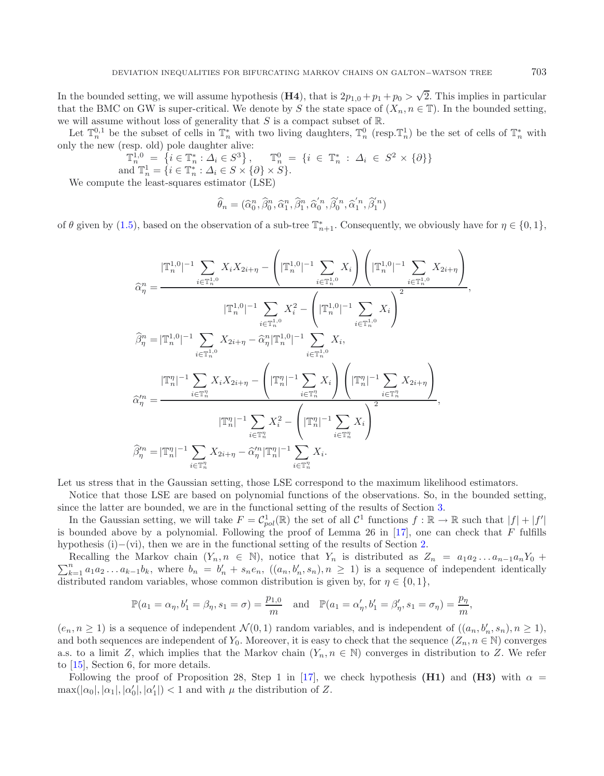In the bounded setting, we will assume hypothesis (**H4**), that is  $2p_{1,0} + p_1 + p_0 > \sqrt{2}$ . This implies in particular that the BMC on GW is super-critical. We denote by S the state space of  $(X_n, n \in \mathbb{T})$ . In the bounded setting, we will assume without loss of generality that  $S$  is a compact subset of  $\mathbb{R}$ .

Let  $\mathbb{T}_n^{0,1}$  be the subset of cells in  $\mathbb{T}_n^*$  with two living daughters,  $\mathbb{T}_n^0$  (resp.  $\mathbb{T}_n^1$ ) be the set of cells of  $\mathbb{T}_n^*$  with only the new (resp. old) pole daughter alive:

$$
\mathbb{T}_{n}^{1,0} = \{i \in \mathbb{T}_{n}^{*} : \Delta_{i} \in S^{3}\}, \mathbb{T}_{n}^{0} = \{i \in \mathbb{T}_{n}^{*} : \Delta_{i} \in S^{2} \times \{\partial\}\}\
$$
  
and 
$$
\mathbb{T}_{n}^{1} = \{i \in \mathbb{T}_{n}^{*} : \Delta_{i} \in S \times \{\partial\} \times S\}.
$$

We compute the least-squares estimator (LSE)

$$
\widehat{\theta}_n = (\widehat{\alpha}_0^n, \widehat{\beta}_0^n, \widehat{\alpha}_1^n, \widehat{\beta}_1^n, \widehat{\alpha}_0'^n, \widehat{\beta}_0'^n, \widehat{\alpha}_1'^n, \widehat{\beta}_1'^n)
$$

of  $\theta$  given by [\(1.5\)](#page-3-1), based on the observation of a sub-tree  $\mathbb{T}_{n+1}^*$ . Consequently, we obviously have for  $\eta \in \{0,1\}$ ,

$$
\widehat{\alpha}_{\eta}^{n} = \frac{|\mathbb{T}_{n}^{1,0}|^{-1} \sum_{i \in \mathbb{T}_{n}^{1,0}} X_{i} X_{2i+\eta} - (|\mathbb{T}_{n}^{1,0}|^{-1} \sum_{i \in \mathbb{T}_{n}^{1,0}} X_{i}) (|\mathbb{T}_{n}^{1,0}|^{-1} \sum_{i \in \mathbb{T}_{n}^{1,0}} X_{2i+\eta})}{|\mathbb{T}_{n}^{1,0}|^{-1} \sum_{i \in \mathbb{T}_{n}^{1,0}} X_{i}^{2} - (|\mathbb{T}_{n}^{1,0}|^{-1} \sum_{i \in \mathbb{T}_{n}^{1,0}} X_{i})^{2} \overline{\beta}_{\eta}^{n} = |\mathbb{T}_{n}^{1,0}|^{-1} \sum_{i \in \mathbb{T}_{n}^{1,0}} X_{2i+\eta} - \widehat{\alpha}_{\eta}^{n} |\mathbb{T}_{n}^{1,0}|^{-1} \sum_{i \in \mathbb{T}_{n}^{1,0}} X_{i},
$$

$$
\widehat{\alpha}_{\eta}^{n} = \frac{|\mathbb{T}_{n}^{n}|^{-1} \sum_{i \in \mathbb{T}_{n}^{n}} X_{i} X_{2i+\eta} - (|\mathbb{T}_{n}^{\eta}|^{-1} \sum_{i \in \mathbb{T}_{n}^{1}} X_{i}) (|\mathbb{T}_{n}^{\eta}|^{-1} \sum_{i \in \mathbb{T}_{n}^{n}} X_{2i+\eta})}{\widehat{\alpha}_{\eta}^{n} = \frac{|\mathbb{T}_{n}^{\eta}|^{-1} \sum_{i \in \mathbb{T}_{n}^{n}} X_{i}^{2} - (|\mathbb{T}_{n}^{\eta}|^{-1} \sum_{i \in \mathbb{T}_{n}^{n}} X_{i})}{|\mathbb{T}_{n}^{\eta}|^{-1} \sum_{i \in \mathbb{T}_{n}^{n}} X_{i}^{2} - (|\mathbb{T}_{n}^{\eta}|^{-1} \sum_{i \in \mathbb{T}_{n}^{n}} X_{i})}
$$

$$
\widehat{\beta}_{\eta}^{n} = |\mathbb{T}_{n}^{\eta}|^{-1} \sum_{i \in \mathbb{T}_{n}^{n}} X_{2i+\eta} - \widehat{\alpha}_{\eta}^{n} |\mathbb{T}_{n}^{\eta}|^{-1} \sum_{i \in \mathbb{T}_{n}^{n}} X_{i}.
$$

Let us stress that in the Gaussian setting, those LSE correspond to the maximum likelihood estimators.

Notice that those LSE are based on polynomial functions of the observations. So, in the bounded setting, since the latter are bounded, we are in the functional setting of the results of Section [3.](#page-10-0)

In the Gaussian setting, we will take  $F = C_{pol}^1(\mathbb{R})$  the set of all  $C^1$  functions  $f : \mathbb{R} \to \mathbb{R}$  such that  $|f| + |f'|$ is bounded above by a polynomial. Following the proof of Lemma 26 in  $[17]$  $[17]$ , one can check that F fulfills hypothesis (i)−(vi), then we are in the functional setting of the results of Section [2.](#page-6-0)

 $\sum_{k=1}^{n} a_1 a_2 \dots a_{k-1} b_k$ , where  $b_n = b'_n + s_n e_n$ ,  $((a_n, b'_n, s_n), n \ge 1)$  is a sequence of independent identically distributed random variables whose common distribution is given by for  $n \in \{0, 1\}$ . Recalling the Markov chain  $(Y_n, n \in \mathbb{N})$ , notice that  $Y_n$  is distributed as  $Z_n = a_1 a_2 ... a_{n-1} a_n Y_0 +$ distributed random variables, whose common distribution is given by, for  $\eta \in \{0, 1\}$ ,

$$
\mathbb{P}(a_1 = \alpha_{\eta}, b'_1 = \beta_{\eta}, s_1 = \sigma) = \frac{p_{1,0}}{m}
$$
 and  $\mathbb{P}(a_1 = \alpha'_{\eta}, b'_1 = \beta'_{\eta}, s_1 = \sigma_{\eta}) = \frac{p_{\eta}}{m}$ ,

 $(e_n, n \ge 1)$  is a sequence of independent  $\mathcal{N}(0, 1)$  random variables, and is independent of  $((a_n, b'_n, s_n), n \ge 1)$ , and both sequences are independent of  $Y_0$ . Moreover, it is easy to check that the sequence  $(Z_n, n \in \mathbb{N})$  converges a.s. to a limit Z, which implies that the Markov chain  $(Y_n, n \in \mathbb{N})$  converges in distribution to Z. We refer to [\[15\]](#page-35-0), Section 6, for more details.

Following the proof of Proposition 28, Step 1 in [\[17\]](#page-35-3), we check hypothesis **(H1)** and **(H3)** with  $\alpha$  =  $\max(|\alpha_0|, |\alpha_1|, |\alpha_0'|, |\alpha_1'|) < 1$  and with  $\mu$  the distribution of Z.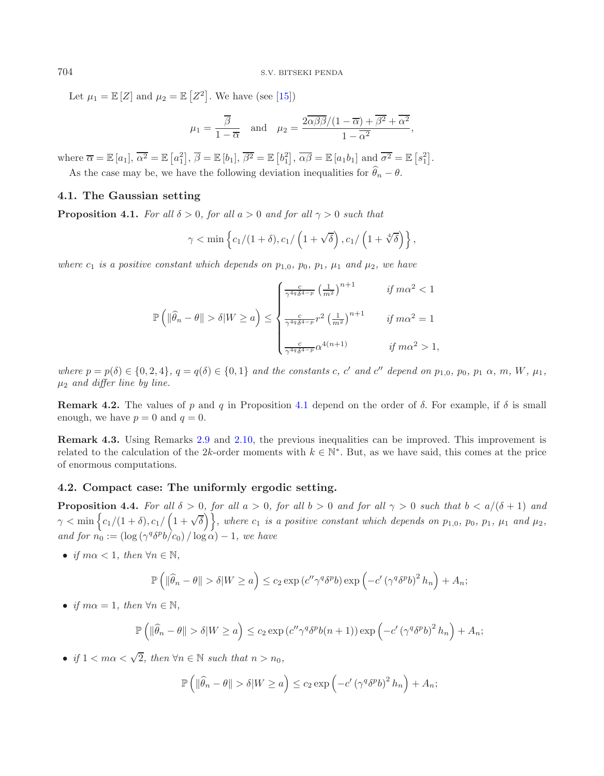Let  $\mu_1 = \mathbb{E}[Z]$  and  $\mu_2 = \mathbb{E}[Z^2]$ . We have (see [\[15](#page-35-0)])

$$
\mu_1 = \frac{\overline{\beta}}{1 - \overline{\alpha}}
$$
 and  $\mu_2 = \frac{2\overline{\alpha\beta\beta}/(1 - \overline{\alpha}) + \overline{\beta^2} + \overline{\alpha^2}}{1 - \overline{\alpha^2}}$ ,

where  $\overline{\alpha} = \mathbb{E}[a_1], \overline{\alpha^2} = \mathbb{E}[a_1^2], \overline{\beta} = \mathbb{E}[b_1], \overline{\beta^2} = \mathbb{E}[b_1^2], \overline{\alpha\beta} = \mathbb{E}[a_1b_1]$  and  $\overline{\sigma^2} = \mathbb{E}[s_1^2].$ As the case may be, we have the following deviation inequalities for  $\widehat{\theta}_n - \theta$ .

#### <span id="page-15-2"></span><span id="page-15-0"></span>**4.1. The Gaussian setting**

**Proposition 4.1.** *For all*  $\delta > 0$ *, for all*  $a > 0$  *and for all*  $\gamma > 0$  *such that* 

$$
\gamma < \min\left\{c_1/(1+\delta), c_1/\left(1+\sqrt{\delta}\right), c_1/\left(1+\sqrt[4]{\delta}\right)\right\},\
$$

*where*  $c_1$  *is a positive constant which depends on*  $p_{1,0}$ ,  $p_0$ ,  $p_1$ ,  $\mu_1$  *and*  $\mu_2$ *, we have* 

$$
\mathbb{P}\left(\|\widehat{\theta}_n - \theta\| > \delta |W \ge a\right) \le \begin{cases} \frac{c}{\gamma^{4q}\delta^{4-p}} \left(\frac{1}{m^2}\right)^{n+1} & \text{if } m\alpha^2 < 1\\ \frac{c}{\gamma^{4q}\delta^{4-p}} r^2 \left(\frac{1}{m^2}\right)^{n+1} & \text{if } m\alpha^2 = 1\\ \frac{c}{\gamma^{4q}\delta^{4-p}} \alpha^{4(n+1)} & \text{if } m\alpha^2 > 1, \end{cases}
$$

*where*  $p = p(\delta) \in \{0, 2, 4\}$ ,  $q = q(\delta) \in \{0, 1\}$  *and the constants* c, c' *and* c'' depend on  $p_{1,0}, p_0, p_1 \alpha, m, W, \mu_1$ , <sup>μ</sup>2 *and differ line by line.*

**Remark 4.2.** The values of p and q in Proposition [4.1](#page-15-0) depend on the order of  $\delta$ . For example, if  $\delta$  is small enough, we have  $p = 0$  and  $q = 0$ .

**Remark 4.3.** Using Remarks [2.9](#page-9-1) and [2.10,](#page-9-2) the previous inequalities can be improved. This improvement is related to the calculation of the 2k-order moments with  $k \in \mathbb{N}^*$ . But, as we have said, this comes at the price of enormous computations.

#### <span id="page-15-1"></span>**4.2. Compact case: The uniformly ergodic setting.**

**Proposition 4.4.** For all  $\delta > 0$ , for all  $a > 0$ , for all  $b > 0$  and for all  $\gamma > 0$  such that  $b < a/(\delta + 1)$  and  $\gamma < \min \Big\{ c_1/(1+\delta), c_1/\Big(1+\sqrt{\delta}\Big) \Big\}$ , where  $c_1$  is a positive constant which depends on  $p_{1,0}, p_0, p_1, \mu_1$  and  $\mu_2, \mu_3$ *and for*  $n_0 := (\log(\gamma^q \delta^p b/c_0) / \log \alpha) - 1$ *, we have* 

• *if*  $m\alpha < 1$ *, then*  $\forall n \in \mathbb{N}$ *,* 

$$
\mathbb{P}\left(\|\widehat{\theta}_n - \theta\| > \delta |W \ge a\right) \le c_2 \exp\left(c''\gamma^q \delta^p b\right) \exp\left(-c' \left(\gamma^q \delta^p b\right)^2 h_n\right) + A_n;
$$

• *if*  $m\alpha = 1$ *, then*  $\forall n \in \mathbb{N}$ *,* 

$$
\mathbb{P}\left(\left\|\widehat{\theta}_{n}-\theta\right\| > \delta\right|W \geq a\right) \leq c_{2} \exp\left(c''\gamma^{q} \delta^{p} b(n+1)\right) \exp\left(-c' \left(\gamma^{q} \delta^{p} b\right)^{2} h_{n}\right) + A_{n};
$$

• *if*  $1 < m\alpha < \sqrt{2}$ , then  $\forall n \in \mathbb{N}$  such that  $n > n_0$ ,

$$
\mathbb{P}\left(\left\|\widehat{\theta}_n-\theta\right\|>\delta\middle|W\geq a\right)\leq c_2\exp\left(-c'\left(\gamma^q\delta^p b\right)^2 h_n\right)+A_n;
$$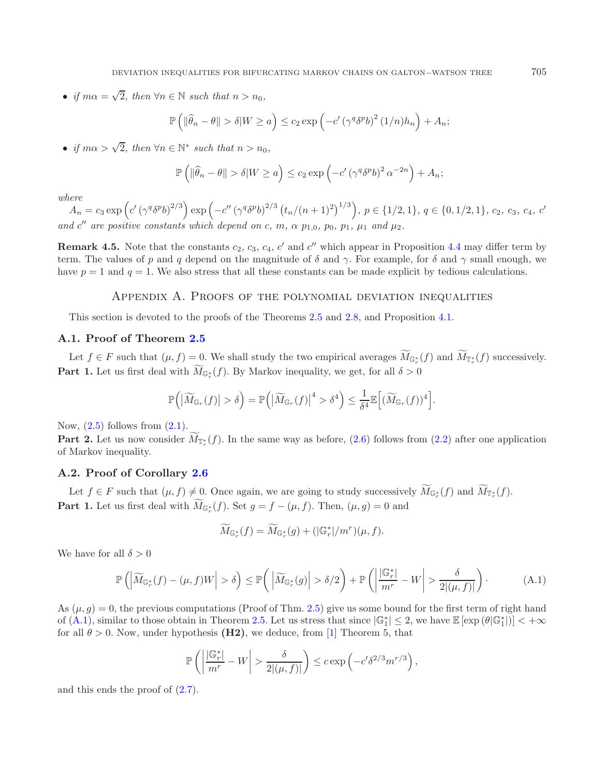• *if*  $m\alpha = \sqrt{2}$ *, then*  $\forall n \in \mathbb{N}$  *such that*  $n > n_0$ *,* 

$$
\mathbb{P}\left(\|\widehat{\theta}_n - \theta\| > \delta |W \ge a\right) \le c_2 \exp\left(-c' \left(\gamma^q \delta^p b\right)^2 (1/n)h_n\right) + A_n;
$$

• *if*  $m\alpha > \sqrt{2}$ , then  $\forall n \in \mathbb{N}^*$  such that  $n > n_0$ ,

$$
\mathbb{P}\left(\left\|\widehat{\theta}_n - \theta\right\| > \delta | W \ge a\right) \le c_2 \exp\left(-c' \left(\gamma^q \delta^p b\right)^2 \alpha^{-2n}\right) + A_n;
$$

*where*

 $A_n = c_3 \exp\left(c'(\gamma^q \delta^p b)^{2/3}\right) \exp\left(-c''(\gamma^q \delta^p b)^{2/3} (t_n/(n+1)^2)^{1/3}\right), p \in \{1/2, 1\}, q \in \{0, 1/2, 1\}, c_2, c_3, c_4, c_5, c_6, c_7, c_8, c_8, c_9, c_{10}, c_{11}, c_{12}, c_{13}, c_{14}, c_{15}, c_{16}, c_{17}, c_{18}, c_{19}, c_{10}, c_{11}, c_{12}, c_{13}, c_{14}, c_{15}, c_{16}, c_{$ and  $c''$  are positive constants which depend on c, m,  $\alpha$   $p_{1,0}$ ,  $p_0$ ,  $p_1$ ,  $\mu_1$  and  $\mu_2$ .

**Remark 4.5.** Note that the constants  $c_2$ ,  $c_3$ ,  $c_4$ ,  $c'$  and  $c''$  which appear in Proposition [4.4](#page-15-1) may differ term by term. The values of p and q depend on the magnitude of  $\delta$  and  $\gamma$ . For example, for  $\delta$  and  $\gamma$  small enough, we have  $p = 1$  and  $q = 1$ . We also stress that all these constants can be made explicit by tedious calculations.

#### Appendix A. Proofs of the polynomial deviation inequalities

This section is devoted to the proofs of the Theorems [2.5](#page-8-0) and [2.8,](#page-9-0) and Proposition [4.1.](#page-15-2)

#### **A.1. Proof of Theorem [2.5](#page-8-0)**

Let  $f \in F$  such that  $(\mu, f) = 0$ . We shall study the two empirical averages  $M_{\mathbb{G}_r^*}(f)$  and  $M_{\mathbb{F}_r^*}(f)$  successively. **Part 1.** Let us first deal with  $M_{\mathbb{G}_r^*}(f)$ . By Markov inequality, we get, for all  $\delta > 0$ 

$$
\mathbb{P}\Big(\big|\widetilde{M}_{\mathbb{G}_r}(f)\big| > \delta\Big) = \mathbb{P}\Big(\big|\widetilde{M}_{\mathbb{G}_r}(f)\big|^4 > \delta^4\Big) \le \frac{1}{\delta^4} \mathbb{E}\Big[\widetilde{(M}_{\mathbb{G}_r}(f))^4\Big].
$$

<span id="page-16-0"></span>Now,  $(2.5)$  follows from  $(2.1)$ .

**Part 2.** Let us now consider  $M_{\mathbb{T}_r^*}(f)$ . In the same way as before,  $(2.6)$  follows from  $(2.2)$  after one application of Markov inequality.

#### **A.2. Proof of Corollary [2.6](#page-8-1)**

Let  $f \in F$  such that  $(\mu, f) \neq 0$ . Once again, we are going to study successively  $M_{\mathbb{G}_r^*}(f)$  and  $M_{\mathbb{T}_r^*}(f)$ . **Part 1.** Let us first deal with  $M_{\mathbb{G}_r^*}(f)$ . Set  $g = f - (\mu, f)$ . Then,  $(\mu, g) = 0$  and

$$
\widetilde{M}_{\mathbb{G}_r^*}(f) = \widetilde{M}_{\mathbb{G}_r^*}(g) + (|\mathbb{G}_r^*|/m^r)(\mu, f).
$$

We have for all  $\delta > 0$ 

$$
\mathbb{P}\left(\left|\widetilde{M}_{\mathbb{G}_r^*}(f) - (\mu, f)W\right| > \delta\right) \le \mathbb{P}\left(\left|\widetilde{M}_{\mathbb{G}_r^*}(g)\right| > \delta/2\right) + \mathbb{P}\left(\left|\frac{|\mathbb{G}_r^*|}{m^r} - W\right| > \frac{\delta}{2|(\mu, f)|}\right). \tag{A.1}
$$

As  $(\mu, g) = 0$ , the previous computations (Proof of Thm. [2.5\)](#page-8-0) give us some bound for the first term of right hand of [\(A.1\)](#page-16-0), similar to those obtain in Theorem [2.5.](#page-8-0) Let us stress that since  $|\mathbb{G}_1^*| \leq 2$ , we have  $\mathbb{E} [\exp (\theta | \mathbb{G}_1^* |)] < +\infty$ <br>for all  $\theta > 0$ . Now, under hypothosis (H2), we deduce from [1] Theorem 5, that for all  $\theta > 0$ . Now, under hypothesis **(H2)**, we deduce, from [\[1\]](#page-35-11) Theorem 5, that

$$
\mathbb{P}\left(\left|\frac{|\mathbb{G}_r^*|}{m^r} - W\right| > \frac{\delta}{2|(\mu, f)|}\right) \leq c \exp\left(-c'\delta^{2/3}m^{r/3}\right),
$$

and this ends the proof of [\(2.7\)](#page-8-4).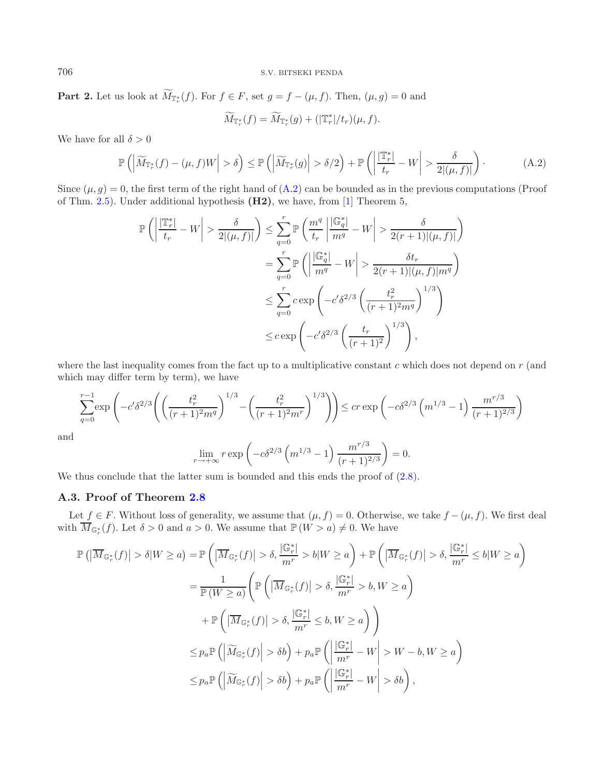**Part 2.** Let us look at  $M_{\mathbb{T}_{r}^{*}}(f)$ . For  $f \in F$ , set  $g = f - (\mu, f)$ . Then,  $(\mu, g) = 0$  and

$$
\widetilde{M}_{\mathbb{T}_r^*}(f) = \widetilde{M}_{\mathbb{T}_r^*}(g) + (|\mathbb{T}_r^*|/t_r)(\mu, f).
$$

We have for all  $\delta > 0$ 

$$
\mathbb{P}\left(\left|\widetilde{M}_{\mathbb{T}_{r}^{*}}(f) - (\mu, f)W\right| > \delta\right) \leq \mathbb{P}\left(\left|\widetilde{M}_{\mathbb{T}_{r}^{*}}(g)\right| > \delta/2\right) + \mathbb{P}\left(\left|\frac{\mathbb{T}_{r}^{*}}{t_{r}} - W\right| > \frac{\delta}{2|(\mu, f)|}\right). \tag{A.2}
$$

Since  $(\mu, g) = 0$ , the first term of the right hand of  $(A.2)$  can be bounded as in the previous computations (Proof of Thm. [2.5\)](#page-8-0). Under additional hypothesis **(H2)**, we have, from [\[1\]](#page-35-11) Theorem 5,

$$
\mathbb{P}\left(\left|\frac{|\mathbb{T}_{r}^{*}|}{t_{r}}-W\right|>\frac{\delta}{2|(\mu,f)|}\right) \leq \sum_{q=0}^{r} \mathbb{P}\left(\frac{m^{q}}{t_{r}}\left|\frac{|\mathbb{G}_{q}^{*}|}{m^{q}}-W\right|>\frac{\delta}{2(r+1)|(\mu,f)|}\right)
$$

$$
=\sum_{q=0}^{r} \mathbb{P}\left(\left|\frac{|\mathbb{G}_{q}^{*}|}{m^{q}}-W\right|>\frac{\delta t_{r}}{2(r+1)|(\mu,f)|m^{q}}\right)
$$

$$
\leq \sum_{q=0}^{r} c \exp\left(-c'\delta^{2/3}\left(\frac{t_{r}^{2}}{(r+1)^{2}m^{q}}\right)^{1/3}\right)
$$

$$
\leq c \exp\left(-c'\delta^{2/3}\left(\frac{t_{r}}{(r+1)^{2}}\right)^{1/3}\right),
$$

where the last inequality comes from the fact up to a multiplicative constant  $c$  which does not depend on  $r$  (and which may differ term by term), we have

$$
\sum_{q=0}^{r-1} \exp\left(-c'\delta^{2/3}\left(\left(\frac{t_r^2}{(r+1)^2m^q}\right)^{1/3} - \left(\frac{t_r^2}{(r+1)^2m^r}\right)^{1/3}\right)\right) \le cr \exp\left(-c\delta^{2/3}\left(m^{1/3} - 1\right)\frac{m^{r/3}}{(r+1)^{2/3}}\right)
$$
  
 
$$
\lim_{r \to \infty} r \exp\left(-c\delta^{2/3}\left(m^{1/3} - 1\right)\frac{m^{r/3}}{(r+1)^{2/3}}\right) = 0.
$$

and

$$
\lim_{r \to +\infty} r \exp\left(-c\delta^{2/3} \left(m^{1/3} - 1\right) \frac{m^{r/3}}{(r+1)^{2/3}}\right) = 0.
$$

We thus conclude that the latter sum is bounded and this ends the proof of  $(2.8)$ .

## **A.3. Proof of Theorem [2.8](#page-9-0)**

Let  $f \in F$ . Without loss of generality, we assume that  $(\mu, f) = 0$ . Otherwise, we take  $f - (\mu, f)$ . We first deal with  $\overline{M}_{\mathbb{G}_r^*}(f)$ . Let  $\delta > 0$  and  $a > 0$ . We assume that  $\mathbb{P}(W > a) \neq 0$ . We have

$$
\mathbb{P}\left(\left|\overline{M}_{\mathbb{G}_r^*}(f)\right| > \delta |W \ge a\right) = \mathbb{P}\left(\left|\overline{M}_{\mathbb{G}_r^*}(f)\right| > \delta, \frac{|\mathbb{G}_r^*|}{m^r} > b |W \ge a\right) + \mathbb{P}\left(\left|\overline{M}_{\mathbb{G}_r^*}(f)\right| > \delta, \frac{|\mathbb{G}_r^*|}{m^r} \le b |W \ge a\right)
$$

$$
= \frac{1}{\mathbb{P}\left(W \ge a\right)} \left(\mathbb{P}\left(\left|\overline{M}_{\mathbb{G}_r^*}(f)\right| > \delta, \frac{|\mathbb{G}_r^*|}{m^r} > b, W \ge a\right)\right)
$$

$$
+ \mathbb{P}\left(\left|\overline{M}_{\mathbb{G}_r^*}(f)\right| > \delta, \frac{|\mathbb{G}_r^*|}{m^r} \le b, W \ge a\right)\right)
$$

$$
\le p_a \mathbb{P}\left(\left|\widetilde{M}_{\mathbb{G}_r^*}(f)\right| > \delta b\right) + p_a \mathbb{P}\left(\left|\frac{|\mathbb{G}_r^*|}{m^r} - W\right| > W - b, W \ge a\right)
$$

$$
\le p_a \mathbb{P}\left(\left|\widetilde{M}_{\mathbb{G}_r^*}(f)\right| > \delta b\right) + p_a \mathbb{P}\left(\left|\frac{|\mathbb{G}_r^*|}{m^r} - W\right| > b b\right),
$$

<span id="page-17-0"></span>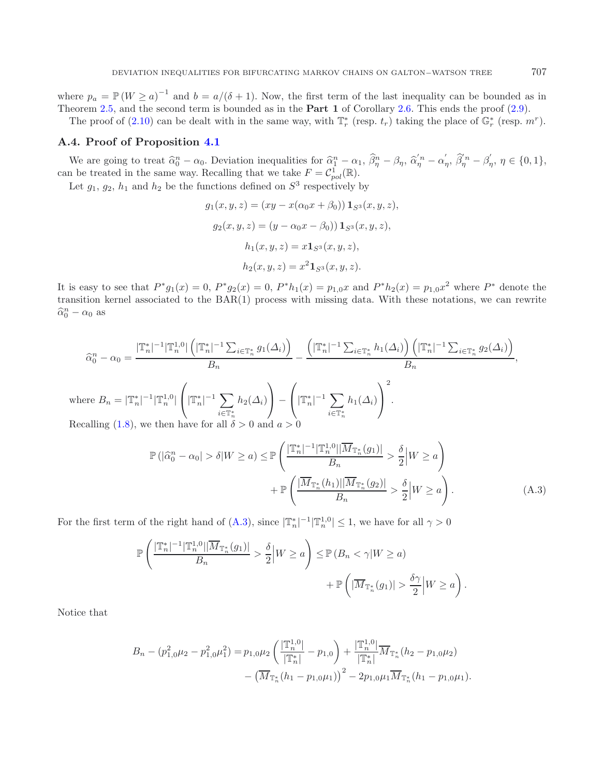where  $p_a = \mathbb{P}(W \ge a)^{-1}$  and  $b = a/(\delta + 1)$ . Now, the first term of the last inequality can be bounded as in Theorem [2.5,](#page-8-0) and the second term is bounded as in the **Part 1** of Corollary [2.6.](#page-8-1) This ends the proof [\(2.9\)](#page-9-3).

The proof of [\(2.10\)](#page-9-4) can be dealt with in the same way, with  $\mathbb{T}_r^*$  (resp.  $t_r$ ) taking the place of  $\mathbb{G}_r^*$  (resp.  $m^r$ ).

#### **A.4. Proof of Proposition [4.1](#page-15-2)**

We are going to treat  $\hat{\alpha}_0^n - \alpha_0$ . Deviation inequalities for  $\hat{\alpha}_1^n - \alpha_1$ ,  $\hat{\beta}_\eta^n - \beta_\eta$ ,  $\hat{\alpha}_\eta^{n} - \alpha'_\eta$ ,  $\hat{\beta}_\eta^{n} - \beta'_\eta$ ,  $\eta \in \{0, 1\}$ ,<br>the treated in the same way. Becalling that we take  $F - C^1$  ( $\mathbb{R$ can be treated in the same way. Recalling that we take  $F = \mathcal{C}_{pol}^1(\mathbb{R})$ .

Let  $g_1$ ,  $g_2$ ,  $h_1$  and  $h_2$  be the functions defined on  $S^3$  respectively by

<span id="page-18-0"></span>
$$
g_1(x, y, z) = (xy - x(\alpha_0 x + \beta_0)) \mathbf{1}_{S^3}(x, y, z),
$$
  
\n
$$
g_2(x, y, z) = (y - \alpha_0 x - \beta_0) \mathbf{1}_{S^3}(x, y, z),
$$
  
\n
$$
h_1(x, y, z) = x \mathbf{1}_{S^3}(x, y, z),
$$
  
\n
$$
h_2(x, y, z) = x^2 \mathbf{1}_{S^3}(x, y, z).
$$

It is easy to see that  $P^*g_1(x) = 0$ ,  $P^*g_2(x) = 0$ ,  $P^*h_1(x) = p_{1,0}x$  and  $P^*h_2(x) = p_{1,0}x^2$  where  $P^*$  denote the transition kernel associated to the BAR(1) process with missing data. With these notations, we can rewrite  $\widehat{\alpha}_0^n - \alpha_0$  as

$$
\widehat{\alpha}_0^n - \alpha_0 = \frac{|\mathbb{T}_n^*|^{-1}|\mathbb{T}_n^{1,0}| \left(|\mathbb{T}_n^*|^{-1} \sum_{i \in \mathbb{T}_n^*} g_1(\Delta_i)\right)}{B_n} - \frac{\left(|\mathbb{T}_n^*|^{-1} \sum_{i \in \mathbb{T}_n^*} h_1(\Delta_i)\right) \left(|\mathbb{T}_n^*|^{-1} \sum_{i \in \mathbb{T}_n^*} g_2(\Delta_i)\right)}{B_n},
$$
\nwhere  $B_n = |\mathbb{T}_n^*|^{-1}|\mathbb{T}_n^{1,0}|\left(|\mathbb{T}_n^*|^{-1} \sum_{i \in \mathbb{T}_n^*} h_2(\Delta_i)\right) - \left(|\mathbb{T}_n^*|^{-1} \sum_{i \in \mathbb{T}_n^*} h_1(\Delta_i)\right)^2$ .  
\nRecalling (1.8), we then have for all  $\delta > 0$  and  $a > 0$ 

$$
\mathbb{P}\left(|\widehat{\alpha}_0^n - \alpha_0| > \delta | W \ge a\right) \le \mathbb{P}\left(\frac{|\mathbb{T}_n^*|^{-1} |\mathbb{T}_n^{1,0}| |\overline{M}_{\mathbb{T}_n^*}(g_1)|}{B_n} > \frac{\delta}{2} \middle| W \ge a\right) \\
+ \mathbb{P}\left(\frac{|\overline{M}_{\mathbb{T}_n^*}(h_1)| |\overline{M}_{\mathbb{T}_n^*}(g_2)|}{B_n} > \frac{\delta}{2} \middle| W \ge a\right). \tag{A.3}
$$

For the first term of the right hand of [\(A.3\)](#page-18-0), since  $|\mathbb{T}_n^*|^{-1} |\mathbb{T}_n^{1,0}| \leq 1$ , we have for all  $\gamma > 0$ 

$$
\mathbb{P}\left(\frac{|\mathbb{T}_n^*|^{-1}|\mathbb{T}_n^{1,0}||\overline{M}_{\mathbb{T}_n^*}(g_1)|}{B_n} > \frac{\delta}{2} \middle| W \ge a\right) \le \mathbb{P}\left(B_n < \gamma | W \ge a\right) \\
+ \mathbb{P}\left(|\overline{M}_{\mathbb{T}_n^*}(g_1)| > \frac{\delta \gamma}{2} \middle| W \ge a\right).
$$

Notice that

$$
B_n - (p_{1,0}^2 \mu_2 - p_{1,0}^2 \mu_1^2) = p_{1,0} \mu_2 \left( \frac{|\mathbb{T}_n^{1,0}|}{|\mathbb{T}_n^*|} - p_{1,0} \right) + \frac{|\mathbb{T}_n^{1,0}|}{|\mathbb{T}_n^*|} \overline{M}_{\mathbb{T}_n^*} (h_2 - p_{1,0} \mu_2)
$$

$$
- \left( \overline{M}_{\mathbb{T}_n^*} (h_1 - p_{1,0} \mu_1) \right)^2 - 2p_{1,0} \mu_1 \overline{M}_{\mathbb{T}_n^*} (h_1 - p_{1,0} \mu_1).
$$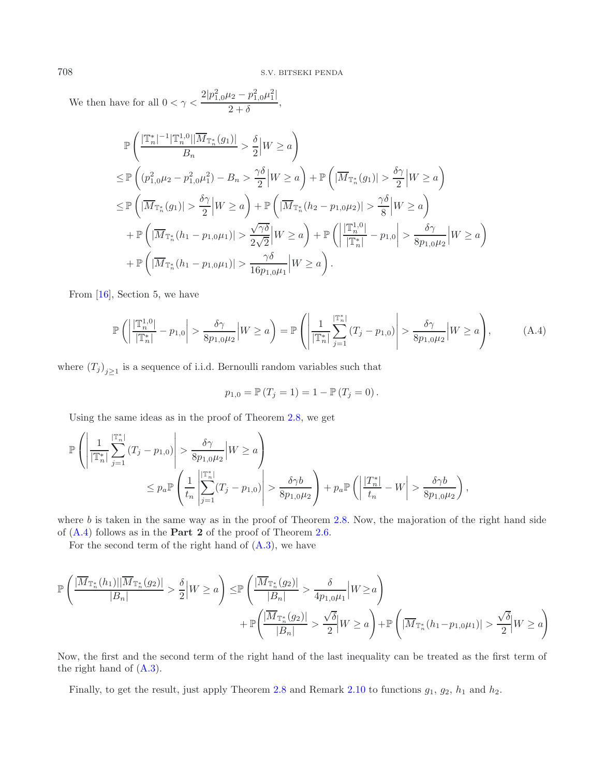We then have for all  $0 < \gamma < \frac{2|p_{1,0}^2 \mu_2 - p_{1,0}^2 \mu_1^2|}{2 + \delta}$ ,

<span id="page-19-0"></span>
$$
\mathbb{P}\left(\frac{|\mathbb{T}_{n}^{*}|^{-1}|\mathbb{T}_{n}^{1,0}||\overline{M}_{\mathbb{T}_{n}^{*}}(g_{1})|}{B_{n}} > \frac{\delta}{2}|W \geq a\right)
$$
\n
$$
\leq \mathbb{P}\left((p_{1,0}^{2}\mu_{2} - p_{1,0}^{2}\mu_{1}^{2}) - B_{n} > \frac{\gamma\delta}{2}|W \geq a\right) + \mathbb{P}\left(|\overline{M}_{\mathbb{T}_{n}^{*}}(g_{1})| > \frac{\delta\gamma}{2}|W \geq a\right)
$$
\n
$$
\leq \mathbb{P}\left(|\overline{M}_{\mathbb{T}_{n}^{*}}(g_{1})| > \frac{\delta\gamma}{2}|W \geq a\right) + \mathbb{P}\left(|\overline{M}_{\mathbb{T}_{n}^{*}}(h_{2} - p_{1,0}\mu_{2})| > \frac{\gamma\delta}{8}|W \geq a\right)
$$
\n
$$
+ \mathbb{P}\left(|\overline{M}_{\mathbb{T}_{n}^{*}}(h_{1} - p_{1,0}\mu_{1})| > \frac{\gamma\delta}{2\sqrt{2}}|W \geq a\right) + \mathbb{P}\left(\left|\frac{|\overline{\mathbb{T}}_{n}^{1,0}|}{|\overline{\mathbb{T}}_{n}^{*}|} - p_{1,0}\right| > \frac{\delta\gamma}{8p_{1,0}\mu_{2}}|W \geq a\right)
$$
\n
$$
+ \mathbb{P}\left(|\overline{M}_{\mathbb{T}_{n}^{*}}(h_{1} - p_{1,0}\mu_{1})| > \frac{\gamma\delta}{16p_{1,0}\mu_{1}}|W \geq a\right).
$$

From [\[16\]](#page-35-15), Section 5, we have

$$
\mathbb{P}\left(\left|\frac{\mathbb{T}_{n}^{1,0}}{\mathbb{T}_{n}^{*}}\right| - p_{1,0}\right| > \frac{\delta\gamma}{8p_{1,0}\mu_{2}}\left|W\geq a\right\rangle = \mathbb{P}\left(\left|\frac{1}{\mathbb{T}_{n}^{*}}\right| \sum_{j=1}^{\mathbb{T}_{n}^{*}}\left(T_{j} - p_{1,0}\right)\right| > \frac{\delta\gamma}{8p_{1,0}\mu_{2}}\left|W\geq a\right\rangle,\tag{A.4}
$$

where  $(T_j)_{j\geq 1}$  is a sequence of i.i.d. Bernoulli random variables such that

$$
p_{1,0} = \mathbb{P}(T_j = 1) = 1 - \mathbb{P}(T_j = 0).
$$

Using the same ideas as in the proof of Theorem [2.8,](#page-9-0) we get

$$
\mathbb{P}\left(\left|\frac{1}{|\mathbb{T}_{n}^{*}|}\sum_{j=1}^{|\mathbb{T}_{n}^{*}|}(T_{j}-p_{1,0})\right|>\frac{\delta\gamma}{8p_{1,0}\mu_{2}}\middle|W\geq a\right) \leq p_{a}\mathbb{P}\left(\frac{1}{t_{n}}\left|\sum_{j=1}^{|\mathbb{T}_{n}^{*}|}(T_{j}-p_{1,0})\right|>\frac{\delta\gamma b}{8p_{1,0}\mu_{2}}\right)+p_{a}\mathbb{P}\left(\left|\frac{|T_{n}^{*}|}{t_{n}}-W\right|>\frac{\delta\gamma b}{8p_{1,0}\mu_{2}}\right),
$$

where  $b$  is taken in the same way as in the proof of Theorem [2.8.](#page-9-0) Now, the majoration of the right hand side of [\(A.4\)](#page-19-0) follows as in the **Part 2** of the proof of Theorem [2.6.](#page-8-1)

For the second term of the right hand of  $(A.3)$ , we have

$$
\mathbb{P}\left(\frac{|\overline{M}_{\mathbb{T}_{n}^{*}}(h_{1})||\overline{M}_{\mathbb{T}_{n}^{*}}(g_{2})|}{|B_{n}|} > \frac{\delta}{2}\Big|W\geq a\right) \leq \mathbb{P}\left(\frac{|\overline{M}_{\mathbb{T}_{n}^{*}}(g_{2})|}{|B_{n}|} > \frac{\delta}{4p_{1,0}\mu_{1}}\Big|W\geq a\right) + \mathbb{P}\left(\frac{|\overline{M}_{\mathbb{T}_{n}^{*}}(g_{2})|}{|B_{n}|} > \frac{\sqrt{\delta}}{2}\Big|W\geq a\right) + \mathbb{P}\left(\frac{|\overline{M}_{\mathbb{T}_{n}^{*}}(h_{1}-p_{1,0}\mu_{1})|}{|B_{n}|} > \frac{\sqrt{\delta}}{2}\Big|W\geq a\right)
$$

Now, the first and the second term of the right hand of the last inequality can be treated as the first term of the right hand of [\(A.3\)](#page-18-0).

Finally, to get the result, just apply Theorem [2.8](#page-9-0) and Remark [2.10](#page-9-2) to functions  $g_1$ ,  $g_2$ ,  $h_1$  and  $h_2$ .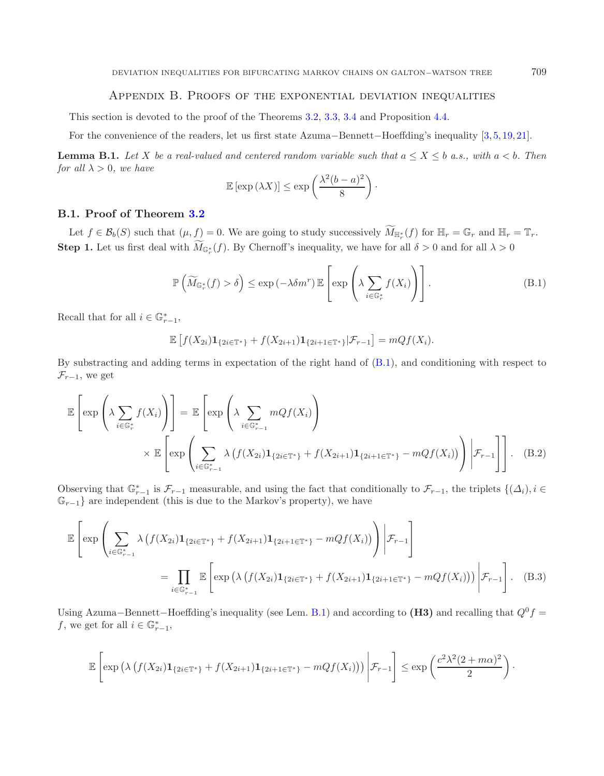## Appendix B. Proofs of the exponential deviation inequalities

This section is devoted to the proof of the Theorems [3.2,](#page-10-1) [3.3,](#page-11-0) [3.4](#page-11-1) and Proposition [4.4.](#page-15-1)

For the convenience of the readers, let us first state Azuma−Bennett−Hoeffding's inequality [\[3](#page-35-16), [5](#page-35-17), [19](#page-35-18), [21](#page-35-19)].

**Lemma B.1.** Let X be a real-valued and centered random variable such that  $a \leq X \leq b$  a.s., with  $a < b$ . Then *for all*  $\lambda > 0$ *, we have* 

<span id="page-20-3"></span><span id="page-20-1"></span><span id="page-20-0"></span>
$$
\mathbb{E}\left[\exp\left(\lambda X\right)\right] \leq \exp\left(\frac{\lambda^2(b-a)^2}{8}\right).
$$

#### **B.1. Proof of Theorem [3.2](#page-10-1)**

Let  $f \in \mathcal{B}_b(S)$  such that  $(\mu, f) = 0$ . We are going to study successively  $\widetilde{M}_{\mathbb{H}_r^*}(f)$  for  $\mathbb{H}_r = \mathbb{G}_r$  and  $\mathbb{H}_r = \mathbb{T}_r$ . **Step 1.** Let us first deal with  $M_{\mathbb{G}_r^*}(f)$ . By Chernoff's inequality, we have for all  $\delta > 0$  and for all  $\lambda > 0$ 

$$
\mathbb{P}\left(\widetilde{M}_{\mathbb{G}_r^*}(f) > \delta\right) \le \exp\left(-\lambda \delta m^r\right) \mathbb{E}\left[\exp\left(\lambda \sum_{i \in \mathbb{G}_r^*} f(X_i)\right)\right].\tag{B.1}
$$

Recall that for all  $i \in \mathbb{G}_{r-1}^*$ ,

<span id="page-20-2"></span>
$$
\mathbb{E}\left[f(X_{2i})\mathbf{1}_{\{2i\in\mathbb{T}^*\}}+f(X_{2i+1})\mathbf{1}_{\{2i+1\in\mathbb{T}^*\}}|\mathcal{F}_{r-1}\right]=mQf(X_i).
$$

By substracting and adding terms in expectation of the right hand of [\(B.1\)](#page-20-0), and conditioning with respect to  $\mathcal{F}_{r-1}$ , we get

$$
\mathbb{E}\left[\exp\left(\lambda \sum_{i\in\mathbb{G}_r^*} f(X_i)\right)\right] = \mathbb{E}\left[\exp\left(\lambda \sum_{i\in\mathbb{G}_{r-1}^*} mQf(X_i)\right)\right]
$$

$$
\times \mathbb{E}\left[\exp\left(\sum_{i\in\mathbb{G}_{r-1}^*}\lambda \left(f(X_{2i})\mathbf{1}_{\{2i\in\mathbb{T}^*\}} + f(X_{2i+1})\mathbf{1}_{\{2i+1\in\mathbb{T}^*\}} - mQf(X_i)\right)\right) \bigg|\mathcal{F}_{r-1}\right]\right].
$$
(B.2)

Observing that  $\mathbb{G}_{r-1}^*$  is  $\mathcal{F}_{r-1}$  measurable, and using the fact that conditionally to  $\mathcal{F}_{r-1}$ , the triplets  $\{(\Delta_i), i \in \mathbb{G}_{r-1}\}$  are independent (this is due to the Markov's property) we have  $\mathbb{G}_{r-1}$  are independent (this is due to the Markov's property), we have

$$
\mathbb{E}\left[\exp\left(\sum_{i\in\mathbb{G}_{r-1}^*}\lambda\left(f(X_{2i})\mathbf{1}_{\{2i\in\mathbb{T}^*\}}+f(X_{2i+1})\mathbf{1}_{\{2i+1\in\mathbb{T}^*\}}-mQf(X_i)\right)\right)\bigg|\mathcal{F}_{r-1}\right]
$$
\n
$$
=\prod_{i\in\mathbb{G}_{r-1}^*}\mathbb{E}\left[\exp\left(\lambda\left(f(X_{2i})\mathbf{1}_{\{2i\in\mathbb{T}^*\}}+f(X_{2i+1})\mathbf{1}_{\{2i+1\in\mathbb{T}^*\}}-mQf(X_i)\right)\right)\bigg|\mathcal{F}_{r-1}\right].
$$
\n(B.3)

Using Azuma–Bennett–Hoeffding's inequality (see Lem. [B.1\)](#page-20-1) and according to **(H3)** and recalling that  $Q^0 f =$ f, we get for all  $i \in \mathbb{G}_{r-1}^*$ ,

$$
\mathbb{E}\left[\exp\left(\lambda\left(f(X_{2i})\mathbf{1}_{\{2i\in\mathbb{T}^*\}}+f(X_{2i+1})\mathbf{1}_{\{2i+1\in\mathbb{T}^*\}}-mQf(X_i)\right)\right)\bigg|\mathcal{F}_{r-1}\right]\leq \exp\left(\frac{c^2\lambda^2(2+m\alpha)^2}{2}\right).
$$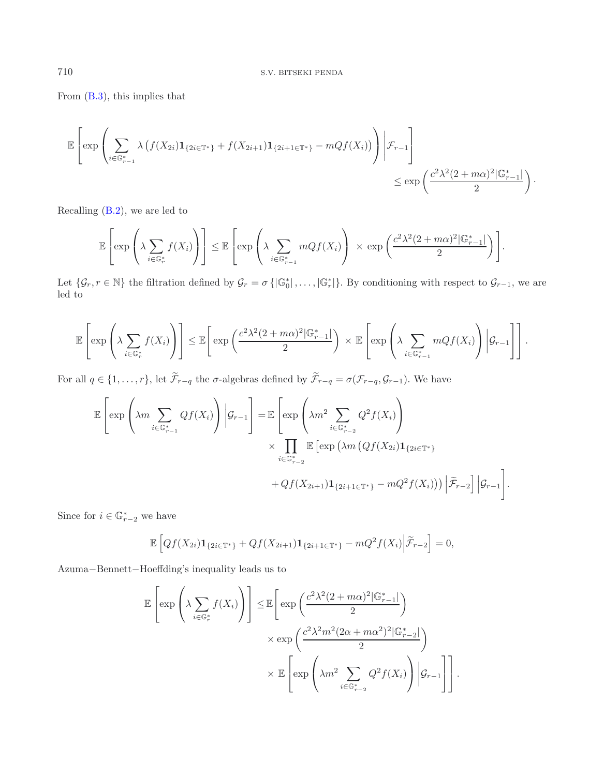From [\(B.3\)](#page-20-2), this implies that

$$
\mathbb{E}\left[\exp\left(\sum_{i\in\mathbb{G}_{r-1}^*}\lambda\left(f(X_{2i})\mathbf{1}_{\{2i\in\mathbb{T}^*\}}+f(X_{2i+1})\mathbf{1}_{\{2i+1\in\mathbb{T}^*\}}-mQf(X_i)\right)\right)\bigg|\mathcal{F}_{r-1}\right]
$$
  

$$
\leq \exp\left(\frac{c^2\lambda^2(2+m\alpha)^2|\mathbb{G}_{r-1}^*|}{2}\right).
$$

Recalling [\(B.2\)](#page-20-3), we are led to

$$
\mathbb{E}\left[\exp\left(\lambda \sum_{i\in\mathbb{G}_r^*} f(X_i)\right)\right] \leq \mathbb{E}\left[\exp\left(\lambda \sum_{i\in\mathbb{G}_{r-1}^*} mQf(X_i)\right) \times \exp\left(\frac{c^2\lambda^2(2+m\alpha)^2|\mathbb{G}_{r-1}^*|}{2}\right)\right].
$$

Let  $\{\mathcal{G}_r, r \in \mathbb{N}\}\)$  the filtration defined by  $\mathcal{G}_r = \sigma\{|\mathbb{G}_0^*|, \ldots, |\mathbb{G}_r^*|\}\$ . By conditioning with respect to  $\mathcal{G}_{r-1}$ , we are led to

$$
\mathbb{E}\left[\exp\left(\lambda \sum_{i\in\mathbb{G}_r^*} f(X_i)\right)\right] \leq \mathbb{E}\left[\exp\left(\frac{c^2\lambda^2(2+m\alpha)^2|\mathbb{G}_{r-1}^*|}{2}\right)\times \mathbb{E}\left[\exp\left(\lambda \sum_{i\in\mathbb{G}_{r-1}^*} mQf(X_i)\right)|\mathcal{G}_{r-1}\right]\right].
$$

For all  $q \in \{1,\ldots,r\}$ , let  $\widetilde{\mathcal{F}}_{r-q}$  the  $\sigma$ -algebras defined by  $\widetilde{\mathcal{F}}_{r-q} = \sigma(\mathcal{F}_{r-q}, \mathcal{G}_{r-1})$ . We have

$$
\mathbb{E}\left[\exp\left(\lambda m \sum_{i \in \mathbb{G}_{r-1}^*} Qf(X_i)\right) \Big| \mathcal{G}_{r-1}\right] = \mathbb{E}\left[\exp\left(\lambda m^2 \sum_{i \in \mathbb{G}_{r-2}^*} Q^2f(X_i)\right) \times \prod_{i \in \mathbb{G}_{r-2}^*} \mathbb{E}\left[\exp\left(\lambda m \left(Qf(X_{2i})\mathbf{1}_{\{2i \in \mathbb{T}^*\}}\right) + Qf(X_{2i+1})\mathbf{1}_{\{2i+1 \in \mathbb{T}^*\}} - mQ^2f(X_i)\right)\right) \Big|\widetilde{\mathcal{F}}_{r-2}\right] \Big|\mathcal{G}_{r-1}\right].
$$

Since for  $i \in \mathbb{G}_{r-2}^*$  we have

$$
\mathbb{E}\left[Qf(X_{2i})\mathbf{1}_{\{2i\in\mathbb{T}^*\}} + Qf(X_{2i+1})\mathbf{1}_{\{2i+1\in\mathbb{T}^*\}} - mQ^2f(X_i)\Big|\widetilde{\mathcal{F}}_{r-2}\right] = 0,
$$

Azuma−Bennett−Hoeffding's inequality leads us to

$$
\mathbb{E}\left[\exp\left(\lambda \sum_{i\in\mathbb{G}_r^*} f(X_i)\right)\right] \leq \mathbb{E}\left[\exp\left(\frac{c^2\lambda^2(2+m\alpha)^2|\mathbb{G}_{r-1}^*|}{2}\right)\right] \times \exp\left(\frac{c^2\lambda^2m^2(2\alpha+m\alpha^2)^2|\mathbb{G}_{r-2}^*|}{2}\right) \times \mathbb{E}\left[\exp\left(\lambda m^2\sum_{i\in\mathbb{G}_{r-2}^*} Q^2f(X_i)\right)|\mathcal{G}_{r-1}\right]\right].
$$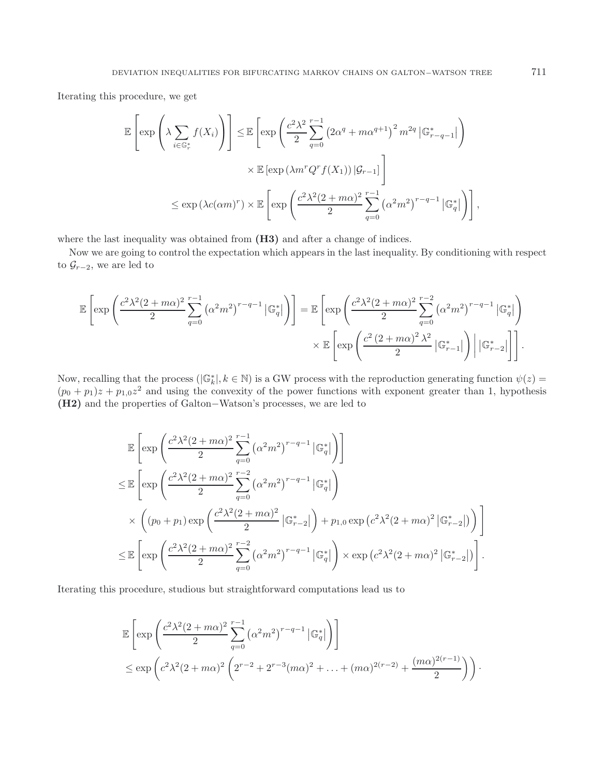Iterating this procedure, we get

$$
\mathbb{E}\left[\exp\left(\lambda \sum_{i\in\mathbb{G}_r^*} f(X_i)\right)\right] \leq \mathbb{E}\left[\exp\left(\frac{c^2\lambda^2}{2}\sum_{q=0}^{r-1} \left(2\alpha^q + m\alpha^{q+1}\right)^2 m^{2q} \,|\mathbb{G}_{r-q-1}^*\right)\right)
$$

$$
\times \mathbb{E}\left[\exp\left(\lambda m^r Q^r f(X_1)\right)|\mathcal{G}_{r-1}\right]
$$

$$
\leq \exp\left(\lambda c(\alpha m)^r\right) \times \mathbb{E}\left[\exp\left(\frac{c^2\lambda^2(2+m\alpha)^2}{2}\sum_{q=0}^{r-1} \left(\alpha^2 m^2\right)^{r-q-1} |\mathbb{G}_q^*|\right)\right],
$$

where the last inequality was obtained from  $(H3)$  and after a change of indices.

Now we are going to control the expectation which appears in the last inequality. By conditioning with respect to  $\mathcal{G}_{r-2}$ , we are led to

$$
\mathbb{E}\left[\exp\left(\frac{c^2\lambda^2(2+m\alpha)^2}{2}\sum_{q=0}^{r-1}\left(\alpha^2m^2\right)^{r-q-1}\left|\mathbb{G}_q^*\right|\right)\right] = \mathbb{E}\left[\exp\left(\frac{c^2\lambda^2(2+m\alpha)^2}{2}\sum_{q=0}^{r-2}\left(\alpha^2m^2\right)^{r-q-1}\left|\mathbb{G}_q^*\right|\right)\right] \times \mathbb{E}\left[\exp\left(\frac{c^2(2+m\alpha)^2\lambda^2}{2}\left|\mathbb{G}_{r-1}^*\right|\right)\left|\left|\mathbb{G}_{r-2}^*\right|\right|\right].
$$

Now, recalling that the process ( $|\mathbb{G}_k^*|, k \in \mathbb{N}$ ) is a GW process with the reproduction generating function  $\psi(z)$  $(p_0 + p_1)z + p_{1,0}z^2$  and using the convexity of the power functions with exponent greater than 1, hypothesis **(H2)** and the properties of Galton−Watson's processes, we are led to

$$
\mathbb{E}\left[\exp\left(\frac{c^2\lambda^2(2+m\alpha)^2}{2}\sum_{q=0}^{r-1}\left(\alpha^2m^2\right)^{r-q-1}\left|\mathbb{G}_q^*\right|\right)\right]
$$
\n
$$
\leq \mathbb{E}\left[\exp\left(\frac{c^2\lambda^2(2+m\alpha)^2}{2}\sum_{q=0}^{r-2}\left(\alpha^2m^2\right)^{r-q-1}\left|\mathbb{G}_q^*\right|\right)\right]
$$
\n
$$
\times \left((p_0+p_1)\exp\left(\frac{c^2\lambda^2(2+m\alpha)^2}{2}\left|\mathbb{G}_{r-2}^*\right|\right)+p_{1,0}\exp\left(c^2\lambda^2(2+m\alpha)^2\left|\mathbb{G}_{r-2}^*\right|\right)\right)\right]
$$
\n
$$
\leq \mathbb{E}\left[\exp\left(\frac{c^2\lambda^2(2+m\alpha)^2}{2}\sum_{q=0}^{r-2}\left(\alpha^2m^2\right)^{r-q-1}\left|\mathbb{G}_q^*\right|\right) \times \exp\left(c^2\lambda^2(2+m\alpha)^2\left|\mathbb{G}_{r-2}^*\right|\right)\right].
$$

Iterating this procedure, studious but straightforward computations lead us to

$$
\mathbb{E}\left[\exp\left(\frac{c^2\lambda^2(2+m\alpha)^2}{2}\sum_{q=0}^{r-1} (\alpha^2 m^2)^{r-q-1} |\mathbb{G}_q^*| \right)\right]
$$
  

$$
\leq \exp\left(c^2\lambda^2(2+m\alpha)^2\left(2^{r-2}+2^{r-3}(m\alpha)^2+\ldots+(m\alpha)^{2(r-2)}+\frac{(m\alpha)^{2(r-1)}}{2}\right)\right).
$$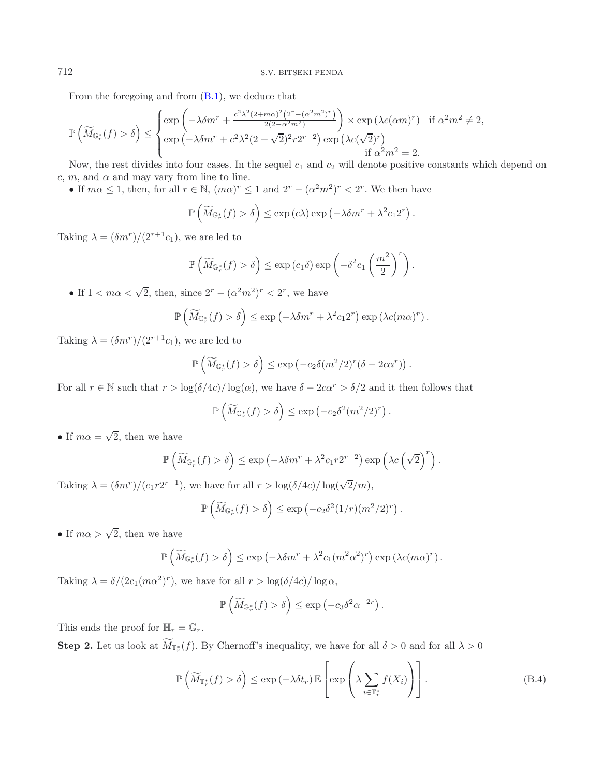From the foregoing and from [\(B.1\)](#page-20-0), we deduce that

$$
\mathbb{P}\left(\widetilde{M}_{\mathbb{G}_r^*}(f) > \delta\right) \leq \begin{cases} \exp\left(-\lambda \delta m^r + \frac{c^2 \lambda^2 (2 + m\alpha)^2 \left(2^r - (\alpha^2 m^2) r\right)}{2(2 - \alpha^2 m^2)}\right) \times \exp\left(\lambda c (\alpha m)^r\right) & \text{if } \alpha^2 m^2 \neq 2, \\ \exp\left(-\lambda \delta m^r + c^2 \lambda^2 (2 + \sqrt{2})^2 r 2^{r-2}\right) \exp\left(\lambda c (\sqrt{2})^r\right) & \text{if } \alpha^2 m^2 = 2. \end{cases}
$$

Now, the rest divides into four cases. In the sequel  $c_1$  and  $c_2$  will denote positive constants which depend on c, m, and  $\alpha$  and may vary from line to line.

• If  $m\alpha \leq 1$ , then, for all  $r \in \mathbb{N}$ ,  $(m\alpha)^r \leq 1$  and  $2^r - (\alpha^2 m^2)^r < 2^r$ . We then have

$$
\mathbb{P}\left(\widetilde{M}_{\mathbb{G}_r^*}(f) > \delta\right) \leq \exp\left(c\lambda\right) \exp\left(-\lambda \delta m^r + \lambda^2 c_1 2^r\right).
$$

Taking  $\lambda = (\delta m^r)/(2^{r+1}c_1)$ , we are led to

$$
\mathbb{P}\left(\widetilde{M}_{\mathbb{G}_r^*}(f) > \delta\right) \le \exp\left(c_1 \delta\right) \exp\left(-\delta^2 c_1 \left(\frac{m^2}{2}\right)^r\right).
$$

• If  $1 < m\alpha < \sqrt{2}$ , then, since  $2^r - (\alpha^2 m^2)^r < 2^r$ , we have

$$
\mathbb{P}\left(\widetilde{M}_{\mathbb{G}_r^*}(f) > \delta\right) \le \exp\left(-\lambda \delta m^r + \lambda^2 c_1 2^r\right) \exp\left(\lambda c (m\alpha)^r\right).
$$

Taking  $\lambda = (\delta m^r)/(2^{r+1}c_1)$ , we are led to

$$
\mathbb{P}\left(\widetilde{M}_{\mathbb{G}_r^*}(f) > \delta\right) \leq \exp\left(-c_2\delta(m^2/2)^r(\delta - 2c\alpha^r)\right).
$$

For all  $r \in \mathbb{N}$  such that  $r > \log(\delta/4c)/\log(\alpha)$ , we have  $\delta - 2c\alpha^r > \delta/2$  and it then follows that

$$
\mathbb{P}\left(\widetilde{M}_{\mathbb{G}_r^*}(f) > \delta\right) \le \exp\left(-c_2\delta^2(m^2/2)^r\right).
$$

• If  $m\alpha = \sqrt{2}$ , then we have

$$
\mathbb{P}\left(\widetilde{M}_{\mathbb{G}_r^*}(f) > \delta\right) \le \exp\left(-\lambda \delta m^r + \lambda^2 c_1 r 2^{r-2}\right) \exp\left(\lambda c \left(\sqrt{2}\right)^r\right).
$$

Taking  $\lambda = (\delta m^r)/(c_1 r 2^{r-1})$ , we have for all  $r > \log(\delta/4c)/\log(\sqrt{2}/m)$ ,

<span id="page-23-0"></span>
$$
\mathbb{P}\left(\widetilde{M}_{\mathbb{G}_r^*}(f) > \delta\right) \le \exp\left(-c_2\delta^2(1/r)(m^2/2)^r\right).
$$

• If  $m\alpha > \sqrt{2}$ , then we have

$$
\mathbb{P}\left(\widetilde{M}_{\mathbb{G}_r^*}(f) > \delta\right) \leq \exp\left(-\lambda \delta m^r + \lambda^2 c_1(m^2 \alpha^2)^r\right) \exp\left(\lambda c(m\alpha)^r\right).
$$

Taking  $\lambda = \delta/(2c_1(m\alpha^2)^r)$ , we have for all  $r > \log(\delta/4c)/\log \alpha$ ,

$$
\mathbb{P}\left(\widetilde{M}_{\mathbb{G}_r^*}(f) > \delta\right) \le \exp\left(-c_3\delta^2\alpha^{-2r}\right).
$$

This ends the proof for  $\mathbb{H}_r = \mathbb{G}_r$ .

**Step 2.** Let us look at  $M_{\mathbb{T}_r^*}(f)$ . By Chernoff's inequality, we have for all  $\delta > 0$  and for all  $\lambda > 0$ 

$$
\mathbb{P}\left(\widetilde{M}_{\mathbb{T}_{r}^{*}}(f) > \delta\right) \leq \exp\left(-\lambda \delta t_{r}\right) \mathbb{E}\left[\exp\left(\lambda \sum_{i \in \mathbb{T}_{r}^{*}} f(X_{i})\right)\right].
$$
\n(B.4)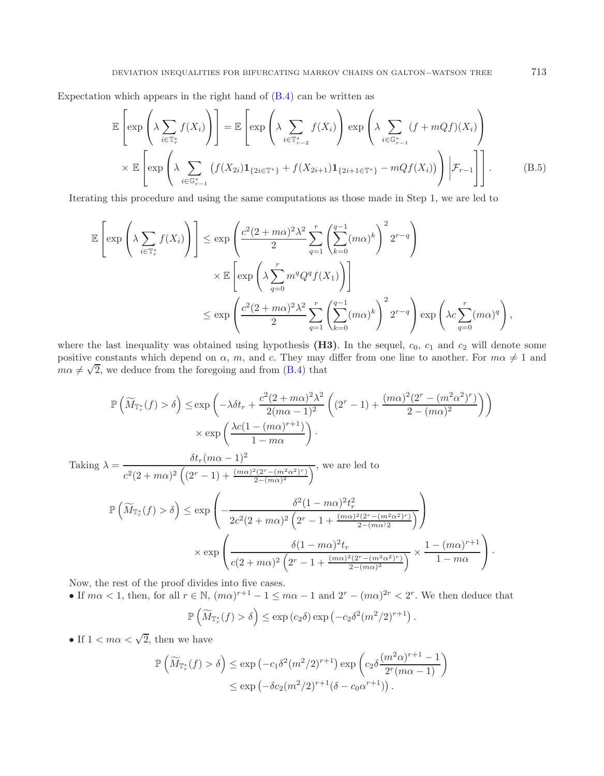Expectation which appears in the right hand of  $(B.4)$  can be written as

$$
\mathbb{E}\left[\exp\left(\lambda \sum_{i\in\mathbb{T}_{r}^{*}} f(X_{i})\right)\right] = \mathbb{E}\left[\exp\left(\lambda \sum_{i\in\mathbb{T}_{r-2}^{*}} f(X_{i})\right)\exp\left(\lambda \sum_{i\in\mathbb{G}_{r-1}^{*}} (f+mQf)(X_{i})\right)\right] \times \mathbb{E}\left[\exp\left(\lambda \sum_{i\in\mathbb{G}_{r-1}^{*}} (f(X_{2i})\mathbf{1}_{\{2i\in\mathbb{T}^{*}\}} + f(X_{2i+1})\mathbf{1}_{\{2i+1\in\mathbb{T}^{*}\}} - mQf(X_{i}))\right)\Big| \mathcal{F}_{r-1}\right]\right].
$$
\n(B.5)

Iterating this procedure and using the same computations as those made in Step 1, we are led to

$$
\mathbb{E}\left[\exp\left(\lambda \sum_{i\in\mathbb{T}_{r}^{*}} f(X_{i})\right)\right] \leq \exp\left(\frac{c^{2}(2+m\alpha)^{2}\lambda^{2}}{2}\sum_{q=1}^{r}\left(\sum_{k=0}^{q-1}(m\alpha)^{k}\right)^{2}2^{r-q}\right)
$$

$$
\times \mathbb{E}\left[\exp\left(\lambda \sum_{q=0}^{r} m^{q}Q^{q}f(X_{1})\right)\right]
$$

$$
\leq \exp\left(\frac{c^{2}(2+m\alpha)^{2}\lambda^{2}}{2}\sum_{q=1}^{r}\left(\sum_{k=0}^{q-1}(m\alpha)^{k}\right)^{2}2^{r-q}\right)\exp\left(\lambda c\sum_{q=0}^{r}(m\alpha)^{q}\right),
$$

where the last inequality was obtained using hypothesis  $(H3)$ . In the sequel,  $c_0$ ,  $c_1$  and  $c_2$  will denote some positive constants which depend on  $\alpha$ , m, and c. They may differ from one line to another. For  $m\alpha \neq 1$  and  $m\alpha \neq \sqrt{2}$ , we deduce from the foregoing and from [\(B.4\)](#page-23-0) that

$$
\mathbb{P}\left(\widetilde{M}_{\mathbb{T}_r^*}(f) > \delta\right) \le \exp\left(-\lambda \delta t_r + \frac{c^2(2+m\alpha)^2\lambda^2}{2(m\alpha-1)^2} \left((2^r-1) + \frac{(m\alpha)^2(2^r - (m^2\alpha^2)^r)}{2 - (m\alpha)^2}\right)\right)
$$

$$
\times \exp\left(\frac{\lambda c(1 - (m\alpha)^{r+1})}{1 - m\alpha}\right).
$$

Taking 
$$
\lambda = \frac{\delta t_r (m\alpha - 1)^2}{c^2 (2 + m\alpha)^2 \left( (2^r - 1) + \frac{(m\alpha)^2 (2^r - (m^2\alpha^2)^r)}{2 - (m\alpha)^2} \right)}
$$
, we are led to  
\n
$$
\mathbb{P}\left(\widetilde{M}_{\mathbb{T}_r^*}(f) > \delta\right) \le \exp\left(-\frac{\delta^2 (1 - m\alpha)^2 t_r^2}{2c^2 (2 + m\alpha)^2 \left( 2^r - 1 + \frac{(m\alpha)^2 (2^r - (m^2\alpha^2)^r)}{2 - (m\alpha)^2} \right)}\right)
$$
\n
$$
\times \exp\left(\frac{\delta (1 - m\alpha)^2 t_r}{c(2 + m\alpha)^2 \left( 2^r - 1 + \frac{(m\alpha)^2 (2^r - (m^2\alpha^2)^r)}{2 - (m\alpha)^2} \right)} \times \frac{1 - (m\alpha)^{r+1}}{1 - m\alpha}\right).
$$

Now, the rest of the proof divides into five cases.

• If  $m\alpha < 1$ , then, for all  $r \in \mathbb{N}$ ,  $(m\alpha)^{r+1} - 1 \leq m\alpha - 1$  and  $2^r - (m\alpha)^{2r} < 2^r$ . We then deduce that

$$
\mathbb{P}\left(\widetilde{M}_{\mathbb{T}_r^*}(f) > \delta\right) \leq \exp\left(c_2\delta\right) \exp\left(-c_2\delta^2(m^2/2)^{r+1}\right).
$$

• If  $1 < m\alpha < \sqrt{2}$ , then we have

$$
\mathbb{P}\left(\widetilde{M}_{\mathbb{T}_r^*}(f) > \delta\right) \le \exp\left(-c_1\delta^2(m^2/2)^{r+1}\right) \exp\left(c_2\delta \frac{(m^2\alpha)^{r+1} - 1}{2^r(m\alpha - 1)}\right)
$$
  

$$
\le \exp\left(-\delta c_2(m^2/2)^{r+1}(\delta - c_0\alpha^{r+1})\right).
$$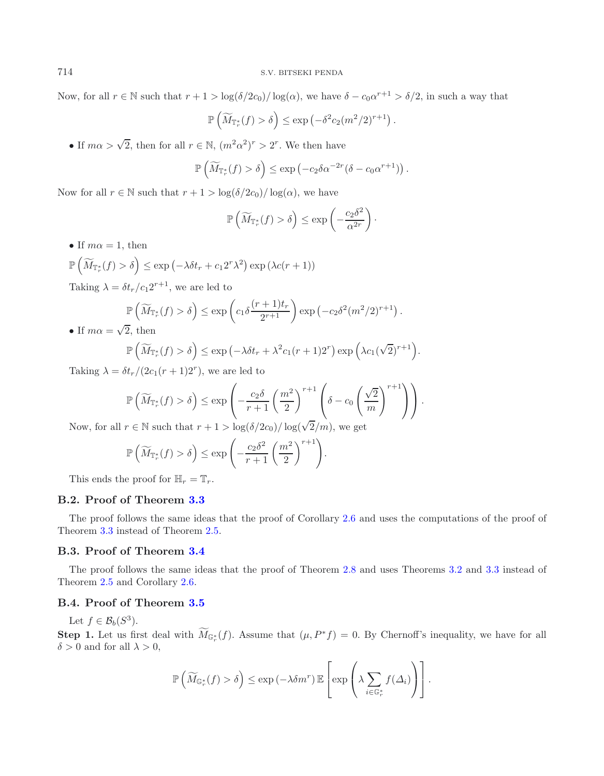Now, for all  $r \in \mathbb{N}$  such that  $r + 1 > \log(\delta/2c_0)/\log(\alpha)$ , we have  $\delta - c_0\alpha^{r+1} > \delta/2$ , in such a way that

$$
\mathbb{P}\left(\widetilde{M}_{\mathbb{T}_r^*}(f) > \delta\right) \le \exp\left(-\delta^2 c_2 (m^2/2)^{r+1}\right).
$$

• If  $m\alpha > \sqrt{2}$ , then for all  $r \in \mathbb{N}$ ,  $(m^2\alpha^2)^r > 2^r$ . We then have

$$
\mathbb{P}\left(\widetilde{M}_{\mathbb{T}_r^*}(f) > \delta\right) \leq \exp\left(-c_2 \delta \alpha^{-2r} (\delta - c_0 \alpha^{r+1})\right).
$$

Now for all  $r \in \mathbb{N}$  such that  $r + 1 > \log(\delta/2c_0)/\log(\alpha)$ , we have

$$
\mathbb{P}\left(\widetilde{M}_{\mathbb{T}_r^*}(f) > \delta\right) \le \exp\left(-\frac{c_2\delta^2}{\alpha^{2r}}\right).
$$

- If  $m\alpha = 1$ , then
- $\mathbb{P}\left(\widetilde{M}_{\mathbb{T}_{r}^*}(f) > \delta\right) \leq \exp\left(-\lambda \delta t_r + c_1 2^r \lambda^2\right) \exp\left(\lambda c(r+1)\right)$

Taking  $\lambda = \delta t_r/c_1 2^{r+1}$ , we are led to

$$
\mathbb{P}\left(\widetilde{M}_{\mathbb{T}_r^*}(f) > \delta\right) \le \exp\left(c_1 \delta \frac{(r+1)t_r}{2^{r+1}}\right) \exp\left(-c_2 \delta^2 (m^2/2)^{r+1}\right).
$$

• If  $m\alpha = \sqrt{2}$ , then

$$
\mathbb{P}\left(\widetilde{M}_{\mathbb{T}_r^*}(f) > \delta\right) \le \exp\left(-\lambda \delta t_r + \lambda^2 c_1(r+1)2^r\right) \exp\left(\lambda c_1(\sqrt{2})^{r+1}\right).
$$

Taking  $\lambda = \delta t_r/(2c_1(r+1)2^r)$ , we are led to

$$
\mathbb{P}\left(\widetilde{M}_{\mathbb{T}_r^*}(f) > \delta\right) \le \exp\left(-\frac{c_2\delta}{r+1}\left(\frac{m^2}{2}\right)^{r+1}\left(\delta - c_0\left(\frac{\sqrt{2}}{m}\right)^{r+1}\right)\right).
$$
  
For  $\delta$  such that  $n+1 \ge \log(\delta/2e) / \log(\sqrt{2}/m)$  are set

Now, for all  $r \in \mathbb{N}$  such that  $r + 1 > \log(\delta/2c_0)/\log(\sqrt{2}/m)$ , we get

$$
\mathbb{P}\left(\widetilde{M}_{\mathbb{T}_r^*}(f) > \delta\right) \le \exp\left(-\frac{c_2\delta^2}{r+1}\left(\frac{m^2}{2}\right)^{r+1}\right).
$$

This ends the proof for  $\mathbb{H}_r = \mathbb{T}_r$ .

## **B.2. Proof of Theorem [3.3](#page-11-0)**

The proof follows the same ideas that the proof of Corollary [2.6](#page-8-1) and uses the computations of the proof of Theorem [3.3](#page-11-0) instead of Theorem [2.5.](#page-8-0)

#### **B.3. Proof of Theorem [3.4](#page-11-1)**

The proof follows the same ideas that the proof of Theorem [2.8](#page-9-0) and uses Theorems [3.2](#page-10-1) and [3.3](#page-11-0) instead of Theorem [2.5](#page-8-0) and Corollary [2.6.](#page-8-1)

## **B.4. Proof of Theorem [3.5](#page-12-0)**

Let  $f \in \mathcal{B}_b(S^3)$ .

**Step 1.** Let us first deal with  $M_{\mathbb{G}_r^*}(f)$ . Assume that  $(\mu, P^*f) = 0$ . By Chernoff's inequality, we have for all  $\delta > 0$  and for all  $\lambda > 0$ ,

$$
\mathbb{P}\left(\widetilde{M}_{\mathbb{G}_r^*}(f) > \delta\right) \leq \exp\left(-\lambda \delta m^r\right) \mathbb{E}\left[\exp\left(\lambda \sum_{i \in \mathbb{G}_r^*} f(\Delta_i)\right)\right].
$$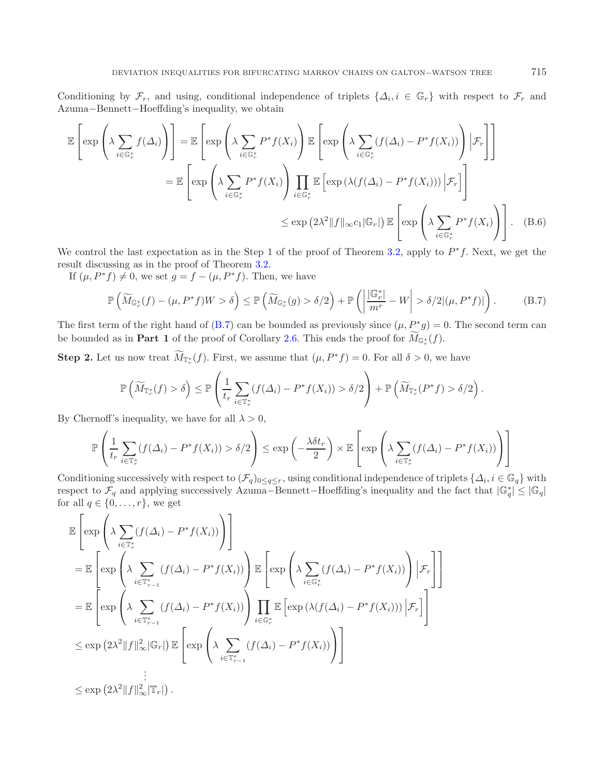Conditioning by  $\mathcal{F}_r$ , and using, conditional independence of triplets  $\{\Delta_i, i \in \mathbb{G}_r\}$  with respect to  $\mathcal{F}_r$  and Azuma−Bennett−Hoeffding's inequality, we obtain

<span id="page-26-0"></span>
$$
\mathbb{E}\left[\exp\left(\lambda \sum_{i\in\mathbb{G}_r^*} f(\Delta_i)\right)\right] = \mathbb{E}\left[\exp\left(\lambda \sum_{i\in\mathbb{G}_r^*} P^*f(X_i)\right) \mathbb{E}\left[\exp\left(\lambda \sum_{i\in\mathbb{G}_r^*} (f(\Delta_i) - P^*f(X_i))\right) \Big| \mathcal{F}_r\right]\right]
$$

$$
= \mathbb{E}\left[\exp\left(\lambda \sum_{i\in\mathbb{G}_r^*} P^*f(X_i)\right) \prod_{i\in\mathbb{G}_r^*} \mathbb{E}\left[\exp\left(\lambda(f(\Delta_i) - P^*f(X_i))\right) \Big| \mathcal{F}_r\right]\right]
$$

$$
\leq \exp\left(2\lambda^2 \|f\|_{\infty} c_1 |\mathbb{G}_r|\right) \mathbb{E}\left[\exp\left(\lambda \sum_{i\in\mathbb{G}_r^*} P^*f(X_i)\right)\right]. \quad (B.6)
$$

We control the last expectation as in the Step 1 of the proof of Theorem [3.2,](#page-10-1) apply to  $P^*f$ . Next, we get the result discussing as in the proof of Theorem [3.2.](#page-10-1)

If  $(\mu, P^*f) \neq 0$ , we set  $q = f - (\mu, P^*f)$ . Then, we have

$$
\mathbb{P}\left(\widetilde{M}_{\mathbb{G}_r^*}(f) - (\mu, P^*f)W > \delta\right) \le \mathbb{P}\left(\widetilde{M}_{\mathbb{G}_r^*}(g) > \delta/2\right) + \mathbb{P}\left(\left|\frac{|\mathbb{G}_r^*|}{m^r} - W\right| > \delta/2 |(\mu, P^*f)|\right). \tag{B.7}
$$

The first term of the right hand of [\(B.7\)](#page-26-0) can be bounded as previously since  $(\mu, P^*g) = 0$ . The second term can be bounded as in **Part 1** of the proof of Corollary [2.6.](#page-8-1) This ends the proof for  $M_{\mathbb{G}_r^*}(f)$ .

**Step 2.** Let us now treat  $M_{\mathbb{T}_{r}^{*}}(f)$ . First, we assume that  $(\mu, P^{*}f) = 0$ . For all  $\delta > 0$ , we have

$$
\mathbb{P}\left(\widetilde{M}_{\mathbb{T}_{r}^{*}}(f) > \delta\right) \leq \mathbb{P}\left(\frac{1}{t_{r}}\sum_{i\in\mathbb{T}_{r}^{*}}(f(\Delta_{i}) - P^{*}f(X_{i})) > \delta/2\right) + \mathbb{P}\left(\widetilde{M}_{\mathbb{T}_{r}^{*}}(P^{*}f) > \delta/2\right)
$$

By Chernoff's inequality, we have for all  $\lambda > 0$ ,

$$
\mathbb{P}\left(\frac{1}{t_r}\sum_{i\in\mathbb{T}_r^*}(f(\Delta_i)-P^*f(X_i))>\delta/2\right)\leq \exp\left(-\frac{\lambda\delta t_r}{2}\right)\times \mathbb{E}\left[\exp\left(\lambda\sum_{i\in\mathbb{T}_r^*}(f(\Delta_i)-P^*f(X_i))\right)\right]
$$

Conditioning successively with respect to  $(\mathcal{F}_q)_{0 \leq q \leq r}$ , using conditional independence of triplets  $\{\Delta_i, i \in \mathbb{G}_q\}$  with respect to  $\mathcal{F}_q$  and applying successively Azuma–Bennett–Hoeffding's inequality and for all  $q \in \{0, \ldots, r\}$ , we get

$$
\mathbb{E}\left[\exp\left(\lambda \sum_{i\in\mathbb{T}_{r}^{*}}(f(\Delta_{i})-P^{*}f(X_{i}))\right)\right]
$$
\n
$$
=\mathbb{E}\left[\exp\left(\lambda \sum_{i\in\mathbb{T}_{r-1}^{*}}(f(\Delta_{i})-P^{*}f(X_{i}))\right)\mathbb{E}\left[\exp\left(\lambda \sum_{i\in\mathbb{G}_{r}^{*}}(f(\Delta_{i})-P^{*}f(X_{i}))\right)|\mathcal{F}_{r}\right]\right]
$$
\n
$$
=\mathbb{E}\left[\exp\left(\lambda \sum_{i\in\mathbb{T}_{r-1}^{*}}(f(\Delta_{i})-P^{*}f(X_{i}))\right)\prod_{i\in\mathbb{G}_{r}^{*}}\mathbb{E}\left[\exp\left(\lambda(f(\Delta_{i})-P^{*}f(X_{i}))\right)|\mathcal{F}_{r}\right]\right]
$$
\n
$$
\leq \exp\left(2\lambda^{2}\|f\|_{\infty}^{2}|\mathbb{G}_{r}|\right)\mathbb{E}\left[\exp\left(\lambda \sum_{i\in\mathbb{T}_{r-1}^{*}}(f(\Delta_{i})-P^{*}f(X_{i}))\right)\right]
$$
\n
$$
\vdots
$$
\n
$$
\leq \exp\left(2\lambda^{2}\|f\|_{\infty}^{2}|\mathbb{T}_{r}|\right).
$$

.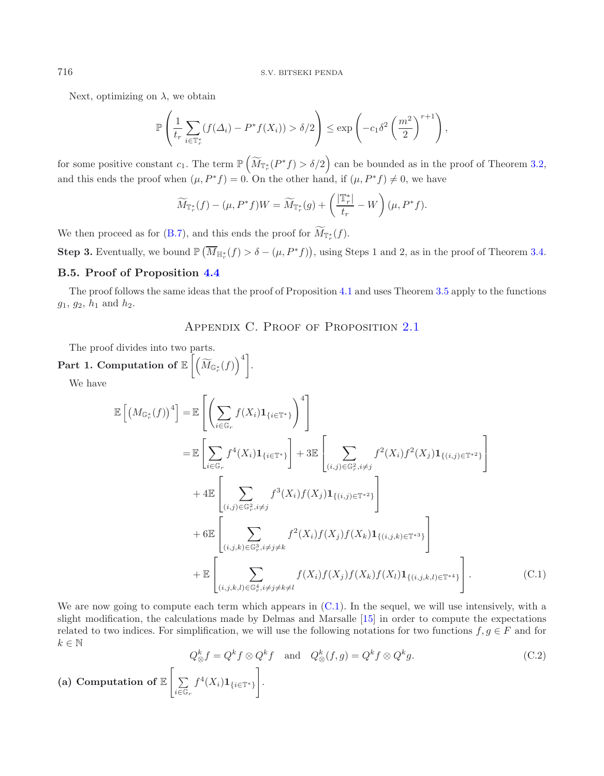Next, optimizing on  $\lambda$ , we obtain

$$
\mathbb{P}\left(\frac{1}{t_r}\sum_{i\in\mathbb{T}_r^*}(f(\Delta_i)-P^*f(X_i))>\delta/2\right)\leq \exp\left(-c_1\delta^2\left(\frac{m^2}{2}\right)^{r+1}\right),
$$

for some positive constant  $c_1$ . The term  $\mathbb{P}\left(\widetilde{M}_{\mathbb{T}_r^*}(P^*f) > \delta/2\right)$  can be bounded as in the proof of Theorem [3.2,](#page-10-1) and this ends the proof when  $(\mu, P^*f) = 0$ . On the other hand, if  $(\mu, P^*f) \neq 0$ , we have

$$
\widetilde{M}_{\mathbb{T}_r^*}(f) - (\mu, P^* f)W = \widetilde{M}_{\mathbb{T}_r^*}(g) + \left(\frac{|\mathbb{T}_r^*|}{t_r} - W\right)(\mu, P^* f).
$$

We then proceed as for [\(B.7\)](#page-26-0), and this ends the proof for  $M_{\mathbb{F}_r^*}(f)$ .

**Step 3.** Eventually, we bound  $\mathbb{P}(\overline{M}_{\mathbb{H}_r^*}(f) > \delta - (\mu, P^*f))$ , using Steps 1 and 2, as in the proof of Theorem [3.4.](#page-11-1)

## **B.5. Proof of Proposition [4.4](#page-15-1)**

The proof follows the same ideas that the proof of Proposition [4.1](#page-15-2) and uses Theorem [3.5](#page-12-0) apply to the functions  $g_1, g_2, h_1$  and  $h_2$ .

## <span id="page-27-0"></span>Appendix C. Proof of Proposition [2.1](#page-6-4)

The proof divides into two parts.

# $\operatorname{\mathsf{Part}}\nolimits \ \mathbf{1.} \ \text{\textbf{Computation of}}\ \mathbb{E} \left[ \left( \widetilde{M}_{\mathbb{G}_r^*}(f) \right)^4 \right].$

<span id="page-27-1"></span>We have

$$
\mathbb{E}\left[\left(M_{\mathbb{G}_{r}^{*}}(f)\right)^{4}\right] = \mathbb{E}\left[\left(\sum_{i\in\mathbb{G}_{r}}f(X_{i})\mathbf{1}_{\{i\in\mathbb{T}^{*}\}}\right)^{4}\right] \n= \mathbb{E}\left[\sum_{i\in\mathbb{G}_{r}}f^{4}(X_{i})\mathbf{1}_{\{i\in\mathbb{T}^{*}\}}\right] + 3\mathbb{E}\left[\sum_{(i,j)\in\mathbb{G}_{r}^{2},i\neq j}f^{2}(X_{i})f^{2}(X_{j})\mathbf{1}_{\{(i,j)\in\mathbb{T}^{*2}\}}\right] \n+ 4\mathbb{E}\left[\sum_{(i,j)\in\mathbb{G}_{r}^{2},i\neq j}f^{3}(X_{i})f(X_{j})\mathbf{1}_{\{(i,j)\in\mathbb{T}^{*2}\}}\right] \n+ 6\mathbb{E}\left[\sum_{(i,j,k)\in\mathbb{G}_{r}^{3},i\neq j\neq k}f^{2}(X_{i})f(X_{j})f(X_{k})\mathbf{1}_{\{(i,j,k)\in\mathbb{T}^{*3}\}}\right] \n+ \mathbb{E}\left[\sum_{(i,j,k,l)\in\mathbb{G}_{r}^{4},i\neq j\neq k}f(X_{i})f(X_{j})f(X_{k})f(X_{l})\mathbf{1}_{\{(i,j,k,l)\in\mathbb{T}^{*4}\}}\right].
$$
\n(C.1)

We are now going to compute each term which appears in  $(C.1)$ . In the sequel, we will use intensively, with a slight modification, the calculations made by Delmas and Marsalle [\[15\]](#page-35-0) in order to compute the expectations related to two indices. For simplification, we will use the following notations for two functions  $f, g \in F$  and for  $k \in \mathbb{N}$ 

$$
Q_{\otimes}^{k} f = Q^{k} f \otimes Q^{k} f \quad \text{and} \quad Q_{\otimes}^{k}(f,g) = Q^{k} f \otimes Q^{k} g.
$$
\n(a) Computation of  $\mathbb{E}\left[\sum_{i \in \mathbb{G}_{r}} f^{4}(X_{i}) \mathbf{1}_{\{i \in \mathbb{T}^{*}\}}\right].$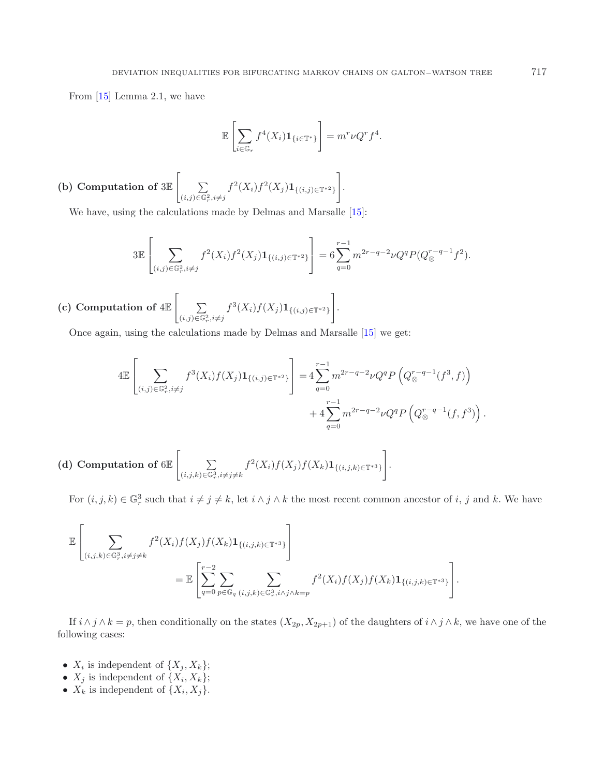From [\[15\]](#page-35-0) Lemma 2.1, we have

$$
\mathbb{E}\left[\sum_{i\in\mathbb{G}_r}f^4(X_i)\mathbf{1}_{\{i\in\mathbb{T}^*\}}\right] = m^r\nu Q^r f^4.
$$

(b) Computation of 
$$
3\mathbb{E}\left[\sum_{(i,j)\in\mathbb{G}_r^2, i\neq j}f^2(X_i)f^2(X_j)\mathbf{1}_{\{(i,j)\in\mathbb{T}^{*2}\}}\right].
$$

We have, using the calculations made by Delmas and Marsalle [\[15\]](#page-35-0):

$$
3\mathbb{E}\left[\sum_{(i,j)\in\mathbb{G}_r^2, i\neq j} f^2(X_i)f^2(X_j)\mathbf{1}_{\{(i,j)\in\mathbb{T}^*^2\}}\right] = 6\sum_{q=0}^{r-1} m^{2r-q-2}\nu Q^q P(Q_{\otimes}^{r-q-1}f^2).
$$

 $\hbox{(c) Computation of 4E} \left[ \quad \hbox{${\sum}$} \right]$  $\sum_{(i,j)\in\mathbb{G}_r^2, i\neq j} f^3(X_i) f(X_j) \mathbf{1}_{\{(i,j)\in\mathbb{T}^*^2\}}$ 1 .

Once again, using the calculations made by Delmas and Marsalle [\[15\]](#page-35-0) we get:

$$
4\mathbb{E}\left[\sum_{(i,j)\in\mathbb{G}_r^2, i\neq j} f^3(X_i)f(X_j)\mathbf{1}_{\{(i,j)\in\mathbb{T}^{*2}\}}\right] = 4\sum_{q=0}^{r-1} m^{2r-q-2}\nu Q^q P\left(Q_{\otimes}^{r-q-1}(f^3, f)\right) + 4\sum_{q=0}^{r-1} m^{2r-q-2}\nu Q^q P\left(Q_{\otimes}^{r-q-1}(f, f^3)\right).
$$

(d) Computation of  $6E$   $\Big[$   $\Big]$  $\sum_{(i,j,k)\in\mathbb{G}_r^3, i\neq j\neq k} f^2(X_i)f(X_j)f(X_k)\mathbf{1}_{\{(i,j,k)\in\mathbb{T}^{*3}\}}$ 1 .

For  $(i, j, k) \in \mathbb{G}_r^3$  such that  $i \neq j \neq k$ , let  $i \wedge j \wedge k$  the most recent common ancestor of i, j and k. We have

$$
\mathbb{E}\left[\sum_{(i,j,k)\in\mathbb{G}_r^3,i\neq j\neq k}f^2(X_i)f(X_j)f(X_k)\mathbf{1}_{\{(i,j,k)\in\mathbb{T}^{*3}\}}\right]
$$
\n
$$
=\mathbb{E}\left[\sum_{q=0}^{r-2}\sum_{p\in\mathbb{G}_q}\sum_{(i,j,k)\in\mathbb{G}_r^3,i\wedge j\wedge k=p}f^2(X_i)f(X_j)f(X_k)\mathbf{1}_{\{(i,j,k)\in\mathbb{T}^{*3}\}}\right].
$$

If  $i \wedge j \wedge k = p$ , then conditionally on the states  $(X_{2p}, X_{2p+1})$  of the daughters of  $i \wedge j \wedge k$ , we have one of the following cases:

- $X_i$  is independent of  $\{X_j, X_k\};$
- $X_j$  is independent of  $\{X_i, X_k\};$
- $X_k$  is independent of  $\{X_i, X_j\}.$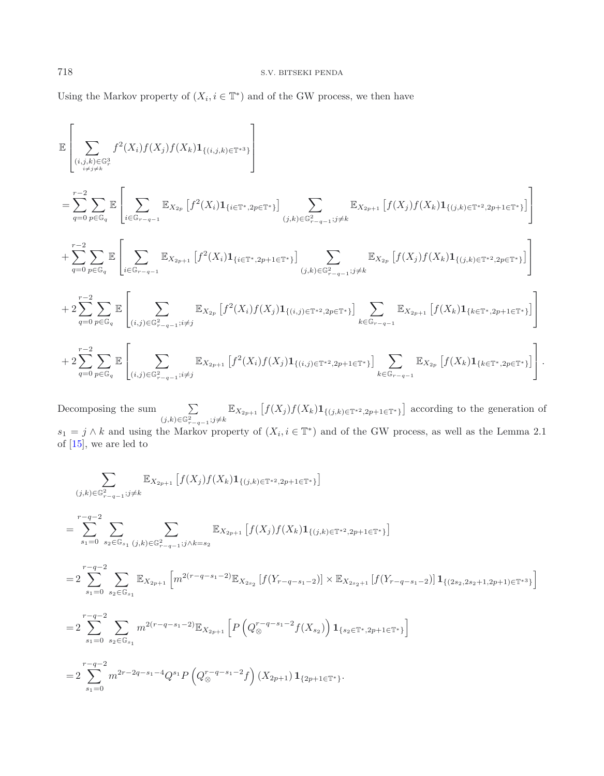Using the Markov property of  $(X_i, i \in \mathbb{T}^*)$  and of the GW process, we then have

$$
\mathbb{E}\left[\sum_{\substack{(i,j,k)\in\mathbb{G}_{r}^{3}\\i\neq j\neq k}}f^{2}(X_{i})f(X_{j})f(X_{k})\mathbf{1}_{\{(i,j,k)\in\mathbb{T}^{*}\}}\right] \n= \sum_{q=0}^{r-2}\sum_{p\in\mathbb{G}_{q}}\mathbb{E}\left[\sum_{i\in\mathbb{G}_{r-q-1}}\mathbb{E}_{X_{2p}}\left[f^{2}(X_{i})\mathbf{1}_{\{i\in\mathbb{T}^{*},2p\in\mathbb{T}^{*}\}}\right]\sum_{(j,k)\in\mathbb{G}_{r-q-1}^{2};j\neq k}\mathbb{E}_{X_{2p+1}}\left[f(X_{j})f(X_{k})\mathbf{1}_{\{(j,k)\in\mathbb{T}^{*},2p+1\in\mathbb{T}^{*}\}}\right]\right] \n+ \sum_{q=0}^{r-2}\sum_{p\in\mathbb{G}_{q}}\mathbb{E}\left[\sum_{i\in\mathbb{G}_{r-q-1}}\mathbb{E}_{X_{2p+1}}\left[f^{2}(X_{i})\mathbf{1}_{\{i\in\mathbb{T}^{*},2p+1\in\mathbb{T}^{*}\}}\right]\sum_{(j,k)\in\mathbb{G}_{r-q-1}^{2};j\neq k}\mathbb{E}_{X_{2p}}\left[f(X_{j})f(X_{k})\mathbf{1}_{\{(j,k)\in\mathbb{T}^{*},2p\in\mathbb{T}^{*}\}}\right]\right] \n+ 2\sum_{q=0}^{r-2}\sum_{p\in\mathbb{G}_{q}}\mathbb{E}\left[\sum_{(i,j)\in\mathbb{G}_{r-q-1}^{2};i\neq j}\mathbb{E}_{X_{2p}}\left[f^{2}(X_{i})f(X_{j})\mathbf{1}_{\{(i,j)\in\mathbb{T}^{*},2p\in\mathbb{T}^{*}\}}\right]\sum_{k\in\mathbb{G}_{r-q-1}}\mathbb{E}_{X_{2p+1}}\left[f(X_{k})\mathbf{1}_{\{k\in\mathbb{T}^{*},2p+1\in\mathbb{T}^{*}\}}\right]\right] \n+ 2\sum_{q=0}^{r-2}\sum_{p\in\mathbb{G}_{q}}\mathbb{E}\left[\sum_{(i,j)\in\mathbb{G}_{r-q-1}^{2};i\neq j}\mathbb{E}_{
$$

Decomposing the sum  $\sum$  $(j,k) \in \mathbb{G}_{r-q-1}^2; j \neq k$  $\mathbb{E}_{X_{2p+1}}\left[f(X_j)f(X_k)\mathbf{1}_{\{(j,k)\in\mathbb{T}^*^2,2p+1\in\mathbb{T}^*\}}\right]$  according to the generation of  $s_1 = j \wedge k$  and using the Markov property of  $(X_i, i \in \mathbb{T}^*)$  and of the GW process, as well as the Lemma 2.1 of [\[15\]](#page-35-0), we are led to

$$
\sum_{(j,k)\in\mathbb{G}_{r-q-1}^{2}:\,j\neq k} \mathbb{E}_{X_{2p+1}}\left[f(X_{j})f(X_{k})\mathbf{1}_{\{(j,k)\in\mathbb{T}^{*2},2p+1\in\mathbb{T}^{*}\}}\right]
$$
\n
$$
=\sum_{s_{1}=0}^{r-q-2} \sum_{s_{2}\in\mathbb{G}_{s_{1}}}\sum_{(j,k)\in\mathbb{G}_{r-q-1}^{2}:\,j\land k=s_{2}} \mathbb{E}_{X_{2p+1}}\left[f(X_{j})f(X_{k})\mathbf{1}_{\{(j,k)\in\mathbb{T}^{*2},2p+1\in\mathbb{T}^{*}\}}\right]
$$
\n
$$
=2\sum_{s_{1}=0}^{r-q-2} \sum_{s_{2}\in\mathbb{G}_{s_{1}}} \mathbb{E}_{X_{2p+1}}\left[m^{2(r-q-s_{1}-2)}\mathbb{E}_{X_{2s_{2}}}\left[f(Y_{r-q-s_{1}-2})\right] \times \mathbb{E}_{X_{2s_{2}+1}}\left[f(Y_{r-q-s_{1}-2})\right]\mathbf{1}_{\{(2s_{2},2s_{2}+1,2p+1)\in\mathbb{T}^{*3}\}}\right]
$$
\n
$$
=2\sum_{s_{1}=0}^{r-q-2} \sum_{s_{2}\in\mathbb{G}_{s_{1}}} m^{2(r-q-s_{1}-2)}\mathbb{E}_{X_{2p+1}}\left[P\left(Q_{\otimes}^{r-q-s_{1}-2}f(X_{s_{2}})\right)\mathbf{1}_{\{s_{2}\in\mathbb{T}^{*},2p+1\in\mathbb{T}^{*}\}}\right]
$$
\n
$$
=2\sum_{s_{1}=0}^{r-q-2} m^{2r-2q-s_{1}-4}Q^{s_{1}}P\left(Q_{\otimes}^{r-q-s_{1}-2}f\right)(X_{2p+1})\mathbf{1}_{\{2p+1\in\mathbb{T}^{*}\}}.
$$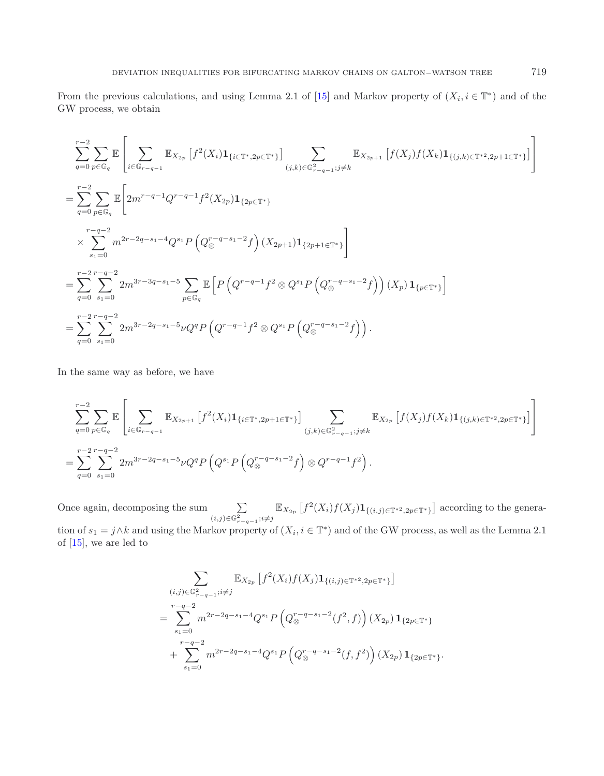From the previous calculations, and using Lemma 2.1 of [\[15](#page-35-0)] and Markov property of  $(X_i, i \in \mathbb{T}^*)$  and of the GW process, we obtain

$$
\sum_{q=0}^{r-2} \sum_{p \in \mathbb{G}_q} \mathbb{E} \left[ \sum_{i \in \mathbb{G}_{r-q-1}} \mathbb{E}_{X_{2p}} \left[ f^2(X_i) \mathbf{1}_{\{i \in \mathbb{T}^*, 2p \in \mathbb{T}^* \}} \right] \sum_{(j,k) \in \mathbb{G}_{r-q-1}^2; j \neq k} \mathbb{E}_{X_{2p+1}} \left[ f(X_j) f(X_k) \mathbf{1}_{\{(j,k) \in \mathbb{T}^*^2, 2p+1 \in \mathbb{T}^* \}} \right] \right]
$$
\n
$$
= \sum_{q=0}^{r-2} \sum_{p \in \mathbb{G}_q} \mathbb{E} \left[ 2m^{r-q-1} Q^{r-q-1} f^2(X_{2p}) \mathbf{1}_{\{2p \in \mathbb{T}^* \}} \right]
$$
\n
$$
\times \sum_{s_1=0}^{r-q-2} m^{2r-2q-s_1-4} Q^{s_1} P \left( Q_{\otimes}^{r-q-s_1-2} f \right) (X_{2p+1}) \mathbf{1}_{\{2p+1 \in \mathbb{T}^* \}} \right]
$$
\n
$$
= \sum_{q=0}^{r-2} \sum_{s_1=0}^{r-q-2} 2m^{3r-3q-s_1-5} \sum_{p \in \mathbb{G}_q} \mathbb{E} \left[ P \left( Q^{r-q-1} f^2 \otimes Q^{s_1} P \left( Q_{\otimes}^{r-q-s_1-2} f \right) \right) (X_p) \mathbf{1}_{\{p \in \mathbb{T}^* \}} \right]
$$
\n
$$
= \sum_{q=0}^{r-2} \sum_{s_1=0}^{r-q-2} 2m^{3r-2q-s_1-5} \nu Q^q P \left( Q^{r-q-1} f^2 \otimes Q^{s_1} P \left( Q_{\otimes}^{r-q-s_1-2} f \right) \right).
$$

In the same way as before, we have

$$
\sum_{q=0}^{r-2} \sum_{p \in \mathbb{G}_q} \mathbb{E} \left[ \sum_{i \in \mathbb{G}_{r-q-1}} \mathbb{E}_{X_{2p+1}} \left[ f^2(X_i) \mathbf{1}_{\{i \in \mathbb{T}^*, 2p+1 \in \mathbb{T}^*\}} \right] \sum_{(j,k) \in \mathbb{G}_{r-q-1}^2; j \neq k} \mathbb{E}_{X_{2p}} \left[ f(X_j) f(X_k) \mathbf{1}_{\{(j,k) \in \mathbb{T}^*^2, 2p \in \mathbb{T}^*}\}} \right] \right]
$$
\n
$$
= \sum_{q=0}^{r-2} \sum_{s_1=0}^{r-q-2} 2m^{3r-2q-s_1-5} \nu Q^q P \left( Q^{s_1} P \left( Q^{r-q-s_1-2} f \right) \otimes Q^{r-q-1} f^2 \right).
$$

Once again, decomposing the sum  $\sum$  $(i,j) \in \mathbb{G}_{r-q-1}^2; i \neq j$  $\mathbb{E}_{X_{2p}}\left[f^2(X_i)f(X_j)\mathbf{1}_{\{(i,j)\in\mathbb{T}^{*2},2p\in\mathbb{T}^{\ast}\}}\right]$  according to the generation of  $s_1 = j \wedge k$  and using the Markov property of  $(X_i, i \in \mathbb{T}^*)$  and of the GW process, as well as the Lemma 2.1 of  $[15]$ , we are led to

$$
\sum_{\substack{(i,j)\in\mathbb{G}_{r-q-1}^2; i\neq j}} \mathbb{E}_{X_{2p}} \left[ f^2(X_i) f(X_j) \mathbf{1}_{\{(i,j)\in\mathbb{T}^*^2, 2p\in\mathbb{T}^*\}} \right]
$$
\n
$$
= \sum_{s_1=0}^{r-q-2} m^{2r-2q-s_1-4} Q^{s_1} P \left( Q_{\otimes}^{r-q-s_1-2}(f^2, f) \right) (X_{2p}) \mathbf{1}_{\{2p\in\mathbb{T}^*\}}
$$
\n
$$
+ \sum_{s_1=0}^{r-q-2} m^{2r-2q-s_1-4} Q^{s_1} P \left( Q_{\otimes}^{r-q-s_1-2}(f, f^2) \right) (X_{2p}) \mathbf{1}_{\{2p\in\mathbb{T}^*\}}.
$$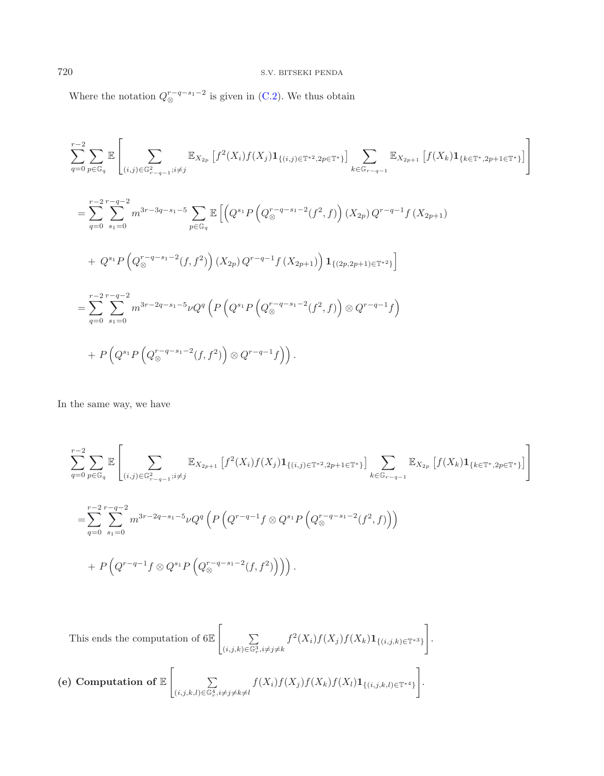Where the notation  $Q_{\otimes}^{r-q-s_1-2}$  is given in [\(C.2\)](#page-27-1). We thus obtain

$$
\sum_{q=0}^{r-2} \sum_{p \in \mathbb{G}_q} \mathbb{E} \left[ \sum_{(i,j) \in \mathbb{G}_{r-q-1}^2; i \neq j} \mathbb{E}_{X_{2p}} \left[ f^2(X_i) f(X_j) \mathbf{1}_{\{(i,j) \in \mathbb{T}^*^2, 2p \in \mathbb{T}^* \}} \right] \sum_{k \in \mathbb{G}_{r-q-1}} \mathbb{E}_{X_{2p+1}} \left[ f(X_k) \mathbf{1}_{\{k \in \mathbb{T}^* , 2p+1 \in \mathbb{T}^* \}} \right] \right]
$$
\n
$$
= \sum_{q=0}^{r-2} \sum_{s_1=0}^{r-q-2} m^{3r-3q-s_1-5} \sum_{p \in \mathbb{G}_q} \mathbb{E} \left[ \left( Q^{s_1} P \left( Q^{r-q-s_1-2}_{\otimes} (f^2, f) \right) (X_{2p}) Q^{r-q-1} f(X_{2p+1}) \right) \right. \left. + Q^{s_1} P \left( Q^{r-q-s_1-2}_{\otimes} (f, f^2) \right) (X_{2p}) Q^{r-q-1} f(X_{2p+1}) \right) \mathbf{1}_{\{(2p,2p+1) \in \mathbb{T}^*^2 \}} \right]
$$
\n
$$
= \sum_{q=0}^{r-2} \sum_{s_1=0}^{r-q-2} m^{3r-2q-s_1-5} \nu Q^q \left( P \left( Q^{s_1} P \left( Q^{r-q-s_1-2}_{\otimes} (f^2, f) \right) \otimes Q^{r-q-1} f \right) \right)
$$
\n
$$
+ P \left( Q^{s_1} P \left( Q^{r-q-s_1-2}_{\otimes} (f, f^2) \right) \otimes Q^{r-q-1} f \right) \right).
$$

In the same way, we have

$$
\sum_{q=0}^{r-2} \sum_{p \in \mathbb{G}_q} \mathbb{E} \left[ \sum_{(i,j) \in \mathbb{G}_{r-q-1}^2; i \neq j} \mathbb{E}_{X_{2p+1}} \left[ f^2(X_i) f(X_j) \mathbf{1}_{\{(i,j) \in \mathbb{T}^* \ge 2p+1 \in \mathbb{T}^* \}} \right] \sum_{k \in \mathbb{G}_{r-q-1}} \mathbb{E}_{X_{2p}} \left[ f(X_k) \mathbf{1}_{\{k \in \mathbb{T}^* \ge 2p+1 \le 1\}} \right] \right]
$$
\n
$$
= \sum_{q=0}^{r-2} \sum_{s_1=0}^{r-q-2} m^{3r-2q-s_1-5} \nu Q^q \left( P \left( Q^{r-q-1} f \otimes Q^{s_1} P \left( Q^{r-q-s_1-2}_{\otimes} (f^2, f) \right) \right) \right)
$$
\n
$$
+ P \left( Q^{r-q-1} f \otimes Q^{s_1} P \left( Q^{r-q-s_1-2}_{\otimes} (f, f^2) \right) \right) \right).
$$

.

This ends the computation of 6 $\mathbb{E} \left[ \right]$   $\sum$  $\sum_{(i,j,k)\in\mathbb{G}_r^3, i\neq j\neq k} f^2(X_i)f(X_j)f(X_k)\mathbf{1}_{\{(i,j,k)\in\mathbb{T}^{*3}\}}$ 1

(e) Computation of 
$$
\mathbb{E}\left[\sum_{(i,j,k,l)\in\mathbb{G}_{r}^{4},i\neq j\neq k\neq l}f(X_{i})f(X_{j})f(X_{k})f(X_{l})\mathbf{1}_{\{(i,j,k,l)\in\mathbb{T}^{*4}\}}\right]
$$
.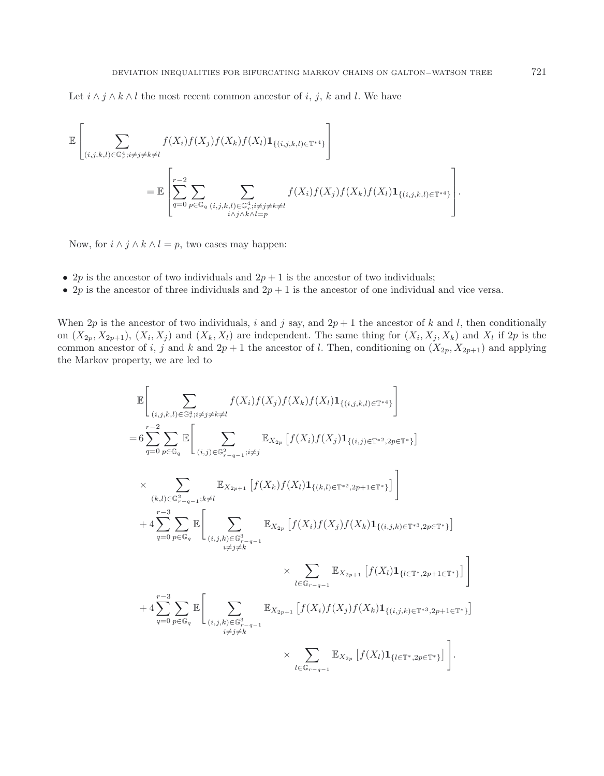Let  $i \wedge j \wedge k \wedge l$  the most recent common ancestor of i, j, k and l. We have

$$
\mathbb{E}\left[\sum_{(i,j,k,l)\in\mathbb{G}_r^4; i\neq j\neq k\neq l} f(X_i)f(X_j)f(X_k)f(X_l)\mathbf{1}_{\{(i,j,k,l)\in\mathbb{T}^{*4}\}}\right]
$$
\n
$$
=\mathbb{E}\left[\sum_{q=0}^{r-2}\sum_{p\in\mathbb{G}_q}\sum_{\substack{(i,j,k,l)\in\mathbb{G}_r^4; i\neq j\neq k\neq l}}f(X_i)f(X_j)f(X_k)f(X_l)\mathbf{1}_{\{(i,j,k,l)\in\mathbb{T}^{*4}\}}\right].
$$

Now, for  $i \wedge j \wedge k \wedge l = p$ , two cases may happen:

- 2p is the ancestor of two individuals and  $2p + 1$  is the ancestor of two individuals;
- 2p is the ancestor of three individuals and  $2p + 1$  is the ancestor of one individual and vice versa.

When 2p is the ancestor of two individuals, i and j say, and  $2p + 1$  the ancestor of k and l, then conditionally on  $(X_{2p}, X_{2p+1}), (X_i, X_j)$  and  $(X_k, X_l)$  are independent. The same thing for  $(X_i, X_j, X_k)$  and  $X_l$  if  $2p$  is the common ancestor of i, j and k and  $2p + 1$  the ancestor of l. Then, conditioning on  $(X_{2p}, X_{2p+1})$  and applying the Markov property, we are led to

$$
\mathbb{E}\left[\sum_{(i,j,k,l)\in\mathbb{G}_{\tau}^{4},i\neq j\neq k\neq l}f(X_{i})f(X_{j})f(X_{k})f(X_{l})\mathbf{1}_{\{(i,j,k,l)\in\mathbb{T}^{*4}\}}\right]
$$
\n
$$
=6\sum_{q=0}^{r-2}\sum_{p\in\mathbb{G}_{q}}\mathbb{E}\left[\sum_{(i,j)\in\mathbb{G}_{r-q-1}^{2},i\neq j}\mathbb{E}_{X_{2p}}\left[f(X_{i})f(X_{j})\mathbf{1}_{\{(i,j)\in\mathbb{T}^{*2},2p\in\mathbb{T}^{*}\}}\right]\right]
$$
\n
$$
\times \sum_{(k,l)\in\mathbb{G}_{r-q-1}^{2},i\neq l}\mathbb{E}_{X_{2p+1}}\left[f(X_{k})f(X_{l})\mathbf{1}_{\{(k,l)\in\mathbb{T}^{*2},2p+1\in\mathbb{T}^{*}\}}\right]\right]
$$
\n
$$
+4\sum_{q=0}^{r-3}\sum_{p\in\mathbb{G}_{q}}\mathbb{E}\left[\sum_{(i,j,k)\in\mathbb{G}_{r-q-1}^{3}}\mathbb{E}_{X_{2p}}\left[f(X_{i})f(X_{j})f(X_{k})\mathbf{1}_{\{(i,j,k)\in\mathbb{T}^{*3},2p\in\mathbb{T}^{*}\}}\right]\right]
$$
\n
$$
+4\sum_{q=0}^{r-3}\sum_{p\in\mathbb{G}_{q}}\mathbb{E}\left[\sum_{(i,j,k)\in\mathbb{G}_{r-q-1}^{3}}\mathbb{E}_{X_{2p+1}}\left[f(X_{i})f(X_{j})f(X_{k})\mathbf{1}_{\{(i,j,k)\in\mathbb{T}^{*3},2p+1\in\mathbb{T}^{*}\}}\right]\right]
$$
\n
$$
+4\sum_{q=0}^{r-3}\sum_{p\in\mathbb{G}_{q}}\mathbb{E}\left[\sum_{(i,j,k)\in\mathbb{G}_{r-q-1}^{3}}\mathbb{E}_{X_{2p+1}}\left[f(X_{i})f(X_{j})f(X_{k})\mathbf{1}_{\{(i,j,k)\in\mathbb{T}^{*3},2p+1\in\mathbb{T}^{*}\}}\right]\right].
$$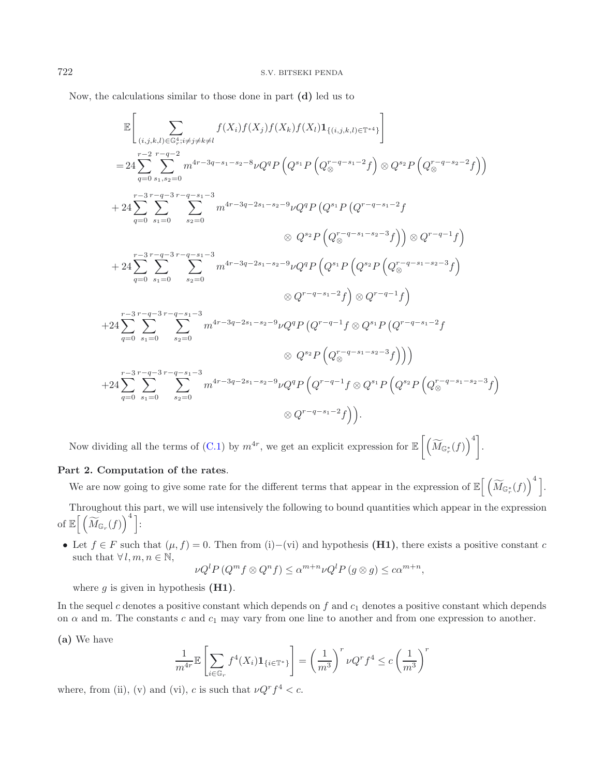Now, the calculations similar to those done in part **(d)** led us to

$$
\mathbb{E}\left[\sum_{(i,j,k,l)\in\mathbb{G}_{+}^{4};i\neq j\neq k\neq l}f(X_{i})f(X_{j})f(X_{k})f(X_{l})\mathbf{1}_{\{(i,j,k,l)\in\mathbb{F}^{*4}\}}\right]
$$
\n
$$
=24\sum_{q=0}^{r-2}\sum_{s_{1},s_{2}=0}^{r-q-2}m^{4r-3q-s_{1}-s_{2}-8}\nu Q^{q}P\left(Q^{s_{1}}P\left(Q^{r-q-s_{1}-2}f\right)\otimes Q^{s_{2}}P\left(Q^{r-q-s_{2}-2}f\right)\right)
$$
\n
$$
+24\sum_{q=0}^{r-3}\sum_{s_{1}=0}^{r-q-3}m^{4r-3q-2s_{1}-s_{2}-9}\nu Q^{q}P\left(Q^{s_{1}}P\left(Q^{r-q-s_{1}-2}f\right)\right)
$$
\n
$$
+24\sum_{q=0}^{r-3}\sum_{s_{1}=0}^{r-q-3}m^{2r-q-s_{1}-3}m^{4r-3q-2s_{1}-s_{2}-9}\nu Q^{q}P\left(Q^{s_{1}}P\left(Q^{s_{2}}P\left(Q^{r-q-s_{1}-s_{2}-3}f\right)\right)\right)
$$
\n
$$
\otimes Q^{r-q-1}f\right)
$$
\n
$$
+24\sum_{q=0}^{r-3}\sum_{s_{1}=0}^{r-q-3}m^{2r-q-s_{1}-3}m^{4r-3q-2s_{1}-s_{2}-9}\nu Q^{q}P\left(Q^{s_{1}}P\left(Q^{s_{2}}P\left(Q^{r-q-s_{1}-s_{2}-3}f\right)\right)\right)
$$
\n
$$
+24\sum_{q=0}^{r-3}\sum_{s_{1}=0}^{r-q-3}m^{2r-q-s_{1}-3}m^{4r-3q-2s_{1}-s_{2}-9}\nu Q^{q}P\left(Q^{r-q-1}f\otimes Q^{s_{1}}P\left(Q^{r-q-s_{1}-2}f\right)\right)
$$
\n
$$
+24\sum_{q=0}^{r-3}\sum_{s_{1}=0}^{r-q-3}m^{2r-q-s_{1}-3}m^{4r-3q-2s_{1}-s_{2}-9}\nu Q^{q}P\left(Q^{r-q-1}f\otimes Q^{s_{1}}P\left(Q
$$

Now dividing all the terms of [\(C.1\)](#page-27-0) by  $m^{4r}$ , we get an explicit expression for  $\mathbb{E}\left[\left(\widetilde{M}_{\mathbb{G}_r^*}(f)\right)^4\right]$ .

## **Part 2. Computation of the rates**.

We are now going to give some rate for the different terms that appear in the expression of  $\mathbb{E}\Big[\left(\widetilde{M}_{\mathbb{G}_r^*}(f)\right)^4\Big]$ .

Throughout this part, we will use intensively the following to bound quantities which appear in the expression of  $\mathbb{E}\Big[\left(\widetilde{M}_{\mathbb{G}_r}(f)\right)^*\Big]$ :

• Let  $f \in F$  such that  $(\mu, f) = 0$ . Then from (i)–(vi) and hypothesis **(H1)**, there exists a positive constant c such that  $\forall l, m, n \in \mathbb{N}$ ,

$$
\nu Q^{l} P \left( Q^{m} f \otimes Q^{n} f \right) \leq \alpha^{m+n} \nu Q^{l} P \left( g \otimes g \right) \leq c \alpha^{m+n},
$$

where  $g$  is given in hypothesis  $(H1)$ .

In the sequel c denotes a positive constant which depends on f and  $c_1$  denotes a positive constant which depends on  $\alpha$  and m. The constants c and  $c_1$  may vary from one line to another and from one expression to another.

**(a)** We have

$$
\frac{1}{m^{4r}} \mathbb{E}\left[\sum_{i\in\mathbb{G}_r} f^4(X_i) \mathbf{1}_{\{i\in\mathbb{T}^*\}}\right] = \left(\frac{1}{m^3}\right)^r \nu Q^r f^4 \le c \left(\frac{1}{m^3}\right)^r
$$

where, from (ii), (v) and (vi), c is such that  $\nu Q^r f^4 < c$ .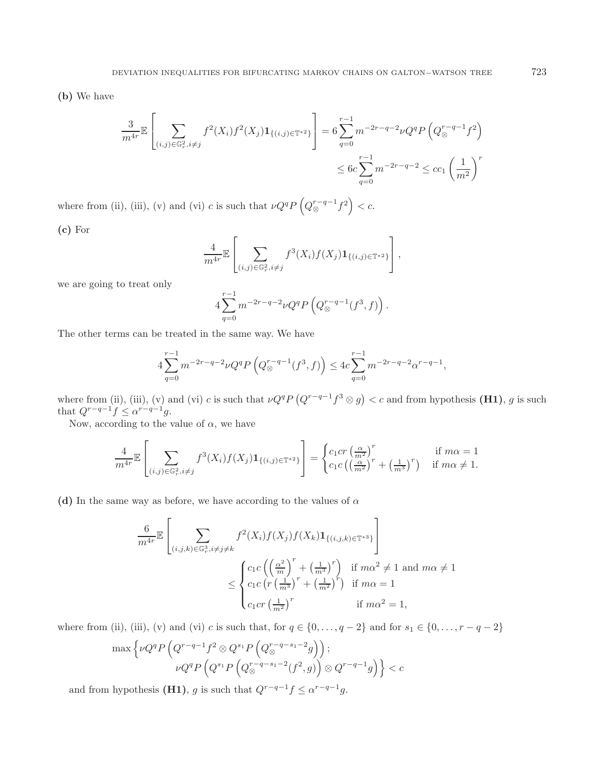**(b)** We have

$$
\frac{3}{m^{4r}} \mathbb{E} \left[ \sum_{(i,j) \in \mathbb{G}_r^2, i \neq j} f^2(X_i) f^2(X_j) \mathbf{1}_{\{(i,j) \in \mathbb{T}^*^2\}} \right] = 6 \sum_{q=0}^{r-1} m^{-2r-q-2} \nu Q^q P \left( Q_{\otimes}^{r-q-1} f^2 \right)
$$
  

$$
\leq 6c \sum_{q=0}^{r-1} m^{-2r-q-2} \leq c c_1 \left( \frac{1}{m^2} \right)^r
$$

where from (ii), (iii), (v) and (vi) c is such that  $\nu Q^q P \left( Q_{\otimes}^{r-q-1} f^2 \right) < c$ .

**(c)** For

$$
\frac{4}{m^{4r}} \mathbb{E}\left[\sum_{(i,j)\in\mathbb{G}_r^2, i\neq j} f^3(X_i) f(X_j) \mathbf{1}_{\{(i,j)\in\mathbb{T}^*^2\}}\right],
$$

we are going to treat only

$$
4\sum_{q=0}^{r-1} m^{-2r-q-2} \nu Q^q P\left(Q_{\otimes}^{r-q-1}(f^3,f)\right).
$$

The other terms can be treated in the same way. We have

$$
4\sum_{q=0}^{r-1} m^{-2r-q-2} \nu Q^q P\left(Q_{\otimes}^{r-q-1}(f^3, f)\right) \le 4c \sum_{q=0}^{r-1} m^{-2r-q-2} \alpha^{r-q-1},
$$

where from (ii), (iii), (v) and (vi) c is such that  $\nu Q^q P (Q^{r-q-1} f^3 \otimes g) < c$  and from hypothesis (H1), g is such that  $Q^{r-q-1}f \leq \alpha^{r-q-1}g$ .

Now, according to the value of  $\alpha$ , we have

$$
\frac{4}{m^{4r}}\mathbb{E}\left[\sum_{(i,j)\in\mathbb{G}_r^2, i\neq j} f^3(X_i)f(X_j)\mathbf{1}_{\{(i,j)\in\mathbb{T}^*\}^2}\right] = \begin{cases} c_1cr\left(\frac{\alpha}{m^2}\right)^r & \text{if } m\alpha = 1\\ c_1c\left(\left(\frac{\alpha}{m^2}\right)^r + \left(\frac{1}{m^3}\right)^r\right) & \text{if } m\alpha \neq 1. \end{cases}
$$

(d) In the same way as before, we have according to the values of  $\alpha$ 

$$
\frac{6}{m^{4r}} \mathbb{E}\left[\sum_{(i,j,k)\in\mathbb{G}_r^3, i\neq j\neq k} f^2(X_i)f(X_j)f(X_k)\mathbf{1}_{\{(i,j,k)\in\mathbb{T}^{*3}\}}\right]
$$
\n
$$
\leq \begin{cases}\nc_1 c \left(\left(\frac{\alpha^2}{m}\right)^r + \left(\frac{1}{m^3}\right)^r\right) & \text{if } m\alpha^2 \neq 1 \text{ and } m\alpha \neq 1 \\
c_1 c \left(r \left(\frac{1}{m^3}\right)^r + \left(\frac{1}{m^2}\right)^r\right) & \text{if } m\alpha = 1 \\
c_1 c r \left(\frac{1}{m^2}\right)^r & \text{if } m\alpha^2 = 1,\n\end{cases}
$$

where from (ii), (iii), (v) and (vi) c is such that, for  $q \in \{0, \ldots, q-2\}$  and for  $s_1 \in \{0, \ldots, r-q-2\}$ 

$$
\max \left\{\nu Q^q P\left(Q^{r-q-1}f^2 \otimes Q^{s_1} P\left(Q^{r-q-s_1-2}_{\otimes q}g\right)\right);
$$
  
 
$$
\nu Q^q P\left(Q^{s_1} P\left(Q^{r-q-s_1-2}_{\otimes q}(f^2,g)\right) \otimes Q^{r-q-1}g\right)\right\} < c
$$

and from hypothesis **(H1)**, g is such that  $Q^{r-q-1}f \leq \alpha^{r-q-1}g$ .